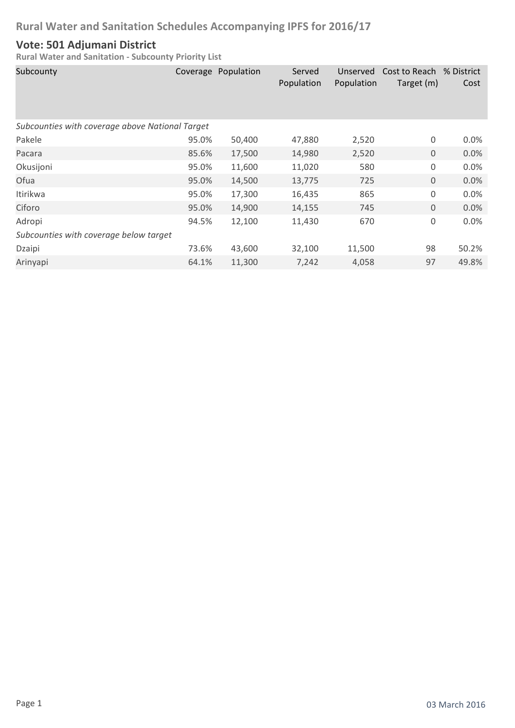### **Vote: 501 Adjumani District**

| Subcounty                                       |       | Coverage Population | Served<br>Population | Unserved<br>Population | Cost to Reach % District<br>Target (m) | Cost    |  |  |
|-------------------------------------------------|-------|---------------------|----------------------|------------------------|----------------------------------------|---------|--|--|
| Subcounties with coverage above National Target |       |                     |                      |                        |                                        |         |  |  |
| Pakele                                          | 95.0% | 50,400              | 47,880               | 2,520                  | 0                                      | $0.0\%$ |  |  |
| Pacara                                          | 85.6% | 17,500              | 14,980               | 2,520                  | $\mathbf 0$                            | 0.0%    |  |  |
| Okusijoni                                       | 95.0% | 11,600              | 11,020               | 580                    | 0                                      | 0.0%    |  |  |
| Ofua                                            | 95.0% | 14,500              | 13,775               | 725                    | $\mathbf 0$                            | 0.0%    |  |  |
| Itirikwa                                        | 95.0% | 17,300              | 16,435               | 865                    | 0                                      | 0.0%    |  |  |
| Ciforo                                          | 95.0% | 14,900              | 14,155               | 745                    | $\mathbf 0$                            | 0.0%    |  |  |
| Adropi                                          | 94.5% | 12,100              | 11,430               | 670                    | $\mathsf 0$                            | 0.0%    |  |  |
| Subcounties with coverage below target          |       |                     |                      |                        |                                        |         |  |  |
| Dzaipi                                          | 73.6% | 43,600              | 32,100               | 11,500                 | 98                                     | 50.2%   |  |  |
| Arinyapi                                        | 64.1% | 11,300              | 7,242                | 4,058                  | 97                                     | 49.8%   |  |  |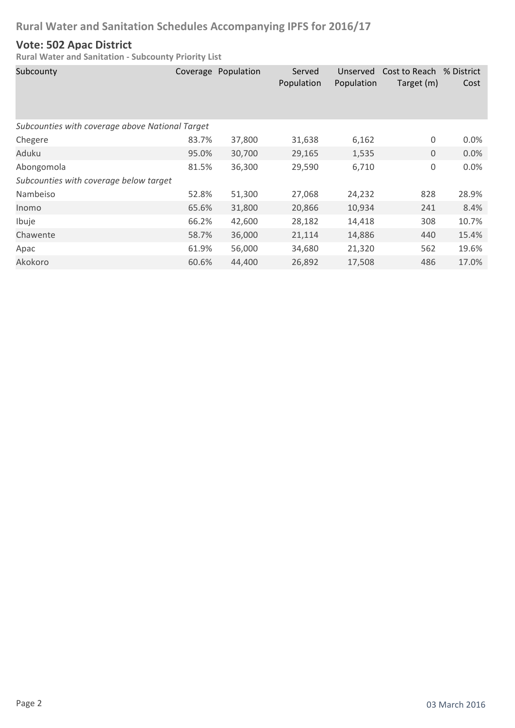### **Vote: 502 Apac District**

| Subcounty                                       |       | Coverage Population | Served<br>Population | Unserved<br>Population | Cost to Reach % District<br>Target (m) | Cost    |  |  |
|-------------------------------------------------|-------|---------------------|----------------------|------------------------|----------------------------------------|---------|--|--|
| Subcounties with coverage above National Target |       |                     |                      |                        |                                        |         |  |  |
| Chegere                                         | 83.7% | 37,800              | 31,638               | 6,162                  | 0                                      | $0.0\%$ |  |  |
| Aduku                                           | 95.0% | 30,700              | 29,165               | 1,535                  | $\mathbf 0$                            | 0.0%    |  |  |
| Abongomola                                      | 81.5% | 36,300              | 29,590               | 6,710                  | 0                                      | 0.0%    |  |  |
| Subcounties with coverage below target          |       |                     |                      |                        |                                        |         |  |  |
| Nambeiso                                        | 52.8% | 51,300              | 27,068               | 24,232                 | 828                                    | 28.9%   |  |  |
| Inomo                                           | 65.6% | 31,800              | 20,866               | 10,934                 | 241                                    | 8.4%    |  |  |
| Ibuje                                           | 66.2% | 42,600              | 28,182               | 14,418                 | 308                                    | 10.7%   |  |  |
| Chawente                                        | 58.7% | 36,000              | 21,114               | 14,886                 | 440                                    | 15.4%   |  |  |
| Apac                                            | 61.9% | 56,000              | 34,680               | 21,320                 | 562                                    | 19.6%   |  |  |
| Akokoro                                         | 60.6% | 44,400              | 26,892               | 17,508                 | 486                                    | 17.0%   |  |  |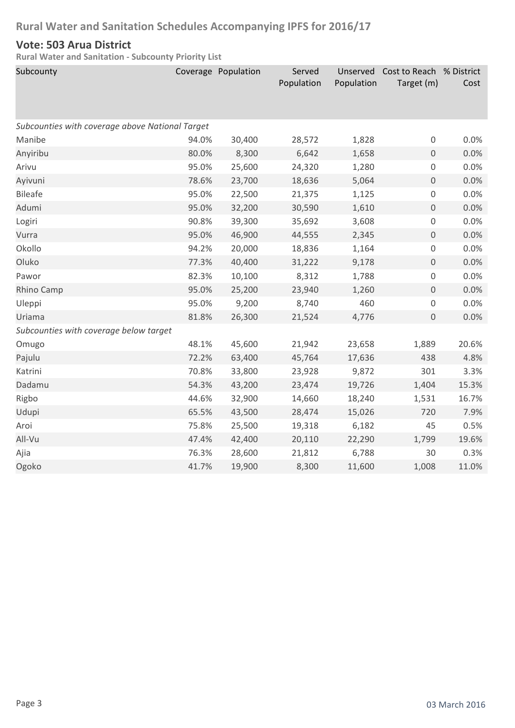### **Vote: 503 Arua District**

| Subcounty                                       |       | Coverage Population | Served<br>Population | Unserved<br>Population | Cost to Reach % District<br>Target (m) | Cost  |  |  |
|-------------------------------------------------|-------|---------------------|----------------------|------------------------|----------------------------------------|-------|--|--|
| Subcounties with coverage above National Target |       |                     |                      |                        |                                        |       |  |  |
| Manibe                                          | 94.0% | 30,400              | 28,572               | 1,828                  | 0                                      | 0.0%  |  |  |
| Anyiribu                                        | 80.0% | 8,300               | 6,642                | 1,658                  | $\mathsf{O}\xspace$                    | 0.0%  |  |  |
| Arivu                                           | 95.0% | 25,600              | 24,320               | 1,280                  | $\mathsf{O}\xspace$                    | 0.0%  |  |  |
| Ayivuni                                         | 78.6% | 23,700              | 18,636               | 5,064                  | $\mathsf{O}\xspace$                    | 0.0%  |  |  |
| <b>Bileafe</b>                                  | 95.0% | 22,500              | 21,375               | 1,125                  | $\mathsf{O}\xspace$                    | 0.0%  |  |  |
| Adumi                                           | 95.0% | 32,200              | 30,590               | 1,610                  | $\mathsf{O}\xspace$                    | 0.0%  |  |  |
| Logiri                                          | 90.8% | 39,300              | 35,692               | 3,608                  | $\mathsf{O}\xspace$                    | 0.0%  |  |  |
| Vurra                                           | 95.0% | 46,900              | 44,555               | 2,345                  | $\mathsf{O}\xspace$                    | 0.0%  |  |  |
| Okollo                                          | 94.2% | 20,000              | 18,836               | 1,164                  | $\mathsf{O}\xspace$                    | 0.0%  |  |  |
| Oluko                                           | 77.3% | 40,400              | 31,222               | 9,178                  | $\mathsf{O}\xspace$                    | 0.0%  |  |  |
| Pawor                                           | 82.3% | 10,100              | 8,312                | 1,788                  | $\mathsf{O}\xspace$                    | 0.0%  |  |  |
| Rhino Camp                                      | 95.0% | 25,200              | 23,940               | 1,260                  | $\mathsf{O}\xspace$                    | 0.0%  |  |  |
| Uleppi                                          | 95.0% | 9,200               | 8,740                | 460                    | $\mathsf{O}\xspace$                    | 0.0%  |  |  |
| Uriama                                          | 81.8% | 26,300              | 21,524               | 4,776                  | $\mathbf 0$                            | 0.0%  |  |  |
| Subcounties with coverage below target          |       |                     |                      |                        |                                        |       |  |  |
| Omugo                                           | 48.1% | 45,600              | 21,942               | 23,658                 | 1,889                                  | 20.6% |  |  |
| Pajulu                                          | 72.2% | 63,400              | 45,764               | 17,636                 | 438                                    | 4.8%  |  |  |
| Katrini                                         | 70.8% | 33,800              | 23,928               | 9,872                  | 301                                    | 3.3%  |  |  |
| Dadamu                                          | 54.3% | 43,200              | 23,474               | 19,726                 | 1,404                                  | 15.3% |  |  |
| Rigbo                                           | 44.6% | 32,900              | 14,660               | 18,240                 | 1,531                                  | 16.7% |  |  |
| Udupi                                           | 65.5% | 43,500              | 28,474               | 15,026                 | 720                                    | 7.9%  |  |  |
| Aroi                                            | 75.8% | 25,500              | 19,318               | 6,182                  | 45                                     | 0.5%  |  |  |
| All-Vu                                          | 47.4% | 42,400              | 20,110               | 22,290                 | 1,799                                  | 19.6% |  |  |
| Ajia                                            | 76.3% | 28,600              | 21,812               | 6,788                  | 30                                     | 0.3%  |  |  |
| Ogoko                                           | 41.7% | 19,900              | 8,300                | 11,600                 | 1,008                                  | 11.0% |  |  |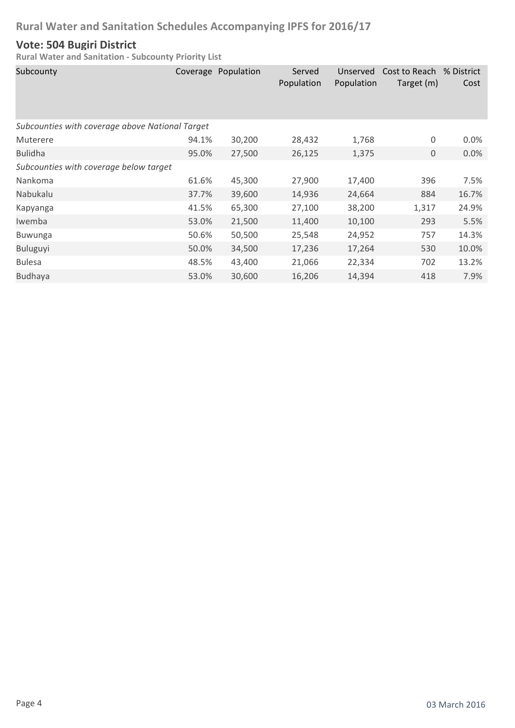### **Vote: 504 Bugiri District**

| Subcounty                                       |       | Coverage Population | Served<br>Population | Unserved<br>Population | Cost to Reach<br>Target (m) | % District<br>Cost |
|-------------------------------------------------|-------|---------------------|----------------------|------------------------|-----------------------------|--------------------|
| Subcounties with coverage above National Target |       |                     |                      |                        |                             |                    |
| Muterere                                        | 94.1% | 30,200              | 28,432               | 1,768                  | $\boldsymbol{0}$            | 0.0%               |
| <b>Bulidha</b>                                  | 95.0% | 27,500              | 26,125               | 1,375                  | 0                           | 0.0%               |
| Subcounties with coverage below target          |       |                     |                      |                        |                             |                    |
| Nankoma                                         | 61.6% | 45,300              | 27,900               | 17,400                 | 396                         | 7.5%               |
| Nabukalu                                        | 37.7% | 39,600              | 14,936               | 24,664                 | 884                         | 16.7%              |
| Kapyanga                                        | 41.5% | 65,300              | 27,100               | 38,200                 | 1,317                       | 24.9%              |
| Iwemba                                          | 53.0% | 21,500              | 11,400               | 10,100                 | 293                         | 5.5%               |
| <b>Buwunga</b>                                  | 50.6% | 50,500              | 25,548               | 24,952                 | 757                         | 14.3%              |
| <b>Buluguyi</b>                                 | 50.0% | 34,500              | 17,236               | 17,264                 | 530                         | 10.0%              |
| <b>Bulesa</b>                                   | 48.5% | 43,400              | 21,066               | 22,334                 | 702                         | 13.2%              |
| <b>Budhaya</b>                                  | 53.0% | 30,600              | 16,206               | 14,394                 | 418                         | 7.9%               |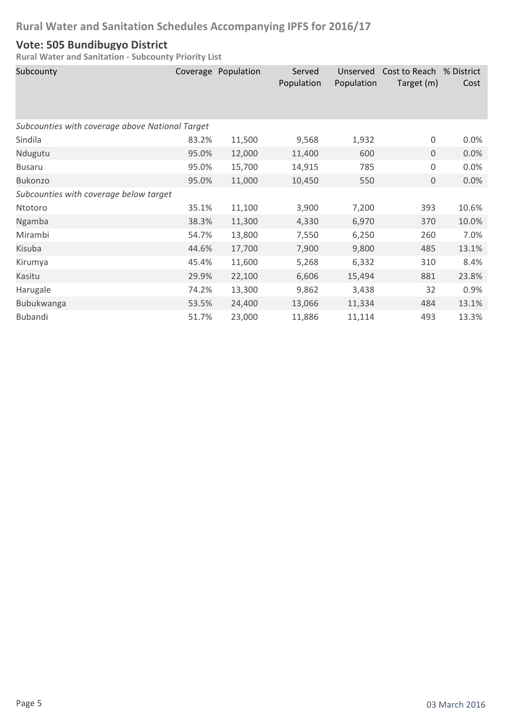### **Vote: 505 Bundibugyo District**

| Subcounty                                       |       | Coverage Population | Served<br>Population | Unserved<br>Population | Cost to Reach<br>Target (m) | % District<br>Cost |
|-------------------------------------------------|-------|---------------------|----------------------|------------------------|-----------------------------|--------------------|
| Subcounties with coverage above National Target |       |                     |                      |                        |                             |                    |
| Sindila                                         | 83.2% | 11,500              | 9,568                | 1,932                  | $\boldsymbol{0}$            | 0.0%               |
| Ndugutu                                         | 95.0% | 12,000              | 11,400               | 600                    | $\mathbf 0$                 | 0.0%               |
| <b>Busaru</b>                                   | 95.0% | 15,700              | 14,915               | 785                    | 0                           | 0.0%               |
| Bukonzo                                         | 95.0% | 11,000              | 10,450               | 550                    | $\mathbf 0$                 | 0.0%               |
| Subcounties with coverage below target          |       |                     |                      |                        |                             |                    |
| Ntotoro                                         | 35.1% | 11,100              | 3,900                | 7,200                  | 393                         | 10.6%              |
| Ngamba                                          | 38.3% | 11,300              | 4,330                | 6,970                  | 370                         | 10.0%              |
| Mirambi                                         | 54.7% | 13,800              | 7,550                | 6,250                  | 260                         | 7.0%               |
| Kisuba                                          | 44.6% | 17,700              | 7,900                | 9,800                  | 485                         | 13.1%              |
| Kirumya                                         | 45.4% | 11,600              | 5,268                | 6,332                  | 310                         | 8.4%               |
| Kasitu                                          | 29.9% | 22,100              | 6,606                | 15,494                 | 881                         | 23.8%              |
| Harugale                                        | 74.2% | 13,300              | 9,862                | 3,438                  | 32                          | 0.9%               |
| Bubukwanga                                      | 53.5% | 24,400              | 13,066               | 11,334                 | 484                         | 13.1%              |
| <b>Bubandi</b>                                  | 51.7% | 23,000              | 11,886               | 11,114                 | 493                         | 13.3%              |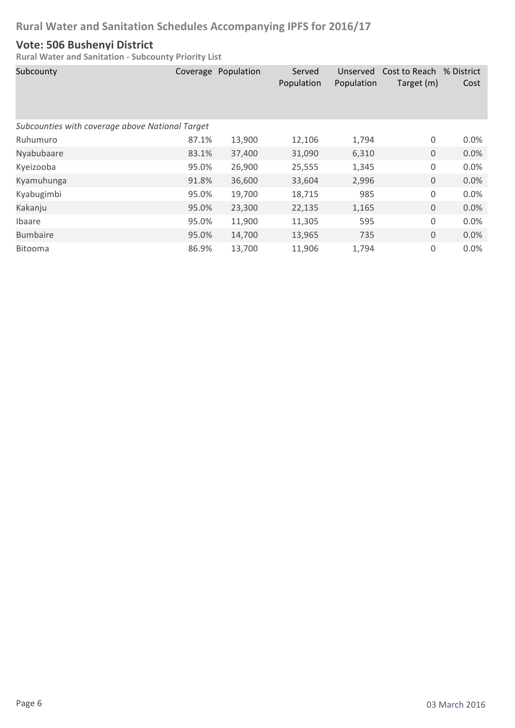### **Vote: 506 Bushenyi District**

| Subcounty                                       |       | Coverage Population | Served<br>Population | Unserved<br>Population | Cost to Reach % District<br>Target (m) | Cost |  |  |
|-------------------------------------------------|-------|---------------------|----------------------|------------------------|----------------------------------------|------|--|--|
| Subcounties with coverage above National Target |       |                     |                      |                        |                                        |      |  |  |
| Ruhumuro                                        | 87.1% | 13,900              | 12,106               | 1,794                  | 0                                      | 0.0% |  |  |
| Nyabubaare                                      | 83.1% | 37,400              | 31,090               | 6,310                  | $\boldsymbol{0}$                       | 0.0% |  |  |
| Kyeizooba                                       | 95.0% | 26,900              | 25,555               | 1,345                  | 0                                      | 0.0% |  |  |
| Kyamuhunga                                      | 91.8% | 36,600              | 33,604               | 2,996                  | $\mathbf 0$                            | 0.0% |  |  |
| Kyabugimbi                                      | 95.0% | 19,700              | 18,715               | 985                    | 0                                      | 0.0% |  |  |
| Kakanju                                         | 95.0% | 23,300              | 22,135               | 1,165                  | $\mathbf 0$                            | 0.0% |  |  |
| Ibaare                                          | 95.0% | 11,900              | 11,305               | 595                    | 0                                      | 0.0% |  |  |
| <b>Bumbaire</b>                                 | 95.0% | 14,700              | 13,965               | 735                    | $\mathbf 0$                            | 0.0% |  |  |
| <b>Bitooma</b>                                  | 86.9% | 13,700              | 11,906               | 1,794                  | 0                                      | 0.0% |  |  |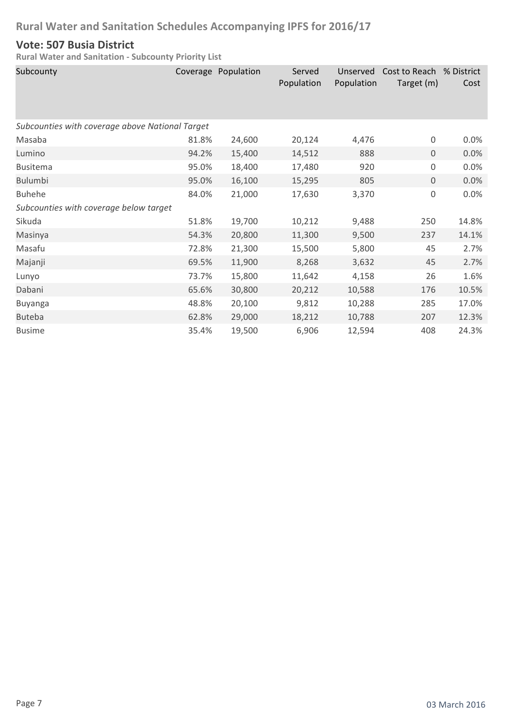### **Vote: 507 Busia District**

| Subcounty                                       |       | Coverage Population | Served<br>Population | Unserved<br>Population | Cost to Reach % District<br>Target (m) | Cost  |
|-------------------------------------------------|-------|---------------------|----------------------|------------------------|----------------------------------------|-------|
| Subcounties with coverage above National Target |       |                     |                      |                        |                                        |       |
| Masaba                                          | 81.8% | 24,600              | 20,124               | 4,476                  | 0                                      | 0.0%  |
| Lumino                                          | 94.2% | 15,400              | 14,512               | 888                    | $\overline{0}$                         | 0.0%  |
| <b>Busitema</b>                                 | 95.0% | 18,400              | 17,480               | 920                    | 0                                      | 0.0%  |
| <b>Bulumbi</b>                                  | 95.0% | 16,100              | 15,295               | 805                    | $\mathbf 0$                            | 0.0%  |
| <b>Buhehe</b>                                   | 84.0% | 21,000              | 17,630               | 3,370                  | $\mathsf 0$                            | 0.0%  |
| Subcounties with coverage below target          |       |                     |                      |                        |                                        |       |
| Sikuda                                          | 51.8% | 19,700              | 10,212               | 9,488                  | 250                                    | 14.8% |
| Masinya                                         | 54.3% | 20,800              | 11,300               | 9,500                  | 237                                    | 14.1% |
| Masafu                                          | 72.8% | 21,300              | 15,500               | 5,800                  | 45                                     | 2.7%  |
| Majanji                                         | 69.5% | 11,900              | 8,268                | 3,632                  | 45                                     | 2.7%  |
| Lunyo                                           | 73.7% | 15,800              | 11,642               | 4,158                  | 26                                     | 1.6%  |
| Dabani                                          | 65.6% | 30,800              | 20,212               | 10,588                 | 176                                    | 10.5% |
| <b>Buyanga</b>                                  | 48.8% | 20,100              | 9,812                | 10,288                 | 285                                    | 17.0% |
| <b>Buteba</b>                                   | 62.8% | 29,000              | 18,212               | 10,788                 | 207                                    | 12.3% |
| <b>Busime</b>                                   | 35.4% | 19,500              | 6,906                | 12,594                 | 408                                    | 24.3% |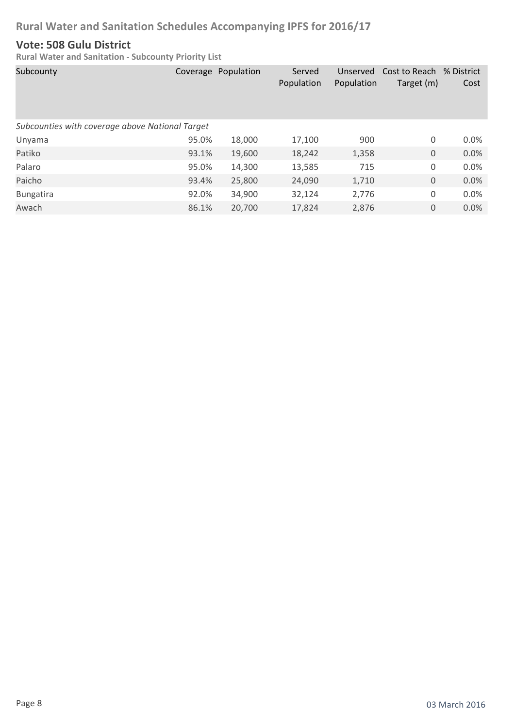### **Vote: 508 Gulu District**

| Subcounty                                       |       | Coverage Population | Served<br>Population | Unserved<br>Population | Cost to Reach % District<br>Target (m) | Cost |
|-------------------------------------------------|-------|---------------------|----------------------|------------------------|----------------------------------------|------|
| Subcounties with coverage above National Target |       |                     |                      |                        |                                        |      |
| Unyama                                          | 95.0% | 18,000              | 17,100               | 900                    | 0                                      | 0.0% |
| Patiko                                          | 93.1% | 19,600              | 18,242               | 1,358                  | 0                                      | 0.0% |
| Palaro                                          | 95.0% | 14,300              | 13,585               | 715                    | 0                                      | 0.0% |
| Paicho                                          | 93.4% | 25,800              | 24,090               | 1,710                  | $\mathbf 0$                            | 0.0% |
| <b>Bungatira</b>                                | 92.0% | 34,900              | 32,124               | 2,776                  | 0                                      | 0.0% |
| Awach                                           | 86.1% | 20,700              | 17,824               | 2,876                  | 0                                      | 0.0% |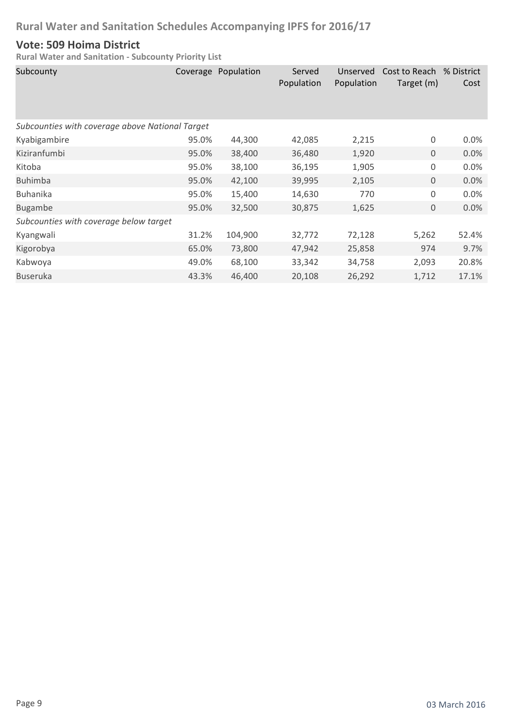### **Vote: 509 Hoima District**

| Subcounty                              |                                                 | Coverage Population | Served<br>Population | Unserved<br>Population | Cost to Reach<br>Target (m) | % District<br>Cost |  |  |
|----------------------------------------|-------------------------------------------------|---------------------|----------------------|------------------------|-----------------------------|--------------------|--|--|
|                                        | Subcounties with coverage above National Target |                     |                      |                        |                             |                    |  |  |
| Kyabigambire                           | 95.0%                                           | 44,300              | 42,085               | 2,215                  | 0                           | 0.0%               |  |  |
| Kiziranfumbi                           | 95.0%                                           | 38,400              | 36,480               | 1,920                  | $\mathbf 0$                 | 0.0%               |  |  |
| Kitoba                                 | 95.0%                                           | 38,100              | 36,195               | 1,905                  | 0                           | 0.0%               |  |  |
| <b>Buhimba</b>                         | 95.0%                                           | 42,100              | 39,995               | 2,105                  | $\mathbf 0$                 | 0.0%               |  |  |
| <b>Buhanika</b>                        | 95.0%                                           | 15,400              | 14,630               | 770                    | 0                           | 0.0%               |  |  |
| <b>Bugambe</b>                         | 95.0%                                           | 32,500              | 30,875               | 1,625                  | 0                           | 0.0%               |  |  |
| Subcounties with coverage below target |                                                 |                     |                      |                        |                             |                    |  |  |
| Kyangwali                              | 31.2%                                           | 104,900             | 32,772               | 72,128                 | 5,262                       | 52.4%              |  |  |
| Kigorobya                              | 65.0%                                           | 73,800              | 47,942               | 25,858                 | 974                         | 9.7%               |  |  |
| Kabwoya                                | 49.0%                                           | 68,100              | 33,342               | 34,758                 | 2,093                       | 20.8%              |  |  |
| <b>Buseruka</b>                        | 43.3%                                           | 46,400              | 20,108               | 26,292                 | 1,712                       | 17.1%              |  |  |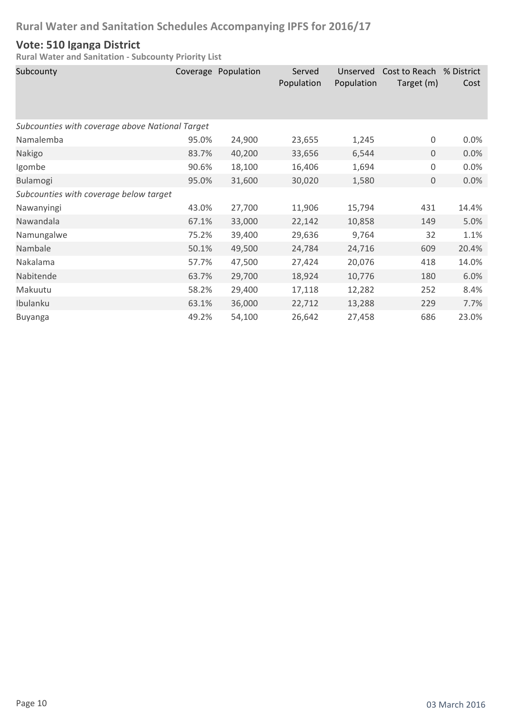### **Vote: 510 Iganga District**

| Subcounty                                       |       | Coverage Population | Served<br>Population | Unserved<br>Population | Cost to Reach % District<br>Target (m) | Cost  |
|-------------------------------------------------|-------|---------------------|----------------------|------------------------|----------------------------------------|-------|
| Subcounties with coverage above National Target |       |                     |                      |                        |                                        |       |
| Namalemba                                       | 95.0% | 24,900              | 23,655               | 1,245                  | 0                                      | 0.0%  |
| Nakigo                                          | 83.7% | 40,200              | 33,656               | 6,544                  | 0                                      | 0.0%  |
| Igombe                                          | 90.6% | 18,100              | 16,406               | 1,694                  | 0                                      | 0.0%  |
| Bulamogi                                        | 95.0% | 31,600              | 30,020               | 1,580                  | 0                                      | 0.0%  |
| Subcounties with coverage below target          |       |                     |                      |                        |                                        |       |
| Nawanyingi                                      | 43.0% | 27,700              | 11,906               | 15,794                 | 431                                    | 14.4% |
| Nawandala                                       | 67.1% | 33,000              | 22,142               | 10,858                 | 149                                    | 5.0%  |
| Namungalwe                                      | 75.2% | 39,400              | 29,636               | 9,764                  | 32                                     | 1.1%  |
| Nambale                                         | 50.1% | 49,500              | 24,784               | 24,716                 | 609                                    | 20.4% |
| Nakalama                                        | 57.7% | 47,500              | 27,424               | 20,076                 | 418                                    | 14.0% |
| Nabitende                                       | 63.7% | 29,700              | 18,924               | 10,776                 | 180                                    | 6.0%  |
| Makuutu                                         | 58.2% | 29,400              | 17,118               | 12,282                 | 252                                    | 8.4%  |
| Ibulanku                                        | 63.1% | 36,000              | 22,712               | 13,288                 | 229                                    | 7.7%  |
| Buyanga                                         | 49.2% | 54,100              | 26,642               | 27,458                 | 686                                    | 23.0% |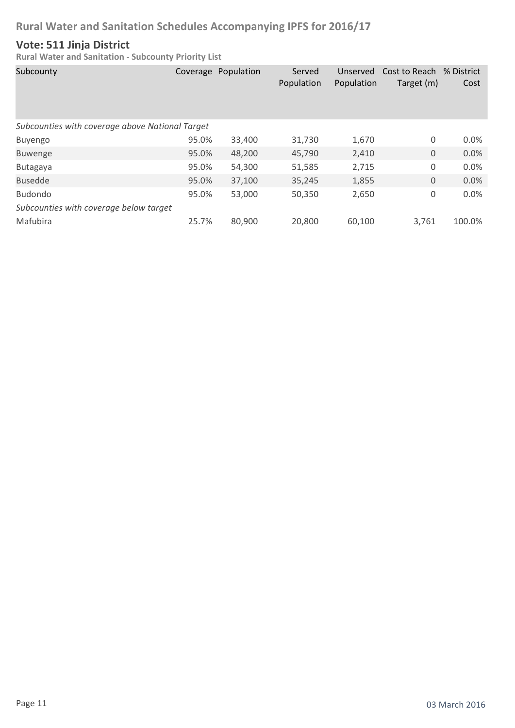### **Vote: 511 Jinja District**

| Subcounty                                       |       | Coverage Population | Served<br>Population | Unserved<br>Population | Cost to Reach<br>Target (m) | % District<br>Cost |
|-------------------------------------------------|-------|---------------------|----------------------|------------------------|-----------------------------|--------------------|
| Subcounties with coverage above National Target |       |                     |                      |                        |                             |                    |
| Buyengo                                         | 95.0% | 33,400              | 31,730               | 1,670                  | 0                           | 0.0%               |
| <b>Buwenge</b>                                  | 95.0% | 48,200              | 45,790               | 2,410                  | $\mathbf 0$                 | 0.0%               |
| Butagaya                                        | 95.0% | 54,300              | 51,585               | 2,715                  | 0                           | 0.0%               |
| <b>Busedde</b>                                  | 95.0% | 37,100              | 35,245               | 1,855                  | $\mathbf 0$                 | 0.0%               |
| <b>Budondo</b>                                  | 95.0% | 53,000              | 50,350               | 2,650                  | 0                           | 0.0%               |
| Subcounties with coverage below target          |       |                     |                      |                        |                             |                    |
| Mafubira                                        | 25.7% | 80,900              | 20,800               | 60,100                 | 3,761                       | 100.0%             |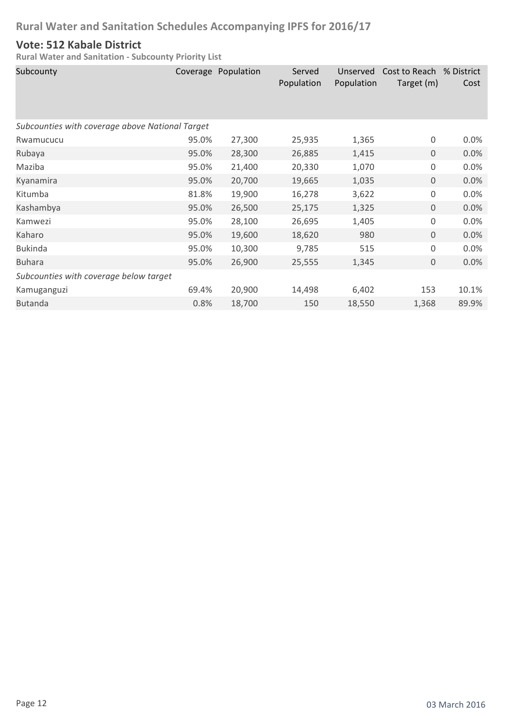### **Vote: 512 Kabale District**

| Subcounty                                       |       | Coverage Population | Served<br>Population | Unserved<br>Population | Cost to Reach<br>Target (m) | % District<br>Cost |  |  |
|-------------------------------------------------|-------|---------------------|----------------------|------------------------|-----------------------------|--------------------|--|--|
| Subcounties with coverage above National Target |       |                     |                      |                        |                             |                    |  |  |
| Rwamucucu                                       | 95.0% | 27,300              | 25,935               | 1,365                  | 0                           | 0.0%               |  |  |
| Rubaya                                          | 95.0% | 28,300              | 26,885               | 1,415                  | 0                           | 0.0%               |  |  |
| Maziba                                          | 95.0% | 21,400              | 20,330               | 1,070                  | 0                           | 0.0%               |  |  |
| Kyanamira                                       | 95.0% | 20,700              | 19,665               | 1,035                  | 0                           | 0.0%               |  |  |
| Kitumba                                         | 81.8% | 19,900              | 16,278               | 3,622                  | 0                           | 0.0%               |  |  |
| Kashambya                                       | 95.0% | 26,500              | 25,175               | 1,325                  | 0                           | 0.0%               |  |  |
| Kamwezi                                         | 95.0% | 28,100              | 26,695               | 1,405                  | 0                           | 0.0%               |  |  |
| Kaharo                                          | 95.0% | 19,600              | 18,620               | 980                    | $\mathbf 0$                 | 0.0%               |  |  |
| <b>Bukinda</b>                                  | 95.0% | 10,300              | 9,785                | 515                    | 0                           | 0.0%               |  |  |
| <b>Buhara</b>                                   | 95.0% | 26,900              | 25,555               | 1,345                  | $\mathbf{0}$                | 0.0%               |  |  |
| Subcounties with coverage below target          |       |                     |                      |                        |                             |                    |  |  |
| Kamuganguzi                                     | 69.4% | 20,900              | 14,498               | 6,402                  | 153                         | 10.1%              |  |  |
| <b>Butanda</b>                                  | 0.8%  | 18,700              | 150                  | 18,550                 | 1,368                       | 89.9%              |  |  |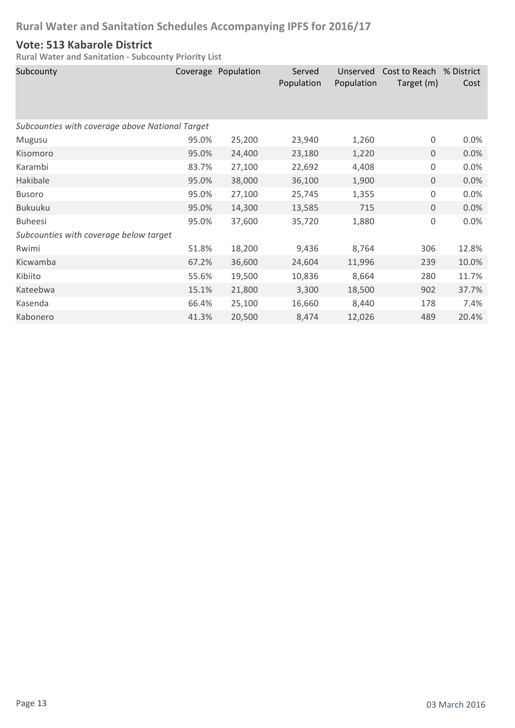### **Vote: 513 Kabarole District**

| Subcounty                                       |       | Coverage Population | Served<br>Population | Unserved<br>Population | Cost to Reach<br>Target (m) | % District<br>Cost |
|-------------------------------------------------|-------|---------------------|----------------------|------------------------|-----------------------------|--------------------|
| Subcounties with coverage above National Target |       |                     |                      |                        |                             |                    |
| Mugusu                                          | 95.0% | 25,200              | 23,940               | 1,260                  | $\boldsymbol{0}$            | 0.0%               |
| Kisomoro                                        | 95.0% | 24,400              | 23,180               | 1,220                  | $\mathsf{O}\xspace$         | 0.0%               |
| Karambi                                         | 83.7% | 27,100              | 22,692               | 4,408                  | $\boldsymbol{0}$            | 0.0%               |
| Hakibale                                        | 95.0% | 38,000              | 36,100               | 1,900                  | 0                           | 0.0%               |
| <b>Busoro</b>                                   | 95.0% | 27,100              | 25,745               | 1,355                  | $\boldsymbol{0}$            | 0.0%               |
| <b>Bukuuku</b>                                  | 95.0% | 14,300              | 13,585               | 715                    | 0                           | 0.0%               |
| <b>Buheesi</b>                                  | 95.0% | 37,600              | 35,720               | 1,880                  | $\boldsymbol{0}$            | 0.0%               |
| Subcounties with coverage below target          |       |                     |                      |                        |                             |                    |
| Rwimi                                           | 51.8% | 18,200              | 9,436                | 8,764                  | 306                         | 12.8%              |
| Kicwamba                                        | 67.2% | 36,600              | 24,604               | 11,996                 | 239                         | 10.0%              |
| Kibiito                                         | 55.6% | 19,500              | 10,836               | 8,664                  | 280                         | 11.7%              |
| Kateebwa                                        | 15.1% | 21,800              | 3,300                | 18,500                 | 902                         | 37.7%              |
| Kasenda                                         | 66.4% | 25,100              | 16,660               | 8,440                  | 178                         | 7.4%               |
| Kabonero                                        | 41.3% | 20,500              | 8,474                | 12,026                 | 489                         | 20.4%              |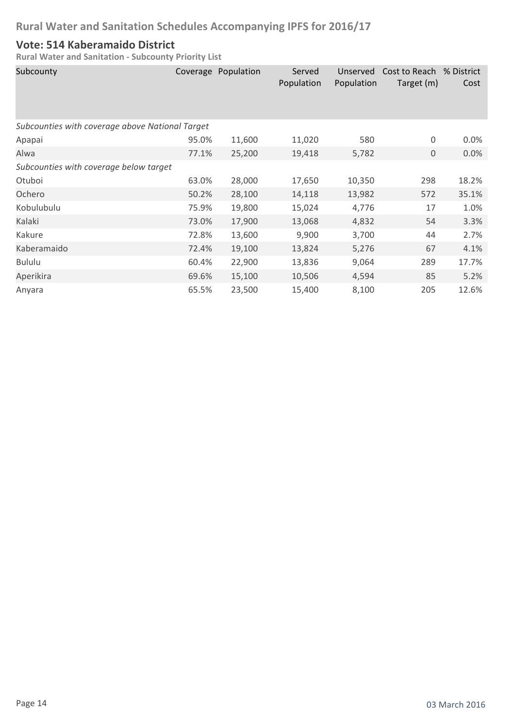### **Vote: 514 Kaberamaido District**

| Subcounty                                       |       | Coverage Population | Served<br>Population | Unserved<br>Population | Cost to Reach<br>Target (m) | % District<br>Cost |
|-------------------------------------------------|-------|---------------------|----------------------|------------------------|-----------------------------|--------------------|
| Subcounties with coverage above National Target |       |                     |                      |                        |                             |                    |
| Apapai                                          | 95.0% | 11,600              | 11,020               | 580                    | 0                           | 0.0%               |
| Alwa                                            | 77.1% | 25,200              | 19,418               | 5,782                  | $\mathbf{0}$                | 0.0%               |
| Subcounties with coverage below target          |       |                     |                      |                        |                             |                    |
| Otuboi                                          | 63.0% | 28,000              | 17,650               | 10,350                 | 298                         | 18.2%              |
| Ochero                                          | 50.2% | 28,100              | 14,118               | 13,982                 | 572                         | 35.1%              |
| Kobulubulu                                      | 75.9% | 19,800              | 15,024               | 4,776                  | 17                          | 1.0%               |
| Kalaki                                          | 73.0% | 17,900              | 13,068               | 4,832                  | 54                          | 3.3%               |
| Kakure                                          | 72.8% | 13,600              | 9,900                | 3,700                  | 44                          | 2.7%               |
| Kaberamaido                                     | 72.4% | 19,100              | 13,824               | 5,276                  | 67                          | 4.1%               |
| <b>Bululu</b>                                   | 60.4% | 22,900              | 13,836               | 9,064                  | 289                         | 17.7%              |
| Aperikira                                       | 69.6% | 15,100              | 10,506               | 4,594                  | 85                          | 5.2%               |
| Anyara                                          | 65.5% | 23,500              | 15,400               | 8,100                  | 205                         | 12.6%              |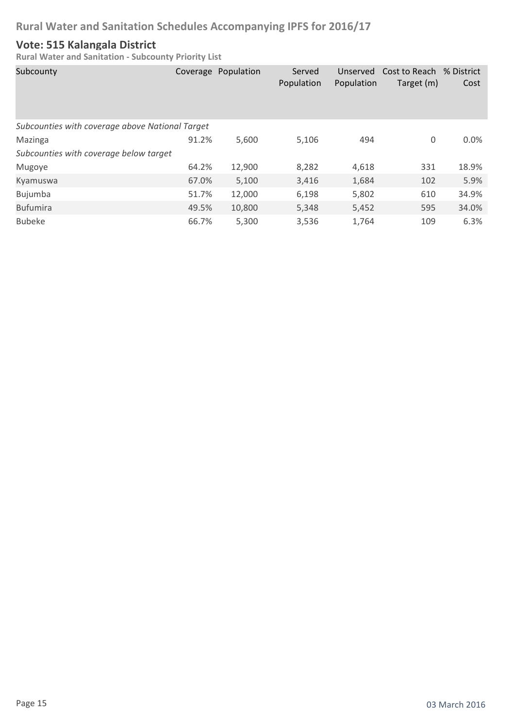### **Vote: 515 Kalangala District**

| Subcounty                                       |       | Coverage Population | Served<br>Population | Unserved<br>Population | Cost to Reach<br>Target (m) | % District<br>Cost |
|-------------------------------------------------|-------|---------------------|----------------------|------------------------|-----------------------------|--------------------|
| Subcounties with coverage above National Target |       |                     |                      |                        |                             |                    |
| Mazinga                                         | 91.2% | 5,600               | 5,106                | 494                    | 0                           | 0.0%               |
| Subcounties with coverage below target          |       |                     |                      |                        |                             |                    |
| Mugoye                                          | 64.2% | 12,900              | 8,282                | 4,618                  | 331                         | 18.9%              |
| Kyamuswa                                        | 67.0% | 5,100               | 3,416                | 1,684                  | 102                         | 5.9%               |
| Bujumba                                         | 51.7% | 12,000              | 6,198                | 5,802                  | 610                         | 34.9%              |
| <b>Bufumira</b>                                 | 49.5% | 10,800              | 5,348                | 5,452                  | 595                         | 34.0%              |
| <b>Bubeke</b>                                   | 66.7% | 5,300               | 3,536                | 1,764                  | 109                         | 6.3%               |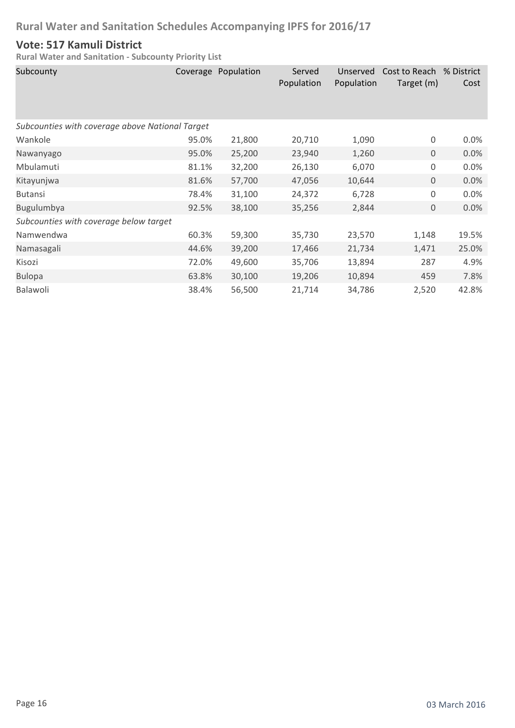### **Vote: 517 Kamuli District**

| Subcounty                                       |       | Coverage Population | Served<br>Population | Unserved<br>Population | Cost to Reach % District<br>Target (m) | Cost  |
|-------------------------------------------------|-------|---------------------|----------------------|------------------------|----------------------------------------|-------|
| Subcounties with coverage above National Target |       |                     |                      |                        |                                        |       |
| Wankole                                         | 95.0% | 21,800              | 20,710               | 1,090                  | 0                                      | 0.0%  |
| Nawanyago                                       | 95.0% | 25,200              | 23,940               | 1,260                  | $\mathbf{0}$                           | 0.0%  |
| Mbulamuti                                       | 81.1% | 32,200              | 26,130               | 6,070                  | $\mathbf 0$                            | 0.0%  |
| Kitayunjwa                                      | 81.6% | 57,700              | 47,056               | 10,644                 | $\overline{0}$                         | 0.0%  |
| <b>Butansi</b>                                  | 78.4% | 31,100              | 24,372               | 6,728                  | 0                                      | 0.0%  |
| Bugulumbya                                      | 92.5% | 38,100              | 35,256               | 2,844                  | $\mathbf 0$                            | 0.0%  |
| Subcounties with coverage below target          |       |                     |                      |                        |                                        |       |
| Namwendwa                                       | 60.3% | 59,300              | 35,730               | 23,570                 | 1,148                                  | 19.5% |
| Namasagali                                      | 44.6% | 39,200              | 17,466               | 21,734                 | 1,471                                  | 25.0% |
| Kisozi                                          | 72.0% | 49,600              | 35,706               | 13,894                 | 287                                    | 4.9%  |
| <b>Bulopa</b>                                   | 63.8% | 30,100              | 19,206               | 10,894                 | 459                                    | 7.8%  |
| Balawoli                                        | 38.4% | 56,500              | 21,714               | 34,786                 | 2,520                                  | 42.8% |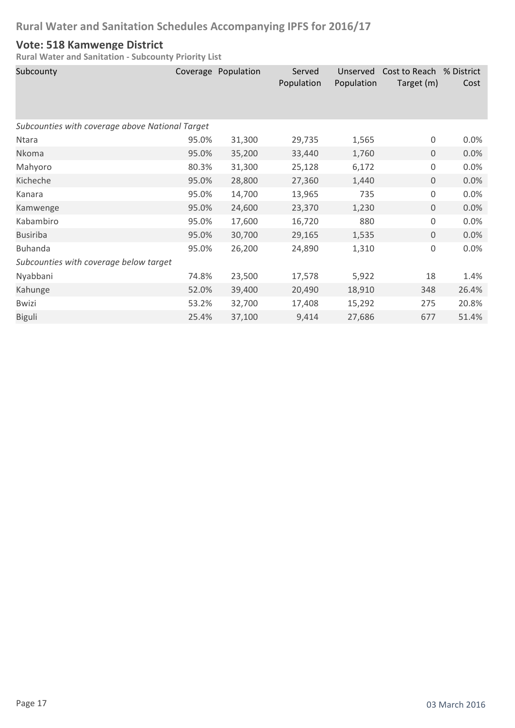### **Vote: 518 Kamwenge District**

| Subcounty                                       |       | Coverage Population | Served<br>Population | Unserved<br>Population | Cost to Reach<br>Target (m) | % District<br>Cost |
|-------------------------------------------------|-------|---------------------|----------------------|------------------------|-----------------------------|--------------------|
| Subcounties with coverage above National Target |       |                     |                      |                        |                             |                    |
| Ntara                                           | 95.0% | 31,300              | 29,735               | 1,565                  | $\boldsymbol{0}$            | 0.0%               |
| Nkoma                                           | 95.0% | 35,200              | 33,440               | 1,760                  | $\boldsymbol{0}$            | 0.0%               |
| Mahyoro                                         | 80.3% | 31,300              | 25,128               | 6,172                  | $\boldsymbol{0}$            | 0.0%               |
| Kicheche                                        | 95.0% | 28,800              | 27,360               | 1,440                  | 0                           | 0.0%               |
| Kanara                                          | 95.0% | 14,700              | 13,965               | 735                    | $\boldsymbol{0}$            | 0.0%               |
| Kamwenge                                        | 95.0% | 24,600              | 23,370               | 1,230                  | $\mathsf{O}\xspace$         | 0.0%               |
| Kabambiro                                       | 95.0% | 17,600              | 16,720               | 880                    | $\boldsymbol{0}$            | 0.0%               |
| <b>Busiriba</b>                                 | 95.0% | 30,700              | 29,165               | 1,535                  | 0                           | 0.0%               |
| <b>Buhanda</b>                                  | 95.0% | 26,200              | 24,890               | 1,310                  | $\boldsymbol{0}$            | 0.0%               |
| Subcounties with coverage below target          |       |                     |                      |                        |                             |                    |
| Nyabbani                                        | 74.8% | 23,500              | 17,578               | 5,922                  | 18                          | 1.4%               |
| Kahunge                                         | 52.0% | 39,400              | 20,490               | 18,910                 | 348                         | 26.4%              |
| <b>Bwizi</b>                                    | 53.2% | 32,700              | 17,408               | 15,292                 | 275                         | 20.8%              |
| <b>Biguli</b>                                   | 25.4% | 37,100              | 9,414                | 27,686                 | 677                         | 51.4%              |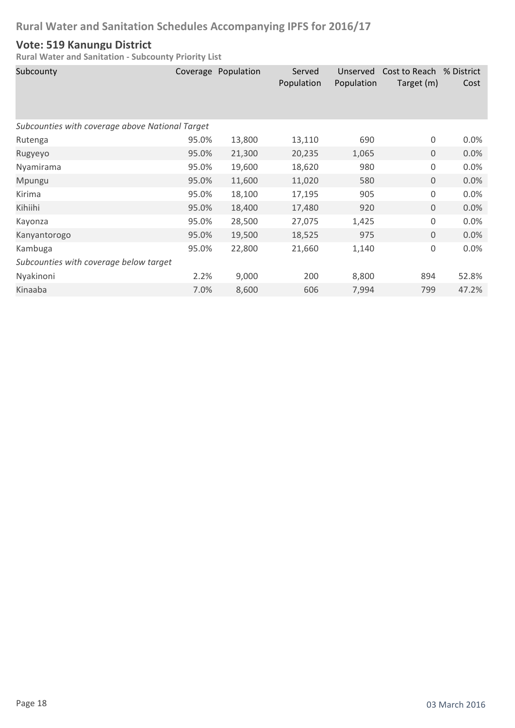### **Vote: 519 Kanungu District**

| Subcounty                                       |       | Coverage Population | Served<br>Population | Unserved<br>Population | Cost to Reach % District<br>Target (m) | Cost  |
|-------------------------------------------------|-------|---------------------|----------------------|------------------------|----------------------------------------|-------|
| Subcounties with coverage above National Target |       |                     |                      |                        |                                        |       |
| Rutenga                                         | 95.0% | 13,800              | 13,110               | 690                    | 0                                      | 0.0%  |
| Rugyeyo                                         | 95.0% | 21,300              | 20,235               | 1,065                  | $\mathbf{0}$                           | 0.0%  |
| Nyamirama                                       | 95.0% | 19,600              | 18,620               | 980                    | $\mathbf 0$                            | 0.0%  |
| Mpungu                                          | 95.0% | 11,600              | 11,020               | 580                    | $\mathbf 0$                            | 0.0%  |
| Kirima                                          | 95.0% | 18,100              | 17,195               | 905                    | 0                                      | 0.0%  |
| Kihiihi                                         | 95.0% | 18,400              | 17,480               | 920                    | $\mathbf 0$                            | 0.0%  |
| Kayonza                                         | 95.0% | 28,500              | 27,075               | 1,425                  | 0                                      | 0.0%  |
| Kanyantorogo                                    | 95.0% | 19,500              | 18,525               | 975                    | $\mathbf 0$                            | 0.0%  |
| Kambuga                                         | 95.0% | 22,800              | 21,660               | 1,140                  | $\mathsf 0$                            | 0.0%  |
| Subcounties with coverage below target          |       |                     |                      |                        |                                        |       |
| Nyakinoni                                       | 2.2%  | 9,000               | 200                  | 8,800                  | 894                                    | 52.8% |
| Kinaaba                                         | 7.0%  | 8,600               | 606                  | 7,994                  | 799                                    | 47.2% |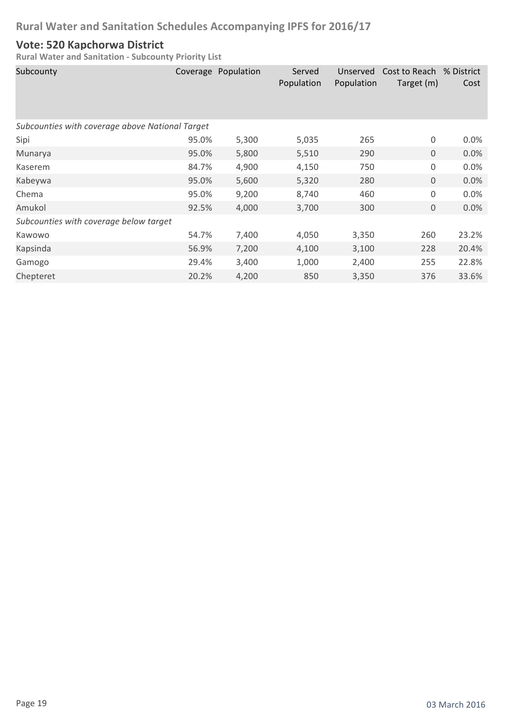### **Vote: 520 Kapchorwa District**

| Subcounty                                       |       | Coverage Population | Served<br>Population | Unserved<br>Population | Cost to Reach<br>Target (m) | % District<br>Cost |  |
|-------------------------------------------------|-------|---------------------|----------------------|------------------------|-----------------------------|--------------------|--|
| Subcounties with coverage above National Target |       |                     |                      |                        |                             |                    |  |
| Sipi                                            | 95.0% | 5,300               | 5,035                | 265                    | $\boldsymbol{0}$            | 0.0%               |  |
| Munarya                                         | 95.0% | 5,800               | 5,510                | 290                    | $\mathbf{0}$                | 0.0%               |  |
| Kaserem                                         | 84.7% | 4,900               | 4,150                | 750                    | $\mathbf 0$                 | 0.0%               |  |
| Kabeywa                                         | 95.0% | 5,600               | 5,320                | 280                    | $\mathbf{0}$                | 0.0%               |  |
| Chema                                           | 95.0% | 9,200               | 8,740                | 460                    | $\mathbf 0$                 | 0.0%               |  |
| Amukol                                          | 92.5% | 4,000               | 3,700                | 300                    | $\boldsymbol{0}$            | 0.0%               |  |
| Subcounties with coverage below target          |       |                     |                      |                        |                             |                    |  |
| Kawowo                                          | 54.7% | 7,400               | 4,050                | 3,350                  | 260                         | 23.2%              |  |
| Kapsinda                                        | 56.9% | 7,200               | 4,100                | 3,100                  | 228                         | 20.4%              |  |
| Gamogo                                          | 29.4% | 3,400               | 1,000                | 2,400                  | 255                         | 22.8%              |  |
| Chepteret                                       | 20.2% | 4,200               | 850                  | 3,350                  | 376                         | 33.6%              |  |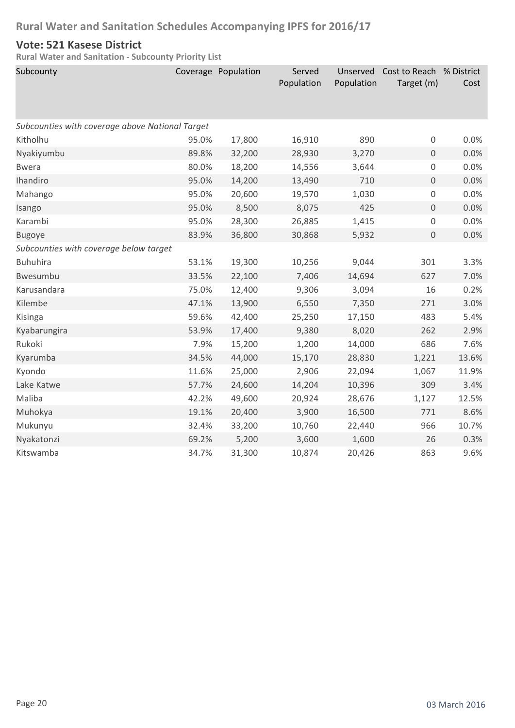### **Vote: 521 Kasese District**

| Subcounty                                       |       | Coverage Population | Served<br>Population | Unserved<br>Population | Cost to Reach % District<br>Target (m) | Cost  |  |  |  |
|-------------------------------------------------|-------|---------------------|----------------------|------------------------|----------------------------------------|-------|--|--|--|
|                                                 |       |                     |                      |                        |                                        |       |  |  |  |
| Subcounties with coverage above National Target |       |                     |                      |                        |                                        |       |  |  |  |
| Kitholhu                                        | 95.0% | 17,800              | 16,910               | 890                    | $\mathsf{O}\xspace$                    | 0.0%  |  |  |  |
| Nyakiyumbu                                      | 89.8% | 32,200              | 28,930               | 3,270                  | $\mathsf{O}\xspace$                    | 0.0%  |  |  |  |
| <b>Bwera</b>                                    | 80.0% | 18,200              | 14,556               | 3,644                  | $\boldsymbol{0}$                       | 0.0%  |  |  |  |
| Ihandiro                                        | 95.0% | 14,200              | 13,490               | 710                    | $\mathsf{O}\xspace$                    | 0.0%  |  |  |  |
| Mahango                                         | 95.0% | 20,600              | 19,570               | 1,030                  | $\mathbf 0$                            | 0.0%  |  |  |  |
| Isango                                          | 95.0% | 8,500               | 8,075                | 425                    | $\boldsymbol{0}$                       | 0.0%  |  |  |  |
| Karambi                                         | 95.0% | 28,300              | 26,885               | 1,415                  | $\mathbf 0$                            | 0.0%  |  |  |  |
| <b>Bugoye</b>                                   | 83.9% | 36,800              | 30,868               | 5,932                  | $\mathsf{O}\xspace$                    | 0.0%  |  |  |  |
| Subcounties with coverage below target          |       |                     |                      |                        |                                        |       |  |  |  |
| <b>Buhuhira</b>                                 | 53.1% | 19,300              | 10,256               | 9,044                  | 301                                    | 3.3%  |  |  |  |
| Bwesumbu                                        | 33.5% | 22,100              | 7,406                | 14,694                 | 627                                    | 7.0%  |  |  |  |
| Karusandara                                     | 75.0% | 12,400              | 9,306                | 3,094                  | 16                                     | 0.2%  |  |  |  |
| Kilembe                                         | 47.1% | 13,900              | 6,550                | 7,350                  | 271                                    | 3.0%  |  |  |  |
| Kisinga                                         | 59.6% | 42,400              | 25,250               | 17,150                 | 483                                    | 5.4%  |  |  |  |
| Kyabarungira                                    | 53.9% | 17,400              | 9,380                | 8,020                  | 262                                    | 2.9%  |  |  |  |
| Rukoki                                          | 7.9%  | 15,200              | 1,200                | 14,000                 | 686                                    | 7.6%  |  |  |  |
| Kyarumba                                        | 34.5% | 44,000              | 15,170               | 28,830                 | 1,221                                  | 13.6% |  |  |  |
| Kyondo                                          | 11.6% | 25,000              | 2,906                | 22,094                 | 1,067                                  | 11.9% |  |  |  |
| Lake Katwe                                      | 57.7% | 24,600              | 14,204               | 10,396                 | 309                                    | 3.4%  |  |  |  |
| Maliba                                          | 42.2% | 49,600              | 20,924               | 28,676                 | 1,127                                  | 12.5% |  |  |  |
| Muhokya                                         | 19.1% | 20,400              | 3,900                | 16,500                 | 771                                    | 8.6%  |  |  |  |
| Mukunyu                                         | 32.4% | 33,200              | 10,760               | 22,440                 | 966                                    | 10.7% |  |  |  |
| Nyakatonzi                                      | 69.2% | 5,200               | 3,600                | 1,600                  | 26                                     | 0.3%  |  |  |  |
| Kitswamba                                       | 34.7% | 31,300              | 10,874               | 20,426                 | 863                                    | 9.6%  |  |  |  |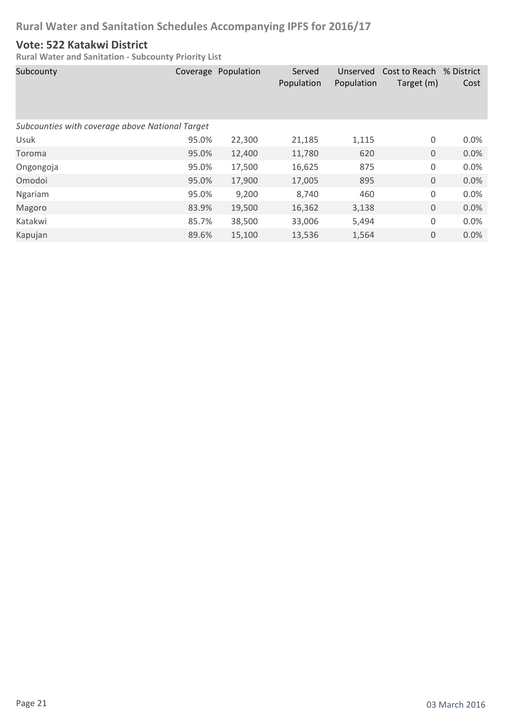### **Vote: 522 Katakwi District**

| Subcounty                                       |       | Coverage Population | Served<br>Population | Unserved<br>Population | Cost to Reach % District<br>Target (m) | Cost |
|-------------------------------------------------|-------|---------------------|----------------------|------------------------|----------------------------------------|------|
| Subcounties with coverage above National Target |       |                     |                      |                        |                                        |      |
| Usuk                                            | 95.0% | 22,300              | 21,185               | 1,115                  | 0                                      | 0.0% |
| Toroma                                          | 95.0% | 12,400              | 11,780               | 620                    | $\mathbf 0$                            | 0.0% |
| Ongongoja                                       | 95.0% | 17,500              | 16,625               | 875                    | 0                                      | 0.0% |
| Omodoi                                          | 95.0% | 17,900              | 17,005               | 895                    | $\mathbf 0$                            | 0.0% |
| Ngariam                                         | 95.0% | 9,200               | 8,740                | 460                    | 0                                      | 0.0% |
| Magoro                                          | 83.9% | 19,500              | 16,362               | 3,138                  | $\boldsymbol{0}$                       | 0.0% |
| Katakwi                                         | 85.7% | 38,500              | 33,006               | 5,494                  | 0                                      | 0.0% |
| Kapujan                                         | 89.6% | 15,100              | 13,536               | 1,564                  | $\mathbf 0$                            | 0.0% |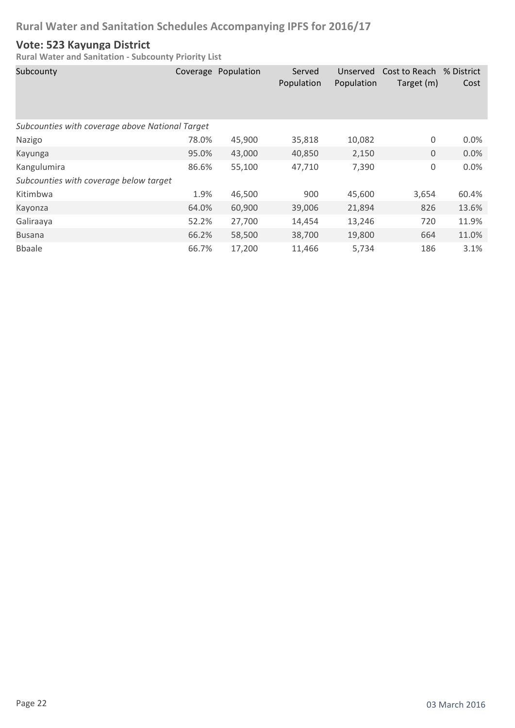### **Vote: 523 Kayunga District**

| Subcounty                                       |       | Coverage Population | Served<br>Population | Unserved<br>Population | Cost to Reach % District<br>Target (m) | Cost  |
|-------------------------------------------------|-------|---------------------|----------------------|------------------------|----------------------------------------|-------|
| Subcounties with coverage above National Target |       |                     |                      |                        |                                        |       |
| Nazigo                                          | 78.0% | 45,900              | 35,818               | 10,082                 | 0                                      | 0.0%  |
| Kayunga                                         | 95.0% | 43,000              | 40,850               | 2,150                  | $\mathbf{0}$                           | 0.0%  |
| Kangulumira                                     | 86.6% | 55,100              | 47,710               | 7,390                  | 0                                      | 0.0%  |
| Subcounties with coverage below target          |       |                     |                      |                        |                                        |       |
| Kitimbwa                                        | 1.9%  | 46,500              | 900                  | 45,600                 | 3,654                                  | 60.4% |
| Kayonza                                         | 64.0% | 60,900              | 39,006               | 21,894                 | 826                                    | 13.6% |
| Galiraaya                                       | 52.2% | 27,700              | 14,454               | 13,246                 | 720                                    | 11.9% |
| <b>Busana</b>                                   | 66.2% | 58,500              | 38,700               | 19,800                 | 664                                    | 11.0% |
| <b>B</b> baale                                  | 66.7% | 17,200              | 11,466               | 5,734                  | 186                                    | 3.1%  |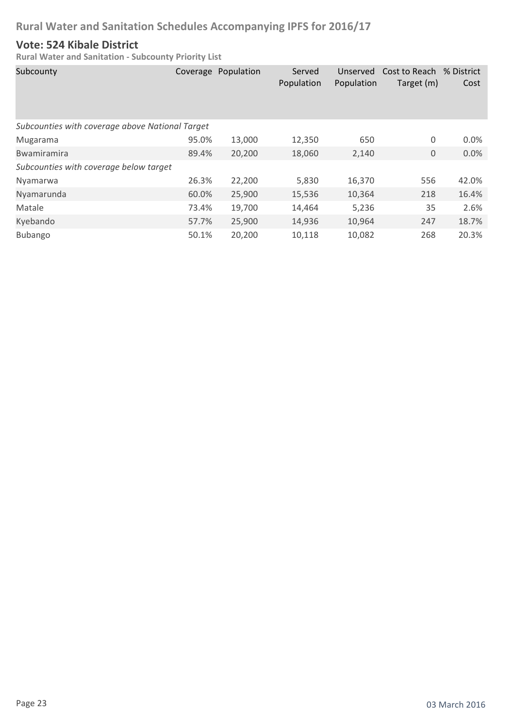### **Vote: 524 Kibale District**

| Subcounty                                       |       | Coverage Population | Served<br>Population | Unserved<br>Population | Cost to Reach<br>Target (m) | % District<br>Cost |
|-------------------------------------------------|-------|---------------------|----------------------|------------------------|-----------------------------|--------------------|
| Subcounties with coverage above National Target |       |                     |                      |                        |                             |                    |
| Mugarama                                        | 95.0% | 13,000              | 12,350               | 650                    | 0                           | 0.0%               |
| <b>Bwamiramira</b>                              | 89.4% | 20,200              | 18,060               | 2,140                  | 0                           | 0.0%               |
| Subcounties with coverage below target          |       |                     |                      |                        |                             |                    |
| Nyamarwa                                        | 26.3% | 22,200              | 5,830                | 16,370                 | 556                         | 42.0%              |
| Nyamarunda                                      | 60.0% | 25,900              | 15,536               | 10,364                 | 218                         | 16.4%              |
| Matale                                          | 73.4% | 19,700              | 14,464               | 5,236                  | 35                          | 2.6%               |
| Kyebando                                        | 57.7% | 25,900              | 14,936               | 10,964                 | 247                         | 18.7%              |
| Bubango                                         | 50.1% | 20,200              | 10,118               | 10,082                 | 268                         | 20.3%              |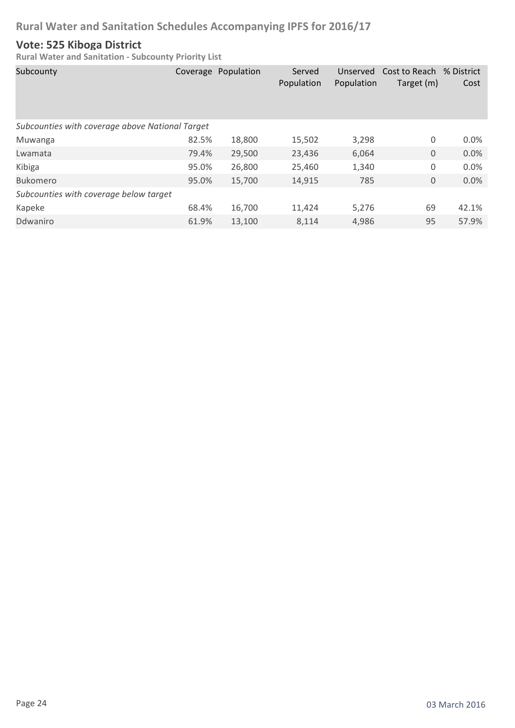### **Vote: 525 Kiboga District**

| Subcounty                                       |       | Coverage Population | Served<br>Population | Unserved<br>Population | Cost to Reach<br>Target (m) | % District<br>Cost |
|-------------------------------------------------|-------|---------------------|----------------------|------------------------|-----------------------------|--------------------|
| Subcounties with coverage above National Target |       |                     |                      |                        |                             |                    |
| Muwanga                                         | 82.5% | 18,800              | 15,502               | 3,298                  | 0                           | 0.0%               |
| Lwamata                                         | 79.4% | 29,500              | 23,436               | 6,064                  | 0                           | 0.0%               |
| Kibiga                                          | 95.0% | 26,800              | 25,460               | 1,340                  | 0                           | 0.0%               |
| <b>Bukomero</b>                                 | 95.0% | 15,700              | 14,915               | 785                    | 0                           | 0.0%               |
| Subcounties with coverage below target          |       |                     |                      |                        |                             |                    |
| Kapeke                                          | 68.4% | 16,700              | 11,424               | 5,276                  | 69                          | 42.1%              |
| Ddwaniro                                        | 61.9% | 13,100              | 8,114                | 4,986                  | 95                          | 57.9%              |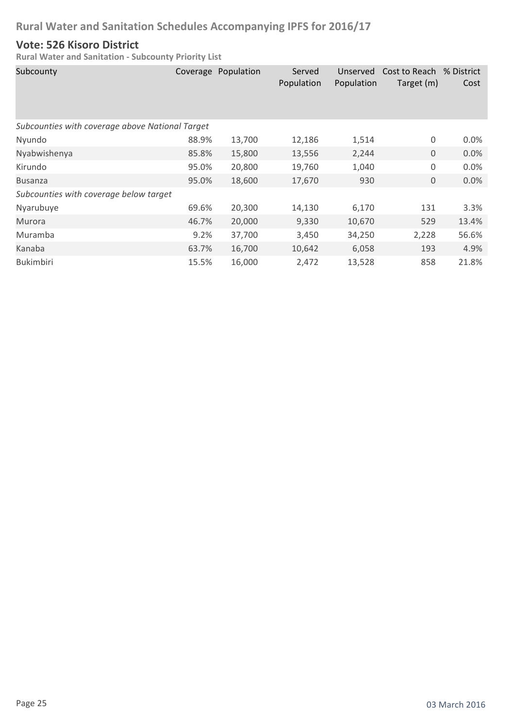### **Vote: 526 Kisoro District**

| Subcounty                                       |       | Coverage Population | Served<br>Population | Unserved<br>Population | Cost to Reach % District<br>Target (m) | Cost    |  |  |
|-------------------------------------------------|-------|---------------------|----------------------|------------------------|----------------------------------------|---------|--|--|
| Subcounties with coverage above National Target |       |                     |                      |                        |                                        |         |  |  |
| Nyundo                                          | 88.9% | 13,700              | 12,186               | 1,514                  | 0                                      | $0.0\%$ |  |  |
| Nyabwishenya                                    | 85.8% | 15,800              | 13,556               | 2,244                  | $\mathbf 0$                            | 0.0%    |  |  |
| Kirundo                                         | 95.0% | 20,800              | 19,760               | 1,040                  | 0                                      | 0.0%    |  |  |
| <b>Busanza</b>                                  | 95.0% | 18,600              | 17,670               | 930                    | $\mathbf 0$                            | 0.0%    |  |  |
| Subcounties with coverage below target          |       |                     |                      |                        |                                        |         |  |  |
| Nyarubuye                                       | 69.6% | 20,300              | 14,130               | 6,170                  | 131                                    | 3.3%    |  |  |
| Murora                                          | 46.7% | 20,000              | 9,330                | 10,670                 | 529                                    | 13.4%   |  |  |
| Muramba                                         | 9.2%  | 37,700              | 3,450                | 34,250                 | 2,228                                  | 56.6%   |  |  |
| Kanaba                                          | 63.7% | 16,700              | 10,642               | 6,058                  | 193                                    | 4.9%    |  |  |
| <b>Bukimbiri</b>                                | 15.5% | 16,000              | 2,472                | 13,528                 | 858                                    | 21.8%   |  |  |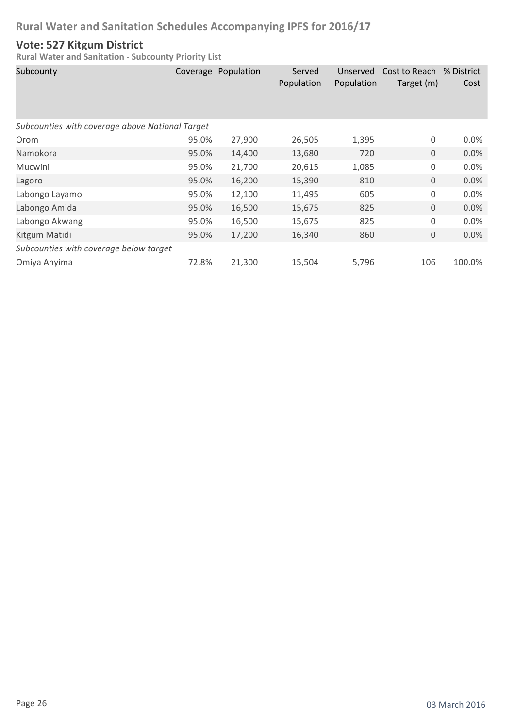### **Vote: 527 Kitgum District**

| Subcounty                                       |       | Coverage Population | Served<br>Population | Unserved<br>Population | Cost to Reach % District<br>Target (m) | Cost    |  |  |
|-------------------------------------------------|-------|---------------------|----------------------|------------------------|----------------------------------------|---------|--|--|
| Subcounties with coverage above National Target |       |                     |                      |                        |                                        |         |  |  |
| Orom                                            | 95.0% | 27,900              | 26,505               | 1,395                  | 0                                      | $0.0\%$ |  |  |
| Namokora                                        | 95.0% | 14,400              | 13,680               | 720                    | $\mathbf 0$                            | 0.0%    |  |  |
| Mucwini                                         | 95.0% | 21,700              | 20,615               | 1,085                  | $\mathsf 0$                            | 0.0%    |  |  |
| Lagoro                                          | 95.0% | 16,200              | 15,390               | 810                    | $\mathbf 0$                            | 0.0%    |  |  |
| Labongo Layamo                                  | 95.0% | 12,100              | 11,495               | 605                    | 0                                      | 0.0%    |  |  |
| Labongo Amida                                   | 95.0% | 16,500              | 15,675               | 825                    | $\mathbf 0$                            | 0.0%    |  |  |
| Labongo Akwang                                  | 95.0% | 16,500              | 15,675               | 825                    | 0                                      | 0.0%    |  |  |
| Kitgum Matidi                                   | 95.0% | 17,200              | 16,340               | 860                    | 0                                      | 0.0%    |  |  |
| Subcounties with coverage below target          |       |                     |                      |                        |                                        |         |  |  |
| Omiya Anyima                                    | 72.8% | 21,300              | 15,504               | 5,796                  | 106                                    | 100.0%  |  |  |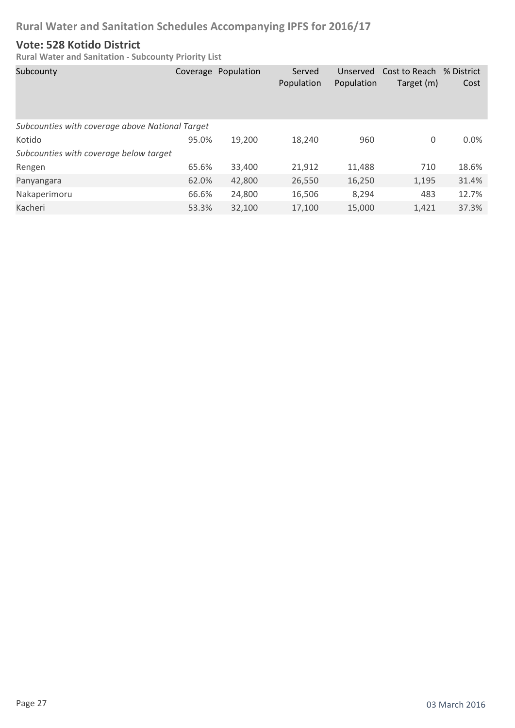### **Vote: 528 Kotido District**

| Subcounty                                       |       | Coverage Population | Served<br>Population | Unserved<br>Population | Cost to Reach % District<br>Target (m) | Cost  |
|-------------------------------------------------|-------|---------------------|----------------------|------------------------|----------------------------------------|-------|
| Subcounties with coverage above National Target |       |                     |                      |                        |                                        |       |
| Kotido                                          | 95.0% | 19,200              | 18,240               | 960                    | 0                                      | 0.0%  |
| Subcounties with coverage below target          |       |                     |                      |                        |                                        |       |
| Rengen                                          | 65.6% | 33,400              | 21,912               | 11,488                 | 710                                    | 18.6% |
| Panyangara                                      | 62.0% | 42,800              | 26,550               | 16,250                 | 1,195                                  | 31.4% |
| Nakaperimoru                                    | 66.6% | 24,800              | 16,506               | 8,294                  | 483                                    | 12.7% |
| Kacheri                                         | 53.3% | 32,100              | 17,100               | 15,000                 | 1,421                                  | 37.3% |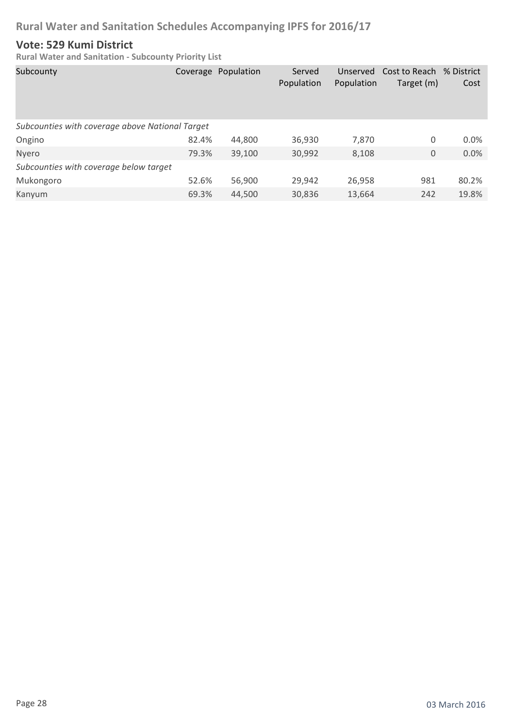### **Vote: 529 Kumi District**

| Subcounty                                       |       | Coverage Population | Served<br>Population | Unserved<br>Population | Cost to Reach<br>Target (m) | % District<br>Cost |
|-------------------------------------------------|-------|---------------------|----------------------|------------------------|-----------------------------|--------------------|
| Subcounties with coverage above National Target |       |                     |                      |                        |                             |                    |
| Ongino                                          | 82.4% | 44,800              | 36,930               | 7,870                  | 0                           | 0.0%               |
| Nyero                                           | 79.3% | 39,100              | 30,992               | 8,108                  | $\mathbf{0}$                | 0.0%               |
| Subcounties with coverage below target          |       |                     |                      |                        |                             |                    |
| Mukongoro                                       | 52.6% | 56,900              | 29,942               | 26,958                 | 981                         | 80.2%              |
| Kanyum                                          | 69.3% | 44,500              | 30,836               | 13,664                 | 242                         | 19.8%              |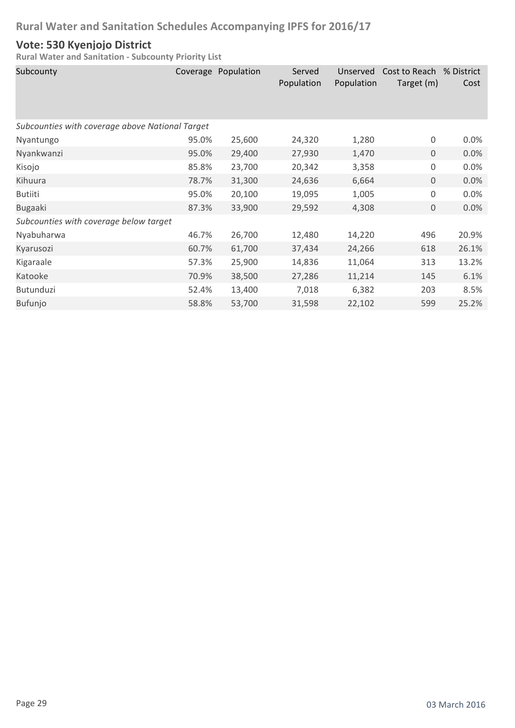### **Vote: 530 Kyenjojo District**

| Subcounty                                       |       | Coverage Population | Served<br>Population | Unserved<br>Population | Cost to Reach<br>Target (m) | % District<br>Cost |
|-------------------------------------------------|-------|---------------------|----------------------|------------------------|-----------------------------|--------------------|
| Subcounties with coverage above National Target |       |                     |                      |                        |                             |                    |
| Nyantungo                                       | 95.0% | 25,600              | 24,320               | 1,280                  | 0                           | 0.0%               |
| Nyankwanzi                                      | 95.0% | 29,400              | 27,930               | 1,470                  | $\mathbf 0$                 | 0.0%               |
| Kisojo                                          | 85.8% | 23,700              | 20,342               | 3,358                  | $\mathsf 0$                 | 0.0%               |
| Kihuura                                         | 78.7% | 31,300              | 24,636               | 6,664                  | 0                           | 0.0%               |
| <b>Butiiti</b>                                  | 95.0% | 20,100              | 19,095               | 1,005                  | 0                           | 0.0%               |
| <b>Bugaaki</b>                                  | 87.3% | 33,900              | 29,592               | 4,308                  | $\mathbf 0$                 | 0.0%               |
| Subcounties with coverage below target          |       |                     |                      |                        |                             |                    |
| Nyabuharwa                                      | 46.7% | 26,700              | 12,480               | 14,220                 | 496                         | 20.9%              |
| Kyarusozi                                       | 60.7% | 61,700              | 37,434               | 24,266                 | 618                         | 26.1%              |
| Kigaraale                                       | 57.3% | 25,900              | 14,836               | 11,064                 | 313                         | 13.2%              |
| Katooke                                         | 70.9% | 38,500              | 27,286               | 11,214                 | 145                         | 6.1%               |
| Butunduzi                                       | 52.4% | 13,400              | 7,018                | 6,382                  | 203                         | 8.5%               |
| Bufunjo                                         | 58.8% | 53,700              | 31,598               | 22,102                 | 599                         | 25.2%              |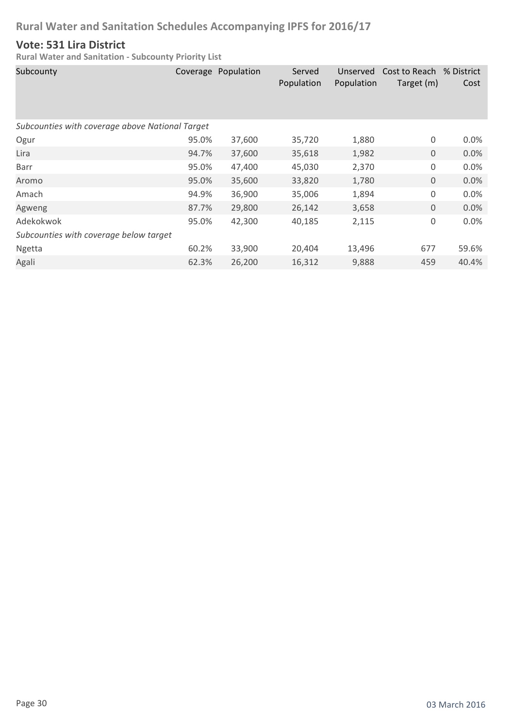### **Vote: 531 Lira District**

| Subcounty                                       |       | Coverage Population | Served<br>Population | Unserved<br>Population | Cost to Reach % District<br>Target (m) | Cost    |
|-------------------------------------------------|-------|---------------------|----------------------|------------------------|----------------------------------------|---------|
| Subcounties with coverage above National Target |       |                     |                      |                        |                                        |         |
| Ogur                                            | 95.0% | 37,600              | 35,720               | 1,880                  | 0                                      | $0.0\%$ |
| Lira                                            | 94.7% | 37,600              | 35,618               | 1,982                  | $\mathbf 0$                            | 0.0%    |
| Barr                                            | 95.0% | 47,400              | 45,030               | 2,370                  | 0                                      | 0.0%    |
| Aromo                                           | 95.0% | 35,600              | 33,820               | 1,780                  | $\mathbf 0$                            | 0.0%    |
| Amach                                           | 94.9% | 36,900              | 35,006               | 1,894                  | $\mathsf 0$                            | 0.0%    |
| Agweng                                          | 87.7% | 29,800              | 26,142               | 3,658                  | $\mathbf 0$                            | 0.0%    |
| Adekokwok                                       | 95.0% | 42,300              | 40,185               | 2,115                  | $\mathsf 0$                            | 0.0%    |
| Subcounties with coverage below target          |       |                     |                      |                        |                                        |         |
| Ngetta                                          | 60.2% | 33,900              | 20,404               | 13,496                 | 677                                    | 59.6%   |
| Agali                                           | 62.3% | 26,200              | 16,312               | 9,888                  | 459                                    | 40.4%   |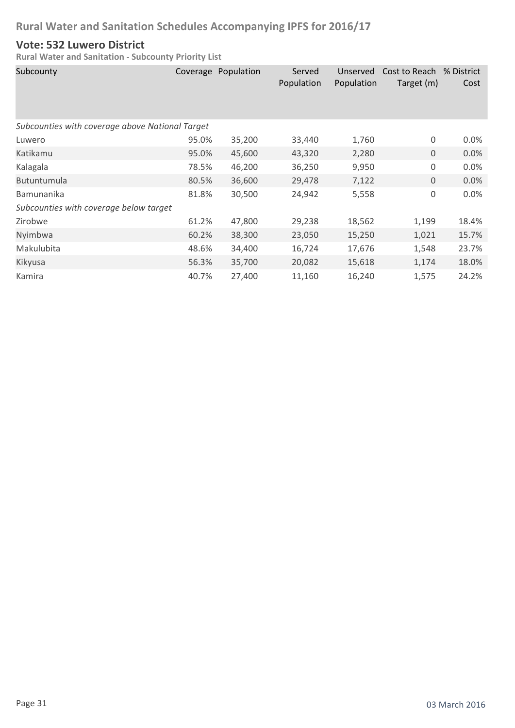### **Vote: 532 Luwero District**

| Subcounty                                       |       | Coverage Population | Served<br>Population | Unserved<br>Population | Cost to Reach % District<br>Target (m) | Cost  |
|-------------------------------------------------|-------|---------------------|----------------------|------------------------|----------------------------------------|-------|
| Subcounties with coverage above National Target |       |                     |                      |                        |                                        |       |
| Luwero                                          | 95.0% | 35,200              | 33,440               | 1,760                  | 0                                      | 0.0%  |
| Katikamu                                        | 95.0% | 45,600              | 43,320               | 2,280                  | $\mathbf 0$                            | 0.0%  |
| Kalagala                                        | 78.5% | 46,200              | 36,250               | 9,950                  | 0                                      | 0.0%  |
| <b>Butuntumula</b>                              | 80.5% | 36,600              | 29,478               | 7,122                  | $\mathbf 0$                            | 0.0%  |
| Bamunanika                                      | 81.8% | 30,500              | 24,942               | 5,558                  | $\mathbf 0$                            | 0.0%  |
| Subcounties with coverage below target          |       |                     |                      |                        |                                        |       |
| Zirobwe                                         | 61.2% | 47,800              | 29,238               | 18,562                 | 1,199                                  | 18.4% |
| Nyimbwa                                         | 60.2% | 38,300              | 23,050               | 15,250                 | 1,021                                  | 15.7% |
| Makulubita                                      | 48.6% | 34,400              | 16,724               | 17,676                 | 1,548                                  | 23.7% |
| Kikyusa                                         | 56.3% | 35,700              | 20,082               | 15,618                 | 1,174                                  | 18.0% |
| Kamira                                          | 40.7% | 27,400              | 11,160               | 16,240                 | 1,575                                  | 24.2% |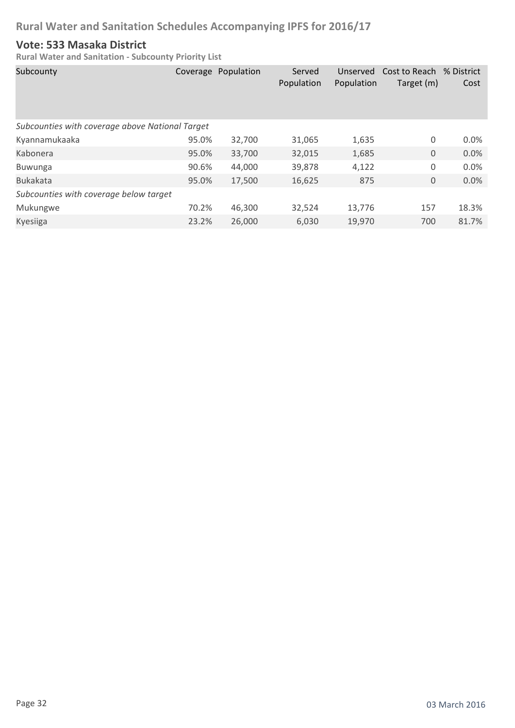### **Vote: 533 Masaka District**

| Subcounty                                       |       | Coverage Population | Served<br>Population | Unserved<br>Population | Cost to Reach % District<br>Target (m) | Cost  |
|-------------------------------------------------|-------|---------------------|----------------------|------------------------|----------------------------------------|-------|
| Subcounties with coverage above National Target |       |                     |                      |                        |                                        |       |
| Kyannamukaaka                                   | 95.0% | 32,700              | 31,065               | 1,635                  | 0                                      | 0.0%  |
| Kabonera                                        | 95.0% | 33,700              | 32,015               | 1,685                  | $\mathbf 0$                            | 0.0%  |
| <b>Buwunga</b>                                  | 90.6% | 44,000              | 39,878               | 4,122                  | 0                                      | 0.0%  |
| <b>Bukakata</b>                                 | 95.0% | 17,500              | 16,625               | 875                    | $\mathbf 0$                            | 0.0%  |
| Subcounties with coverage below target          |       |                     |                      |                        |                                        |       |
| Mukungwe                                        | 70.2% | 46,300              | 32,524               | 13,776                 | 157                                    | 18.3% |
| <b>Kyesiiga</b>                                 | 23.2% | 26,000              | 6,030                | 19,970                 | 700                                    | 81.7% |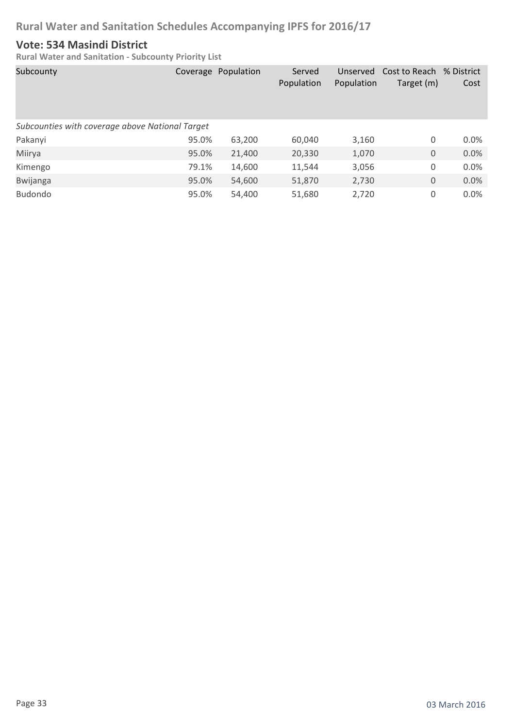### **Vote: 534 Masindi District**

| Subcounty                                       |       | Coverage Population | Served<br>Population | Unserved<br>Population | Cost to Reach % District<br>Target (m) | Cost    |
|-------------------------------------------------|-------|---------------------|----------------------|------------------------|----------------------------------------|---------|
| Subcounties with coverage above National Target |       |                     |                      |                        |                                        |         |
| Pakanyi                                         | 95.0% | 63,200              | 60,040               | 3,160                  | 0                                      | $0.0\%$ |
| Miirya                                          | 95.0% | 21,400              | 20,330               | 1,070                  | 0                                      | 0.0%    |
| Kimengo                                         | 79.1% | 14,600              | 11,544               | 3,056                  | 0                                      | 0.0%    |
| <b>Bwijanga</b>                                 | 95.0% | 54,600              | 51,870               | 2,730                  | 0                                      | 0.0%    |
| <b>Budondo</b>                                  | 95.0% | 54,400              | 51,680               | 2,720                  | 0                                      | 0.0%    |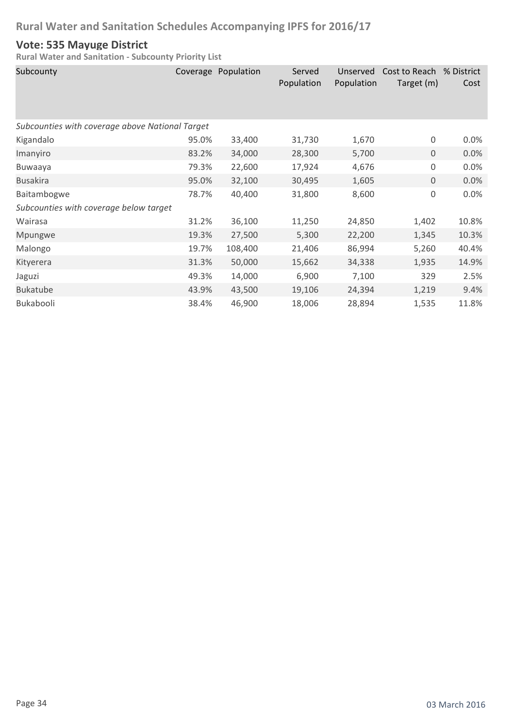### **Vote: 535 Mayuge District**

| Subcounty                                       |       | Coverage Population | Served<br>Population | Unserved<br>Population | Cost to Reach<br>Target (m) | % District<br>Cost |
|-------------------------------------------------|-------|---------------------|----------------------|------------------------|-----------------------------|--------------------|
| Subcounties with coverage above National Target |       |                     |                      |                        |                             |                    |
| Kigandalo                                       | 95.0% | 33,400              | 31,730               | 1,670                  | $\boldsymbol{0}$            | 0.0%               |
| Imanyiro                                        | 83.2% | 34,000              | 28,300               | 5,700                  | $\mathbf 0$                 | 0.0%               |
| Buwaaya                                         | 79.3% | 22,600              | 17,924               | 4,676                  | $\mathsf 0$                 | 0.0%               |
| <b>Busakira</b>                                 | 95.0% | 32,100              | 30,495               | 1,605                  | $\mathbf 0$                 | 0.0%               |
| Baitambogwe                                     | 78.7% | 40,400              | 31,800               | 8,600                  | $\mathsf 0$                 | 0.0%               |
| Subcounties with coverage below target          |       |                     |                      |                        |                             |                    |
| Wairasa                                         | 31.2% | 36,100              | 11,250               | 24,850                 | 1,402                       | 10.8%              |
| Mpungwe                                         | 19.3% | 27,500              | 5,300                | 22,200                 | 1,345                       | 10.3%              |
| Malongo                                         | 19.7% | 108,400             | 21,406               | 86,994                 | 5,260                       | 40.4%              |
| Kityerera                                       | 31.3% | 50,000              | 15,662               | 34,338                 | 1,935                       | 14.9%              |
| Jaguzi                                          | 49.3% | 14,000              | 6,900                | 7,100                  | 329                         | 2.5%               |
| <b>Bukatube</b>                                 | 43.9% | 43,500              | 19,106               | 24,394                 | 1,219                       | 9.4%               |
| Bukabooli                                       | 38.4% | 46,900              | 18,006               | 28,894                 | 1,535                       | 11.8%              |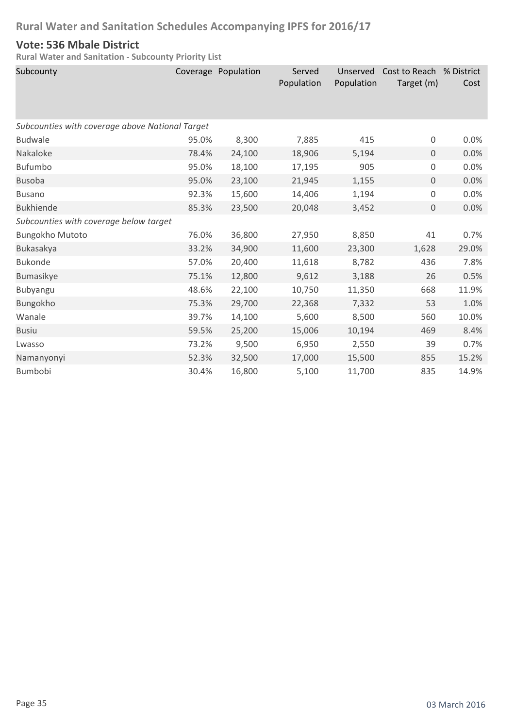### **Vote: 536 Mbale District**

| Subcounty                                       |       | Coverage Population | Served<br>Population | Unserved<br>Population | Cost to Reach % District<br>Target (m) | Cost  |
|-------------------------------------------------|-------|---------------------|----------------------|------------------------|----------------------------------------|-------|
| Subcounties with coverage above National Target |       |                     |                      |                        |                                        |       |
| <b>Budwale</b>                                  | 95.0% | 8,300               | 7,885                | 415                    | 0                                      | 0.0%  |
| Nakaloke                                        | 78.4% | 24,100              | 18,906               | 5,194                  | 0                                      | 0.0%  |
| Bufumbo                                         | 95.0% | 18,100              | 17,195               | 905                    | 0                                      | 0.0%  |
| <b>Busoba</b>                                   | 95.0% | 23,100              | 21,945               | 1,155                  | $\mathbf 0$                            | 0.0%  |
| <b>Busano</b>                                   | 92.3% | 15,600              | 14,406               | 1,194                  | 0                                      | 0.0%  |
| <b>Bukhiende</b>                                | 85.3% | 23,500              | 20,048               | 3,452                  | $\mathbf 0$                            | 0.0%  |
| Subcounties with coverage below target          |       |                     |                      |                        |                                        |       |
| Bungokho Mutoto                                 | 76.0% | 36,800              | 27,950               | 8,850                  | 41                                     | 0.7%  |
| Bukasakya                                       | 33.2% | 34,900              | 11,600               | 23,300                 | 1,628                                  | 29.0% |
| <b>Bukonde</b>                                  | 57.0% | 20,400              | 11,618               | 8,782                  | 436                                    | 7.8%  |
| Bumasikye                                       | 75.1% | 12,800              | 9,612                | 3,188                  | 26                                     | 0.5%  |
| Bubyangu                                        | 48.6% | 22,100              | 10,750               | 11,350                 | 668                                    | 11.9% |
| Bungokho                                        | 75.3% | 29,700              | 22,368               | 7,332                  | 53                                     | 1.0%  |
| Wanale                                          | 39.7% | 14,100              | 5,600                | 8,500                  | 560                                    | 10.0% |
| <b>Busiu</b>                                    | 59.5% | 25,200              | 15,006               | 10,194                 | 469                                    | 8.4%  |
| Lwasso                                          | 73.2% | 9,500               | 6,950                | 2,550                  | 39                                     | 0.7%  |
| Namanyonyi                                      | 52.3% | 32,500              | 17,000               | 15,500                 | 855                                    | 15.2% |
| <b>Bumbobi</b>                                  | 30.4% | 16,800              | 5,100                | 11,700                 | 835                                    | 14.9% |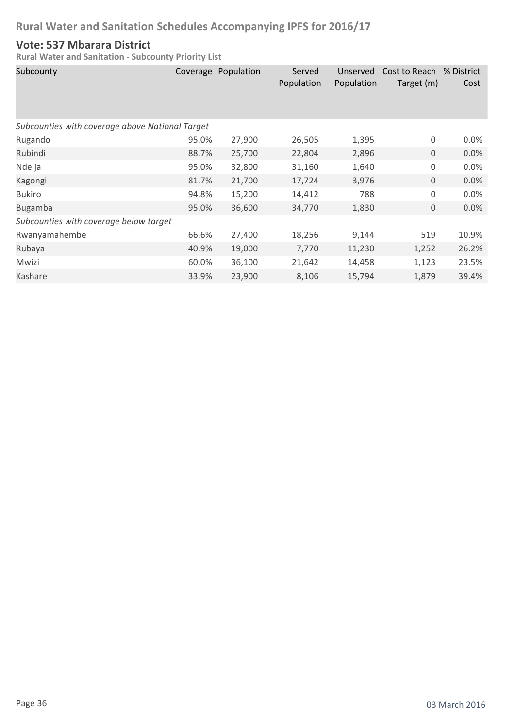### **Vote: 537 Mbarara District**

| Subcounty                                       |       | Coverage Population | Served<br>Population | Unserved<br>Population | Cost to Reach<br>Target (m) | % District<br>Cost |
|-------------------------------------------------|-------|---------------------|----------------------|------------------------|-----------------------------|--------------------|
| Subcounties with coverage above National Target |       |                     |                      |                        |                             |                    |
| Rugando                                         | 95.0% | 27,900              | 26,505               | 1,395                  | 0                           | 0.0%               |
| Rubindi                                         | 88.7% | 25,700              | 22,804               | 2,896                  | $\mathbf 0$                 | 0.0%               |
| Ndeija                                          | 95.0% | 32,800              | 31,160               | 1,640                  | $\boldsymbol{0}$            | 0.0%               |
| Kagongi                                         | 81.7% | 21,700              | 17,724               | 3,976                  | $\mathbf 0$                 | 0.0%               |
| <b>Bukiro</b>                                   | 94.8% | 15,200              | 14,412               | 788                    | $\mathbf 0$                 | 0.0%               |
| <b>Bugamba</b>                                  | 95.0% | 36,600              | 34,770               | 1,830                  | $\boldsymbol{0}$            | 0.0%               |
| Subcounties with coverage below target          |       |                     |                      |                        |                             |                    |
| Rwanyamahembe                                   | 66.6% | 27,400              | 18,256               | 9,144                  | 519                         | 10.9%              |
| Rubaya                                          | 40.9% | 19,000              | 7,770                | 11,230                 | 1,252                       | 26.2%              |
| Mwizi                                           | 60.0% | 36,100              | 21,642               | 14,458                 | 1,123                       | 23.5%              |
| Kashare                                         | 33.9% | 23,900              | 8,106                | 15,794                 | 1,879                       | 39.4%              |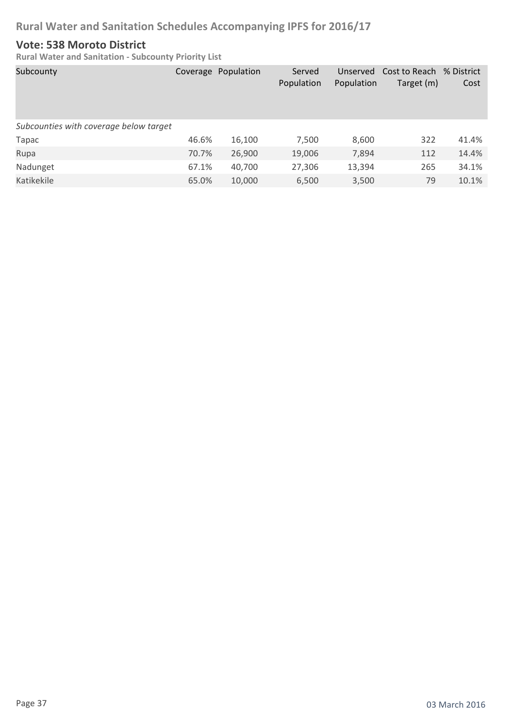#### **Vote: 538 Moroto District**

| Subcounty                              |       | Coverage Population | Served<br>Population | Unserved<br>Population | Cost to Reach % District<br>Target (m) | Cost  |
|----------------------------------------|-------|---------------------|----------------------|------------------------|----------------------------------------|-------|
| Subcounties with coverage below target |       |                     |                      |                        |                                        |       |
| Tapac                                  | 46.6% | 16,100              | 7,500                | 8,600                  | 322                                    | 41.4% |
| Rupa                                   | 70.7% | 26,900              | 19,006               | 7,894                  | 112                                    | 14.4% |
| Nadunget                               | 67.1% | 40,700              | 27,306               | 13,394                 | 265                                    | 34.1% |
| Katikekile                             | 65.0% | 10,000              | 6,500                | 3,500                  | 79                                     | 10.1% |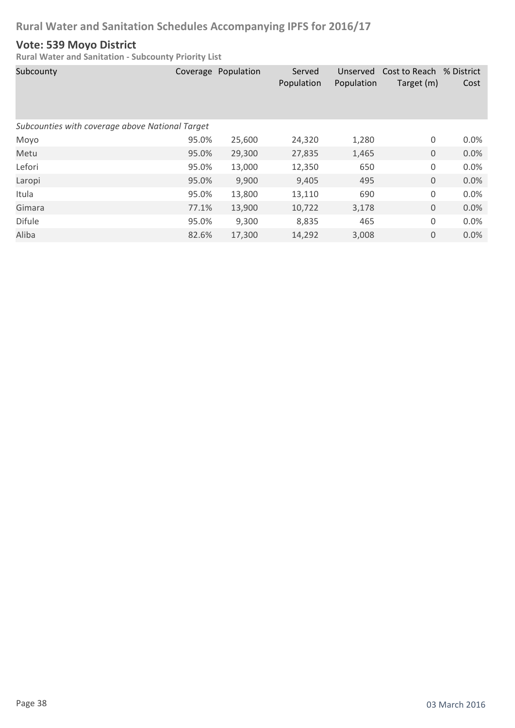#### **Vote: 539 Moyo District**

| Subcounty                                       |       | Coverage Population | Served<br>Population | Unserved<br>Population | Cost to Reach % District<br>Target (m) | Cost |
|-------------------------------------------------|-------|---------------------|----------------------|------------------------|----------------------------------------|------|
| Subcounties with coverage above National Target |       |                     |                      |                        |                                        |      |
| Moyo                                            | 95.0% | 25,600              | 24,320               | 1,280                  | 0                                      | 0.0% |
| Metu                                            | 95.0% | 29,300              | 27,835               | 1,465                  | $\boldsymbol{0}$                       | 0.0% |
| Lefori                                          | 95.0% | 13,000              | 12,350               | 650                    | 0                                      | 0.0% |
| Laropi                                          | 95.0% | 9,900               | 9,405                | 495                    | $\mathbf 0$                            | 0.0% |
| Itula                                           | 95.0% | 13,800              | 13,110               | 690                    | 0                                      | 0.0% |
| Gimara                                          | 77.1% | 13,900              | 10,722               | 3,178                  | $\boldsymbol{0}$                       | 0.0% |
| <b>Difule</b>                                   | 95.0% | 9,300               | 8,835                | 465                    | 0                                      | 0.0% |
| Aliba                                           | 82.6% | 17,300              | 14,292               | 3,008                  | $\mathbf 0$                            | 0.0% |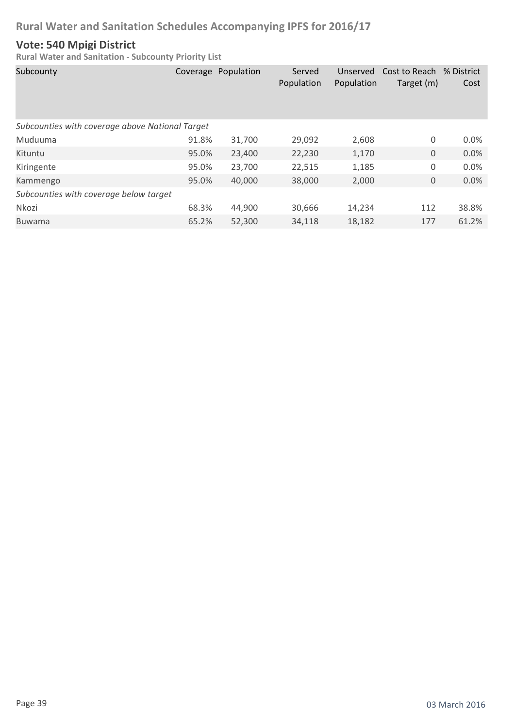# **Vote: 540 Mpigi District**

| Subcounty                                       |       | Coverage Population | Served<br>Population | Unserved<br>Population | Cost to Reach<br>Target (m) | % District<br>Cost |
|-------------------------------------------------|-------|---------------------|----------------------|------------------------|-----------------------------|--------------------|
| Subcounties with coverage above National Target |       |                     |                      |                        |                             |                    |
| Muduuma                                         | 91.8% | 31,700              | 29,092               | 2,608                  | 0                           | 0.0%               |
| Kituntu                                         | 95.0% | 23,400              | 22,230               | 1,170                  | 0                           | 0.0%               |
| Kiringente                                      | 95.0% | 23,700              | 22,515               | 1,185                  | 0                           | 0.0%               |
| Kammengo                                        | 95.0% | 40,000              | 38,000               | 2,000                  | 0                           | 0.0%               |
| Subcounties with coverage below target          |       |                     |                      |                        |                             |                    |
| Nkozi                                           | 68.3% | 44,900              | 30,666               | 14,234                 | 112                         | 38.8%              |
| <b>Buwama</b>                                   | 65.2% | 52,300              | 34.118               | 18,182                 | 177                         | 61.2%              |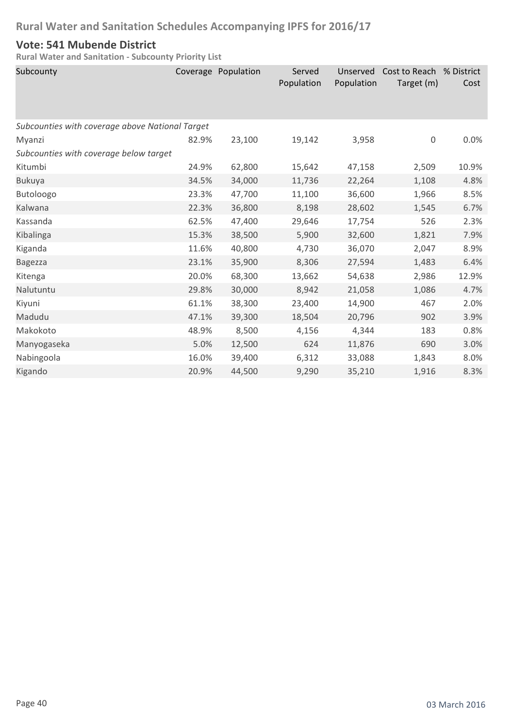### **Vote: 541 Mubende District**

| Subcounty                                       |       | Coverage Population | Served<br>Population | Unserved<br>Population | Cost to Reach % District<br>Target (m) | Cost  |  |  |
|-------------------------------------------------|-------|---------------------|----------------------|------------------------|----------------------------------------|-------|--|--|
| Subcounties with coverage above National Target |       |                     |                      |                        |                                        |       |  |  |
| Myanzi                                          | 82.9% | 23,100              | 19,142               | 3,958                  | $\boldsymbol{0}$                       | 0.0%  |  |  |
| Subcounties with coverage below target          |       |                     |                      |                        |                                        |       |  |  |
| Kitumbi                                         | 24.9% | 62,800              | 15,642               | 47,158                 | 2,509                                  | 10.9% |  |  |
| <b>Bukuya</b>                                   | 34.5% | 34,000              | 11,736               | 22,264                 | 1,108                                  | 4.8%  |  |  |
| Butoloogo                                       | 23.3% | 47,700              | 11,100               | 36,600                 | 1,966                                  | 8.5%  |  |  |
| Kalwana                                         | 22.3% | 36,800              | 8,198                | 28,602                 | 1,545                                  | 6.7%  |  |  |
| Kassanda                                        | 62.5% | 47,400              | 29,646               | 17,754                 | 526                                    | 2.3%  |  |  |
| Kibalinga                                       | 15.3% | 38,500              | 5,900                | 32,600                 | 1,821                                  | 7.9%  |  |  |
| Kiganda                                         | 11.6% | 40,800              | 4,730                | 36,070                 | 2,047                                  | 8.9%  |  |  |
| <b>Bagezza</b>                                  | 23.1% | 35,900              | 8,306                | 27,594                 | 1,483                                  | 6.4%  |  |  |
| Kitenga                                         | 20.0% | 68,300              | 13,662               | 54,638                 | 2,986                                  | 12.9% |  |  |
| Nalutuntu                                       | 29.8% | 30,000              | 8,942                | 21,058                 | 1,086                                  | 4.7%  |  |  |
| Kiyuni                                          | 61.1% | 38,300              | 23,400               | 14,900                 | 467                                    | 2.0%  |  |  |
| Madudu                                          | 47.1% | 39,300              | 18,504               | 20,796                 | 902                                    | 3.9%  |  |  |
| Makokoto                                        | 48.9% | 8,500               | 4,156                | 4,344                  | 183                                    | 0.8%  |  |  |
| Manyogaseka                                     | 5.0%  | 12,500              | 624                  | 11,876                 | 690                                    | 3.0%  |  |  |
| Nabingoola                                      | 16.0% | 39,400              | 6,312                | 33,088                 | 1,843                                  | 8.0%  |  |  |
| Kigando                                         | 20.9% | 44,500              | 9,290                | 35,210                 | 1,916                                  | 8.3%  |  |  |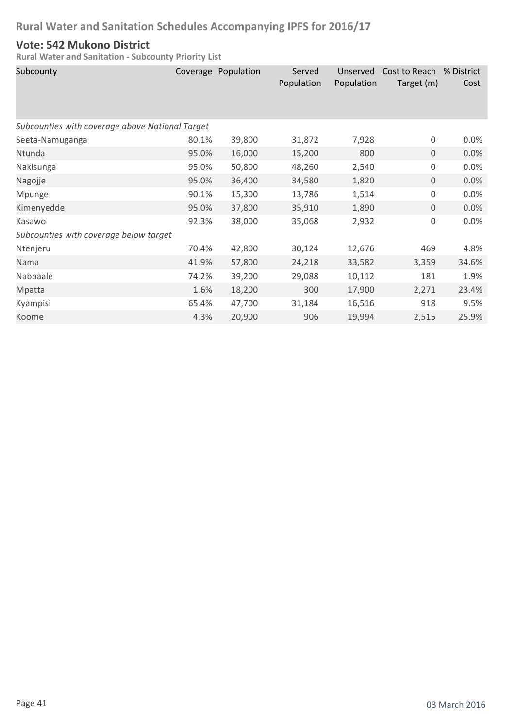### **Vote: 542 Mukono District**

| Subcounty                                       |       | Coverage Population | Served<br>Population | Unserved<br>Population | Cost to Reach<br>Target (m) | % District<br>Cost |  |
|-------------------------------------------------|-------|---------------------|----------------------|------------------------|-----------------------------|--------------------|--|
| Subcounties with coverage above National Target |       |                     |                      |                        |                             |                    |  |
| Seeta-Namuganga                                 | 80.1% | 39,800              | 31,872               | 7,928                  | $\boldsymbol{0}$            | 0.0%               |  |
| Ntunda                                          | 95.0% | 16,000              | 15,200               | 800                    | $\boldsymbol{0}$            | 0.0%               |  |
| Nakisunga                                       | 95.0% | 50,800              | 48,260               | 2,540                  | $\mathbf 0$                 | 0.0%               |  |
| Nagojje                                         | 95.0% | 36,400              | 34,580               | 1,820                  | 0                           | 0.0%               |  |
| Mpunge                                          | 90.1% | 15,300              | 13,786               | 1,514                  | $\boldsymbol{0}$            | 0.0%               |  |
| Kimenyedde                                      | 95.0% | 37,800              | 35,910               | 1,890                  | 0                           | 0.0%               |  |
| Kasawo                                          | 92.3% | 38,000              | 35,068               | 2,932                  | $\boldsymbol{0}$            | 0.0%               |  |
| Subcounties with coverage below target          |       |                     |                      |                        |                             |                    |  |
| Ntenjeru                                        | 70.4% | 42,800              | 30,124               | 12,676                 | 469                         | 4.8%               |  |
| Nama                                            | 41.9% | 57,800              | 24,218               | 33,582                 | 3,359                       | 34.6%              |  |
| Nabbaale                                        | 74.2% | 39,200              | 29,088               | 10,112                 | 181                         | 1.9%               |  |
| Mpatta                                          | 1.6%  | 18,200              | 300                  | 17,900                 | 2,271                       | 23.4%              |  |
| Kyampisi                                        | 65.4% | 47,700              | 31,184               | 16,516                 | 918                         | 9.5%               |  |
| Koome                                           | 4.3%  | 20,900              | 906                  | 19,994                 | 2,515                       | 25.9%              |  |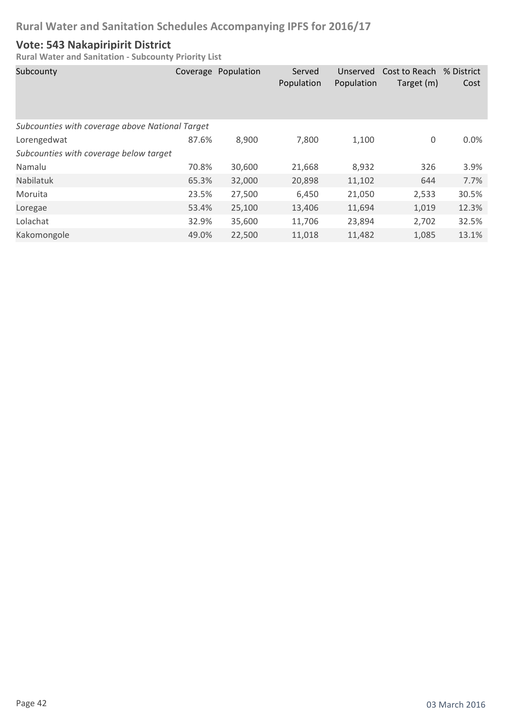### **Vote: 543 Nakapiripirit District**

| Subcounty                                       | Coverage | Population | Served<br>Population | Unserved<br>Population | Cost to Reach % District<br>Target (m) | Cost  |
|-------------------------------------------------|----------|------------|----------------------|------------------------|----------------------------------------|-------|
| Subcounties with coverage above National Target |          |            |                      |                        |                                        |       |
| Lorengedwat                                     | 87.6%    | 8,900      | 7,800                | 1,100                  | 0                                      | 0.0%  |
| Subcounties with coverage below target          |          |            |                      |                        |                                        |       |
| Namalu                                          | 70.8%    | 30,600     | 21,668               | 8,932                  | 326                                    | 3.9%  |
| Nabilatuk                                       | 65.3%    | 32,000     | 20,898               | 11,102                 | 644                                    | 7.7%  |
| Moruita                                         | 23.5%    | 27,500     | 6,450                | 21,050                 | 2,533                                  | 30.5% |
| Loregae                                         | 53.4%    | 25,100     | 13,406               | 11,694                 | 1,019                                  | 12.3% |
| Lolachat                                        | 32.9%    | 35,600     | 11,706               | 23,894                 | 2,702                                  | 32.5% |
| Kakomongole                                     | 49.0%    | 22,500     | 11,018               | 11,482                 | 1,085                                  | 13.1% |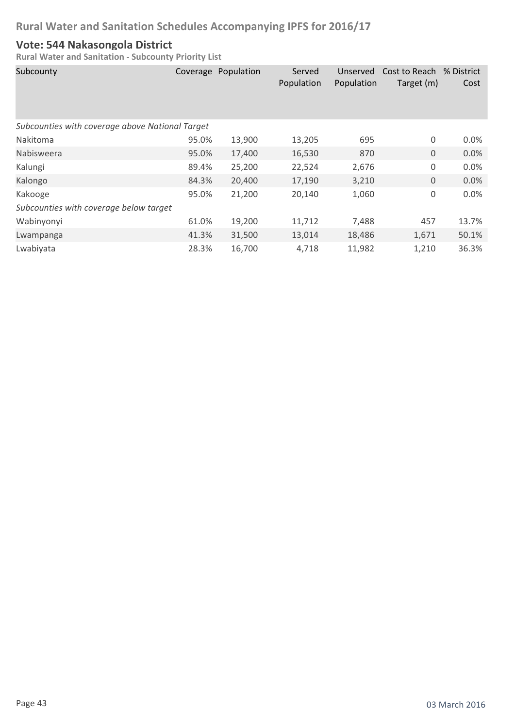#### **Vote: 544 Nakasongola District**

| Subcounty                                       |       | Coverage Population | Served<br>Population | Unserved<br>Population | Cost to Reach % District<br>Target (m) | Cost    |  |  |
|-------------------------------------------------|-------|---------------------|----------------------|------------------------|----------------------------------------|---------|--|--|
| Subcounties with coverage above National Target |       |                     |                      |                        |                                        |         |  |  |
| <b>Nakitoma</b>                                 | 95.0% | 13,900              | 13,205               | 695                    | 0                                      | $0.0\%$ |  |  |
| Nabisweera                                      | 95.0% | 17,400              | 16,530               | 870                    | $\mathbf{0}$                           | 0.0%    |  |  |
| Kalungi                                         | 89.4% | 25,200              | 22,524               | 2,676                  | $\mathbf 0$                            | 0.0%    |  |  |
| Kalongo                                         | 84.3% | 20,400              | 17,190               | 3,210                  | $\boldsymbol{0}$                       | 0.0%    |  |  |
| Kakooge                                         | 95.0% | 21,200              | 20,140               | 1,060                  | $\boldsymbol{0}$                       | 0.0%    |  |  |
| Subcounties with coverage below target          |       |                     |                      |                        |                                        |         |  |  |
| Wabinyonyi                                      | 61.0% | 19,200              | 11,712               | 7,488                  | 457                                    | 13.7%   |  |  |
| Lwampanga                                       | 41.3% | 31,500              | 13,014               | 18,486                 | 1,671                                  | 50.1%   |  |  |
| Lwabiyata                                       | 28.3% | 16,700              | 4,718                | 11,982                 | 1,210                                  | 36.3%   |  |  |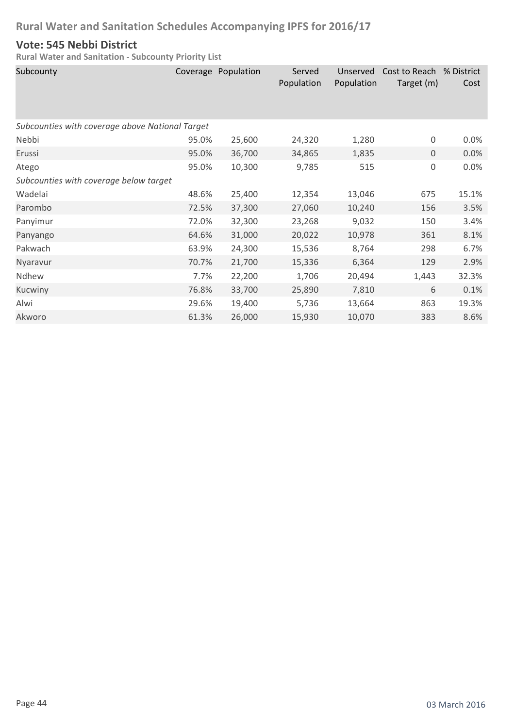#### **Vote: 545 Nebbi District**

| Subcounty                                       |       | Coverage Population | Served<br>Population | Unserved<br>Population | Cost to Reach<br>Target (m) | % District<br>Cost |
|-------------------------------------------------|-------|---------------------|----------------------|------------------------|-----------------------------|--------------------|
| Subcounties with coverage above National Target |       |                     |                      |                        |                             |                    |
| Nebbi                                           | 95.0% | 25,600              | 24,320               | 1,280                  | 0                           | 0.0%               |
| Erussi                                          | 95.0% | 36,700              | 34,865               | 1,835                  | 0                           | 0.0%               |
| Atego                                           | 95.0% | 10,300              | 9,785                | 515                    | $\boldsymbol{0}$            | 0.0%               |
| Subcounties with coverage below target          |       |                     |                      |                        |                             |                    |
| Wadelai                                         | 48.6% | 25,400              | 12,354               | 13,046                 | 675                         | 15.1%              |
| Parombo                                         | 72.5% | 37,300              | 27,060               | 10,240                 | 156                         | 3.5%               |
| Panyimur                                        | 72.0% | 32,300              | 23,268               | 9,032                  | 150                         | 3.4%               |
| Panyango                                        | 64.6% | 31,000              | 20,022               | 10,978                 | 361                         | 8.1%               |
| Pakwach                                         | 63.9% | 24,300              | 15,536               | 8,764                  | 298                         | 6.7%               |
| Nyaravur                                        | 70.7% | 21,700              | 15,336               | 6,364                  | 129                         | 2.9%               |
| Ndhew                                           | 7.7%  | 22,200              | 1,706                | 20,494                 | 1,443                       | 32.3%              |
| Kucwiny                                         | 76.8% | 33,700              | 25,890               | 7,810                  | 6                           | 0.1%               |
| Alwi                                            | 29.6% | 19,400              | 5,736                | 13,664                 | 863                         | 19.3%              |
| Akworo                                          | 61.3% | 26,000              | 15,930               | 10,070                 | 383                         | 8.6%               |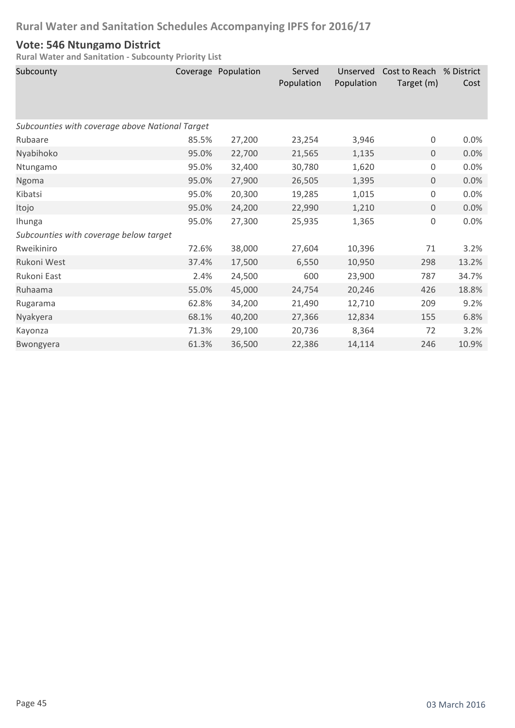#### **Vote: 546 Ntungamo District**

| Subcounty                                       |       | Coverage Population | Served<br>Population | Unserved<br>Population | Cost to Reach % District<br>Target (m) | Cost  |
|-------------------------------------------------|-------|---------------------|----------------------|------------------------|----------------------------------------|-------|
| Subcounties with coverage above National Target |       |                     |                      |                        |                                        |       |
| Rubaare                                         | 85.5% | 27,200              | 23,254               | 3,946                  | $\boldsymbol{0}$                       | 0.0%  |
| Nyabihoko                                       | 95.0% | 22,700              | 21,565               | 1,135                  | 0                                      | 0.0%  |
| Ntungamo                                        | 95.0% | 32,400              | 30,780               | 1,620                  | 0                                      | 0.0%  |
| Ngoma                                           | 95.0% | 27,900              | 26,505               | 1,395                  | $\boldsymbol{0}$                       | 0.0%  |
| Kibatsi                                         | 95.0% | 20,300              | 19,285               | 1,015                  | 0                                      | 0.0%  |
| Itojo                                           | 95.0% | 24,200              | 22,990               | 1,210                  | 0                                      | 0.0%  |
| Ihunga                                          | 95.0% | 27,300              | 25,935               | 1,365                  | 0                                      | 0.0%  |
| Subcounties with coverage below target          |       |                     |                      |                        |                                        |       |
| Rweikiniro                                      | 72.6% | 38,000              | 27,604               | 10,396                 | 71                                     | 3.2%  |
| Rukoni West                                     | 37.4% | 17,500              | 6,550                | 10,950                 | 298                                    | 13.2% |
| Rukoni East                                     | 2.4%  | 24,500              | 600                  | 23,900                 | 787                                    | 34.7% |
| Ruhaama                                         | 55.0% | 45,000              | 24,754               | 20,246                 | 426                                    | 18.8% |
| Rugarama                                        | 62.8% | 34,200              | 21,490               | 12,710                 | 209                                    | 9.2%  |
| Nyakyera                                        | 68.1% | 40,200              | 27,366               | 12,834                 | 155                                    | 6.8%  |
| Kayonza                                         | 71.3% | 29,100              | 20,736               | 8,364                  | 72                                     | 3.2%  |
| Bwongyera                                       | 61.3% | 36,500              | 22,386               | 14,114                 | 246                                    | 10.9% |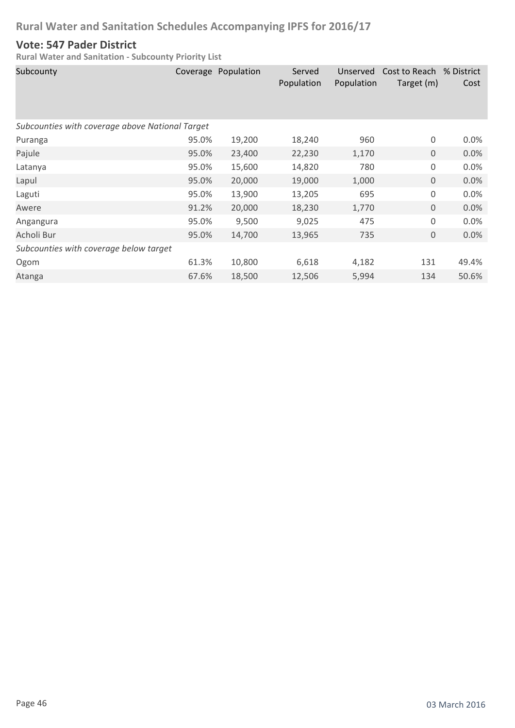### **Vote: 547 Pader District**

| Subcounty                                       |       | Coverage Population | Served<br>Population | Unserved<br>Population | Cost to Reach<br>Target (m) | % District<br>Cost |
|-------------------------------------------------|-------|---------------------|----------------------|------------------------|-----------------------------|--------------------|
| Subcounties with coverage above National Target |       |                     |                      |                        |                             |                    |
| Puranga                                         | 95.0% | 19,200              | 18,240               | 960                    | 0                           | 0.0%               |
| Pajule                                          | 95.0% | 23,400              | 22,230               | 1,170                  | $\mathbf 0$                 | 0.0%               |
| Latanya                                         | 95.0% | 15,600              | 14,820               | 780                    | 0                           | 0.0%               |
| Lapul                                           | 95.0% | 20,000              | 19,000               | 1,000                  | $\mathbf 0$                 | 0.0%               |
| Laguti                                          | 95.0% | 13,900              | 13,205               | 695                    | 0                           | 0.0%               |
| Awere                                           | 91.2% | 20,000              | 18,230               | 1,770                  | 0                           | 0.0%               |
| Angangura                                       | 95.0% | 9,500               | 9,025                | 475                    | 0                           | 0.0%               |
| Acholi Bur                                      | 95.0% | 14,700              | 13,965               | 735                    | 0                           | 0.0%               |
| Subcounties with coverage below target          |       |                     |                      |                        |                             |                    |
| Ogom                                            | 61.3% | 10,800              | 6,618                | 4,182                  | 131                         | 49.4%              |
| Atanga                                          | 67.6% | 18,500              | 12,506               | 5,994                  | 134                         | 50.6%              |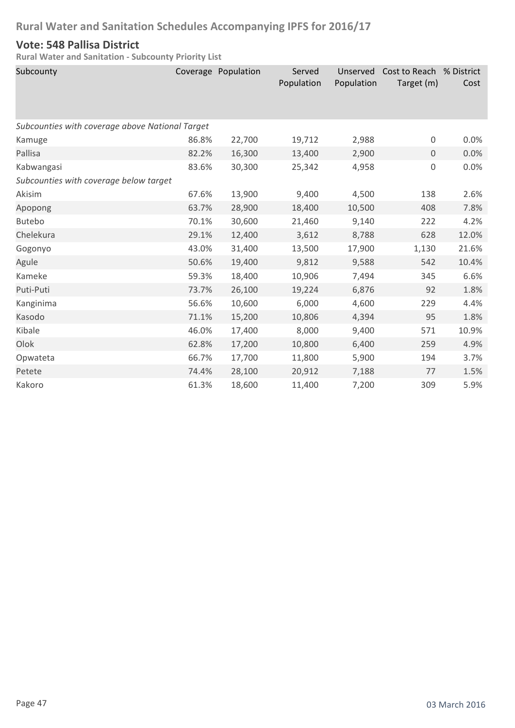### **Vote: 548 Pallisa District**

| Subcounty                                       |       | Coverage Population | Served<br>Population | Unserved<br>Population | Cost to Reach % District<br>Target (m) | Cost  |  |  |
|-------------------------------------------------|-------|---------------------|----------------------|------------------------|----------------------------------------|-------|--|--|
| Subcounties with coverage above National Target |       |                     |                      |                        |                                        |       |  |  |
| Kamuge                                          | 86.8% | 22,700              | 19,712               | 2,988                  | 0                                      | 0.0%  |  |  |
| Pallisa                                         | 82.2% | 16,300              | 13,400               | 2,900                  | $\mathbf 0$                            | 0.0%  |  |  |
| Kabwangasi                                      | 83.6% | 30,300              | 25,342               | 4,958                  | 0                                      | 0.0%  |  |  |
| Subcounties with coverage below target          |       |                     |                      |                        |                                        |       |  |  |
| Akisim                                          | 67.6% | 13,900              | 9,400                | 4,500                  | 138                                    | 2.6%  |  |  |
| Apopong                                         | 63.7% | 28,900              | 18,400               | 10,500                 | 408                                    | 7.8%  |  |  |
| <b>Butebo</b>                                   | 70.1% | 30,600              | 21,460               | 9,140                  | 222                                    | 4.2%  |  |  |
| Chelekura                                       | 29.1% | 12,400              | 3,612                | 8,788                  | 628                                    | 12.0% |  |  |
| Gogonyo                                         | 43.0% | 31,400              | 13,500               | 17,900                 | 1,130                                  | 21.6% |  |  |
| Agule                                           | 50.6% | 19,400              | 9,812                | 9,588                  | 542                                    | 10.4% |  |  |
| Kameke                                          | 59.3% | 18,400              | 10,906               | 7,494                  | 345                                    | 6.6%  |  |  |
| Puti-Puti                                       | 73.7% | 26,100              | 19,224               | 6,876                  | 92                                     | 1.8%  |  |  |
| Kanginima                                       | 56.6% | 10,600              | 6,000                | 4,600                  | 229                                    | 4.4%  |  |  |
| Kasodo                                          | 71.1% | 15,200              | 10,806               | 4,394                  | 95                                     | 1.8%  |  |  |
| Kibale                                          | 46.0% | 17,400              | 8,000                | 9,400                  | 571                                    | 10.9% |  |  |
| Olok                                            | 62.8% | 17,200              | 10,800               | 6,400                  | 259                                    | 4.9%  |  |  |
| Opwateta                                        | 66.7% | 17,700              | 11,800               | 5,900                  | 194                                    | 3.7%  |  |  |
| Petete                                          | 74.4% | 28,100              | 20,912               | 7,188                  | 77                                     | 1.5%  |  |  |
| Kakoro                                          | 61.3% | 18,600              | 11,400               | 7,200                  | 309                                    | 5.9%  |  |  |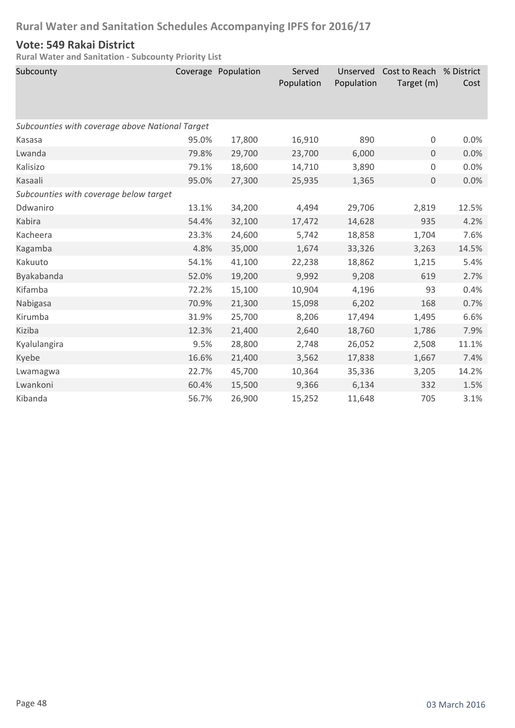#### **Vote: 549 Rakai District**

| Subcounty                                       |       | Coverage Population | Served<br>Population | Unserved<br>Population | Cost to Reach % District<br>Target (m) | Cost  |  |  |  |
|-------------------------------------------------|-------|---------------------|----------------------|------------------------|----------------------------------------|-------|--|--|--|
| Subcounties with coverage above National Target |       |                     |                      |                        |                                        |       |  |  |  |
| Kasasa                                          | 95.0% | 17,800              | 16,910               | 890                    | 0                                      | 0.0%  |  |  |  |
| Lwanda                                          | 79.8% | 29,700              | 23,700               | 6,000                  | 0                                      | 0.0%  |  |  |  |
| Kalisizo                                        | 79.1% | 18,600              | 14,710               | 3,890                  | 0                                      | 0.0%  |  |  |  |
| Kasaali                                         | 95.0% | 27,300              | 25,935               | 1,365                  | $\mathbf 0$                            | 0.0%  |  |  |  |
| Subcounties with coverage below target          |       |                     |                      |                        |                                        |       |  |  |  |
| Ddwaniro                                        | 13.1% | 34,200              | 4,494                | 29,706                 | 2,819                                  | 12.5% |  |  |  |
| Kabira                                          | 54.4% | 32,100              | 17,472               | 14,628                 | 935                                    | 4.2%  |  |  |  |
| Kacheera                                        | 23.3% | 24,600              | 5,742                | 18,858                 | 1,704                                  | 7.6%  |  |  |  |
| Kagamba                                         | 4.8%  | 35,000              | 1,674                | 33,326                 | 3,263                                  | 14.5% |  |  |  |
| Kakuuto                                         | 54.1% | 41,100              | 22,238               | 18,862                 | 1,215                                  | 5.4%  |  |  |  |
| Byakabanda                                      | 52.0% | 19,200              | 9,992                | 9,208                  | 619                                    | 2.7%  |  |  |  |
| Kifamba                                         | 72.2% | 15,100              | 10,904               | 4,196                  | 93                                     | 0.4%  |  |  |  |
| Nabigasa                                        | 70.9% | 21,300              | 15,098               | 6,202                  | 168                                    | 0.7%  |  |  |  |
| Kirumba                                         | 31.9% | 25,700              | 8,206                | 17,494                 | 1,495                                  | 6.6%  |  |  |  |
| Kiziba                                          | 12.3% | 21,400              | 2,640                | 18,760                 | 1,786                                  | 7.9%  |  |  |  |
| Kyalulangira                                    | 9.5%  | 28,800              | 2,748                | 26,052                 | 2,508                                  | 11.1% |  |  |  |
| Kyebe                                           | 16.6% | 21,400              | 3,562                | 17,838                 | 1,667                                  | 7.4%  |  |  |  |
| Lwamagwa                                        | 22.7% | 45,700              | 10,364               | 35,336                 | 3,205                                  | 14.2% |  |  |  |
| Lwankoni                                        | 60.4% | 15,500              | 9,366                | 6,134                  | 332                                    | 1.5%  |  |  |  |
| Kibanda                                         | 56.7% | 26,900              | 15,252               | 11,648                 | 705                                    | 3.1%  |  |  |  |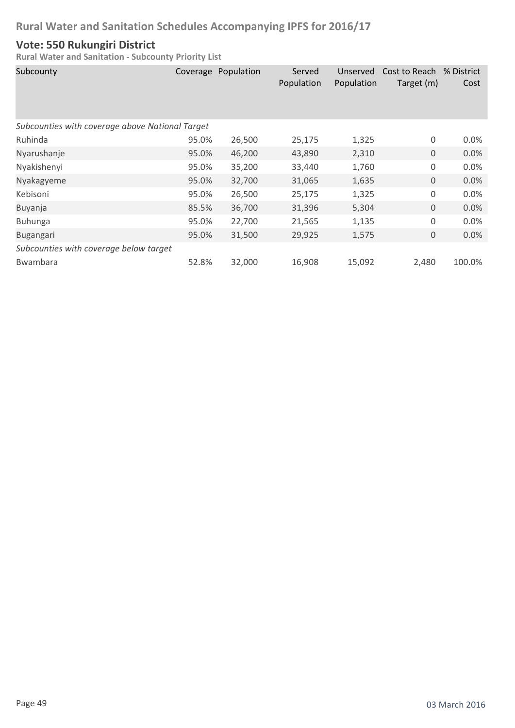#### **Vote: 550 Rukungiri District**

| Subcounty                                       |       | Coverage Population | Served<br>Population | Unserved<br>Population | Cost to Reach % District<br>Target (m) | Cost    |  |  |
|-------------------------------------------------|-------|---------------------|----------------------|------------------------|----------------------------------------|---------|--|--|
| Subcounties with coverage above National Target |       |                     |                      |                        |                                        |         |  |  |
| Ruhinda                                         | 95.0% | 26,500              | 25,175               | 1,325                  | 0                                      | $0.0\%$ |  |  |
| Nyarushanje                                     | 95.0% | 46,200              | 43,890               | 2,310                  | $\mathbf 0$                            | 0.0%    |  |  |
| Nyakishenyi                                     | 95.0% | 35,200              | 33,440               | 1,760                  | 0                                      | 0.0%    |  |  |
| Nyakagyeme                                      | 95.0% | 32,700              | 31,065               | 1,635                  | $\mathbf 0$                            | 0.0%    |  |  |
| Kebisoni                                        | 95.0% | 26,500              | 25,175               | 1,325                  | 0                                      | 0.0%    |  |  |
| Buyanja                                         | 85.5% | 36,700              | 31,396               | 5,304                  | $\mathbf 0$                            | 0.0%    |  |  |
| <b>Buhunga</b>                                  | 95.0% | 22,700              | 21,565               | 1,135                  | 0                                      | 0.0%    |  |  |
| Bugangari                                       | 95.0% | 31,500              | 29,925               | 1,575                  | 0                                      | 0.0%    |  |  |
| Subcounties with coverage below target          |       |                     |                      |                        |                                        |         |  |  |
| Bwambara                                        | 52.8% | 32,000              | 16,908               | 15,092                 | 2,480                                  | 100.0%  |  |  |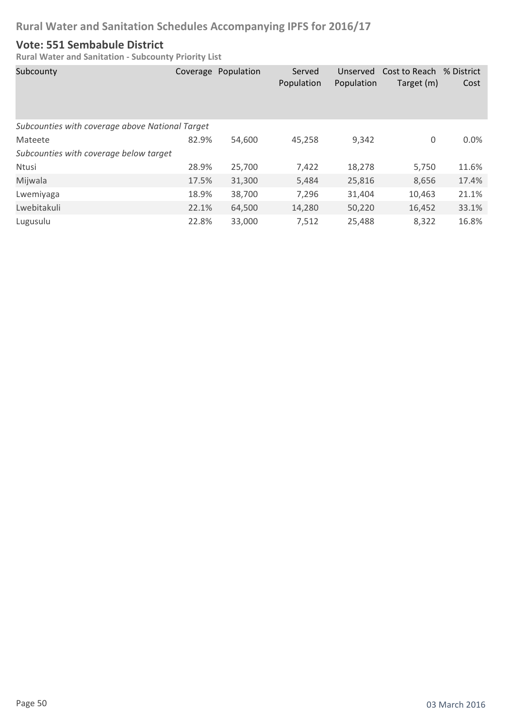### **Vote: 551 Sembabule District**

| Subcounty                                       |       | Coverage Population | Served<br>Population | Unserved<br>Population | Cost to Reach<br>Target (m) | % District<br>Cost |
|-------------------------------------------------|-------|---------------------|----------------------|------------------------|-----------------------------|--------------------|
| Subcounties with coverage above National Target |       |                     |                      |                        |                             |                    |
| Mateete                                         | 82.9% | 54,600              | 45,258               | 9,342                  | 0                           | 0.0%               |
| Subcounties with coverage below target          |       |                     |                      |                        |                             |                    |
| Ntusi                                           | 28.9% | 25,700              | 7,422                | 18,278                 | 5,750                       | 11.6%              |
| Mijwala                                         | 17.5% | 31,300              | 5,484                | 25,816                 | 8,656                       | 17.4%              |
| Lwemiyaga                                       | 18.9% | 38,700              | 7,296                | 31,404                 | 10,463                      | 21.1%              |
| Lwebitakuli                                     | 22.1% | 64,500              | 14,280               | 50,220                 | 16,452                      | 33.1%              |
| Lugusulu                                        | 22.8% | 33,000              | 7,512                | 25,488                 | 8,322                       | 16.8%              |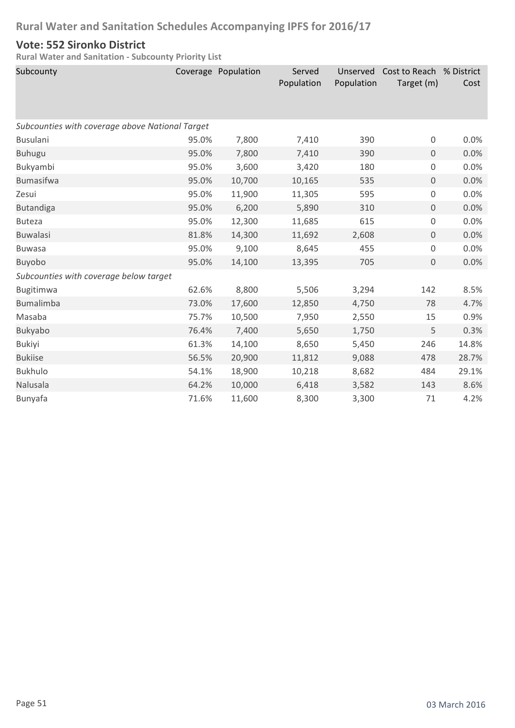#### **Vote: 552 Sironko District**

| Subcounty                                       |       | Coverage Population | Served<br>Population | Unserved<br>Population | Cost to Reach % District<br>Target (m) | Cost  |
|-------------------------------------------------|-------|---------------------|----------------------|------------------------|----------------------------------------|-------|
| Subcounties with coverage above National Target |       |                     |                      |                        |                                        |       |
| <b>Busulani</b>                                 | 95.0% | 7,800               | 7,410                | 390                    | 0                                      | 0.0%  |
| <b>Buhugu</b>                                   | 95.0% | 7,800               | 7,410                | 390                    | $\mathbf 0$                            | 0.0%  |
| Bukyambi                                        | 95.0% | 3,600               | 3,420                | 180                    | 0                                      | 0.0%  |
| <b>Bumasifwa</b>                                | 95.0% | 10,700              | 10,165               | 535                    | $\overline{0}$                         | 0.0%  |
| Zesui                                           | 95.0% | 11,900              | 11,305               | 595                    | 0                                      | 0.0%  |
| <b>Butandiga</b>                                | 95.0% | 6,200               | 5,890                | 310                    | $\mathbf 0$                            | 0.0%  |
| <b>Buteza</b>                                   | 95.0% | 12,300              | 11,685               | 615                    | 0                                      | 0.0%  |
| <b>Buwalasi</b>                                 | 81.8% | 14,300              | 11,692               | 2,608                  | $\mathbf 0$                            | 0.0%  |
| <b>Buwasa</b>                                   | 95.0% | 9,100               | 8,645                | 455                    | 0                                      | 0.0%  |
| Buyobo                                          | 95.0% | 14,100              | 13,395               | 705                    | $\mathbf 0$                            | 0.0%  |
| Subcounties with coverage below target          |       |                     |                      |                        |                                        |       |
| Bugitimwa                                       | 62.6% | 8,800               | 5,506                | 3,294                  | 142                                    | 8.5%  |
| <b>Bumalimba</b>                                | 73.0% | 17,600              | 12,850               | 4,750                  | 78                                     | 4.7%  |
| Masaba                                          | 75.7% | 10,500              | 7,950                | 2,550                  | 15                                     | 0.9%  |
| Bukyabo                                         | 76.4% | 7,400               | 5,650                | 1,750                  | 5                                      | 0.3%  |
| <b>Bukiyi</b>                                   | 61.3% | 14,100              | 8,650                | 5,450                  | 246                                    | 14.8% |
| <b>Bukiise</b>                                  | 56.5% | 20,900              | 11,812               | 9,088                  | 478                                    | 28.7% |
| <b>Bukhulo</b>                                  | 54.1% | 18,900              | 10,218               | 8,682                  | 484                                    | 29.1% |
| Nalusala                                        | 64.2% | 10,000              | 6,418                | 3,582                  | 143                                    | 8.6%  |
| Bunyafa                                         | 71.6% | 11,600              | 8,300                | 3,300                  | 71                                     | 4.2%  |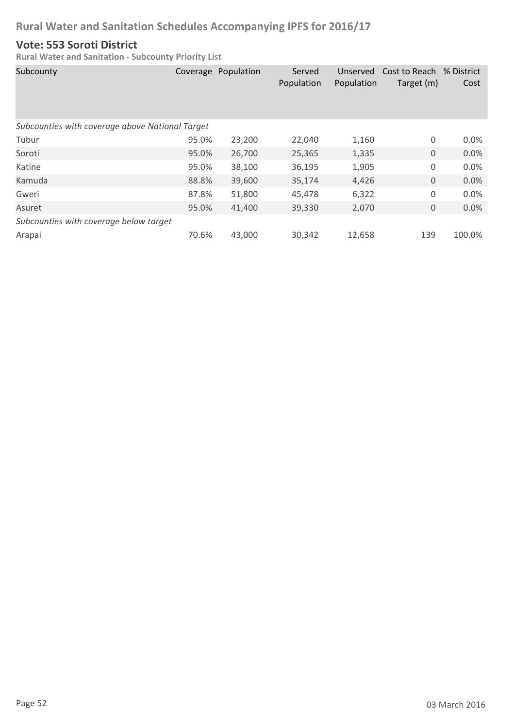#### **Vote: 553 Soroti District**

| Subcounty                                       |       | Coverage Population | Served<br>Population | Unserved<br>Population | Cost to Reach % District<br>Target (m) | Cost    |  |  |
|-------------------------------------------------|-------|---------------------|----------------------|------------------------|----------------------------------------|---------|--|--|
| Subcounties with coverage above National Target |       |                     |                      |                        |                                        |         |  |  |
| Tubur                                           | 95.0% | 23,200              | 22,040               | 1,160                  | 0                                      | $0.0\%$ |  |  |
| Soroti                                          | 95.0% | 26,700              | 25,365               | 1,335                  | 0                                      | 0.0%    |  |  |
| Katine                                          | 95.0% | 38,100              | 36,195               | 1,905                  | 0                                      | 0.0%    |  |  |
| Kamuda                                          | 88.8% | 39,600              | 35,174               | 4,426                  | 0                                      | 0.0%    |  |  |
| Gweri                                           | 87.8% | 51,800              | 45,478               | 6,322                  | 0                                      | 0.0%    |  |  |
| Asuret                                          | 95.0% | 41,400              | 39,330               | 2,070                  | 0                                      | 0.0%    |  |  |
| Subcounties with coverage below target          |       |                     |                      |                        |                                        |         |  |  |
| Arapai                                          | 70.6% | 43,000              | 30,342               | 12,658                 | 139                                    | 100.0%  |  |  |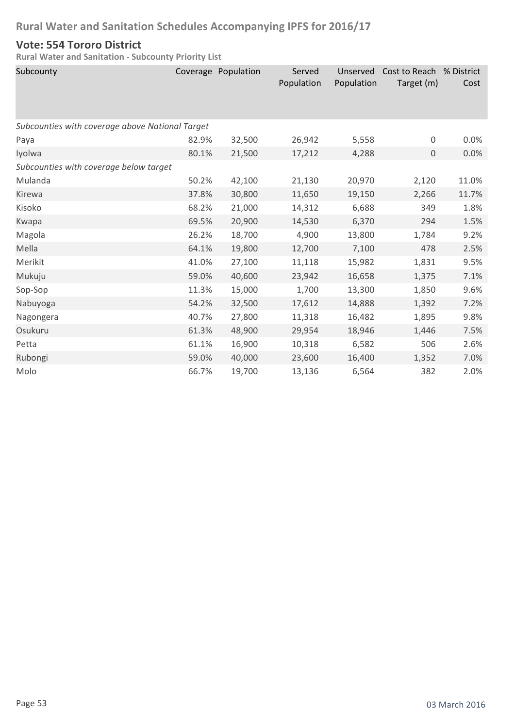#### **Vote: 554 Tororo District**

| Subcounty                                       |       | Coverage Population | Served<br>Population | Unserved<br>Population | Cost to Reach % District<br>Target (m) | Cost  |  |
|-------------------------------------------------|-------|---------------------|----------------------|------------------------|----------------------------------------|-------|--|
| Subcounties with coverage above National Target |       |                     |                      |                        |                                        |       |  |
| Paya                                            | 82.9% | 32,500              | 26,942               | 5,558                  | $\boldsymbol{0}$                       | 0.0%  |  |
| Iyolwa                                          | 80.1% | 21,500              | 17,212               | 4,288                  | 0                                      | 0.0%  |  |
| Subcounties with coverage below target          |       |                     |                      |                        |                                        |       |  |
| Mulanda                                         | 50.2% | 42,100              | 21,130               | 20,970                 | 2,120                                  | 11.0% |  |
| Kirewa                                          | 37.8% | 30,800              | 11,650               | 19,150                 | 2,266                                  | 11.7% |  |
| Kisoko                                          | 68.2% | 21,000              | 14,312               | 6,688                  | 349                                    | 1.8%  |  |
| Kwapa                                           | 69.5% | 20,900              | 14,530               | 6,370                  | 294                                    | 1.5%  |  |
| Magola                                          | 26.2% | 18,700              | 4,900                | 13,800                 | 1,784                                  | 9.2%  |  |
| Mella                                           | 64.1% | 19,800              | 12,700               | 7,100                  | 478                                    | 2.5%  |  |
| Merikit                                         | 41.0% | 27,100              | 11,118               | 15,982                 | 1,831                                  | 9.5%  |  |
| Mukuju                                          | 59.0% | 40,600              | 23,942               | 16,658                 | 1,375                                  | 7.1%  |  |
| Sop-Sop                                         | 11.3% | 15,000              | 1,700                | 13,300                 | 1,850                                  | 9.6%  |  |
| Nabuyoga                                        | 54.2% | 32,500              | 17,612               | 14,888                 | 1,392                                  | 7.2%  |  |
| Nagongera                                       | 40.7% | 27,800              | 11,318               | 16,482                 | 1,895                                  | 9.8%  |  |
| Osukuru                                         | 61.3% | 48,900              | 29,954               | 18,946                 | 1,446                                  | 7.5%  |  |
| Petta                                           | 61.1% | 16,900              | 10,318               | 6,582                  | 506                                    | 2.6%  |  |
| Rubongi                                         | 59.0% | 40,000              | 23,600               | 16,400                 | 1,352                                  | 7.0%  |  |
| Molo                                            | 66.7% | 19,700              | 13,136               | 6,564                  | 382                                    | 2.0%  |  |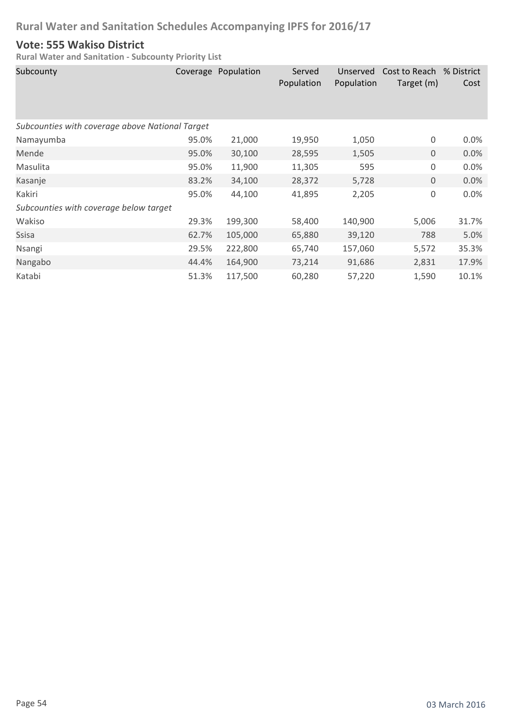#### **Vote: 555 Wakiso District**

| Subcounty                                       |       | Coverage Population | Served<br>Population | Unserved<br>Population | Cost to Reach % District<br>Target (m) | Cost  |  |  |
|-------------------------------------------------|-------|---------------------|----------------------|------------------------|----------------------------------------|-------|--|--|
| Subcounties with coverage above National Target |       |                     |                      |                        |                                        |       |  |  |
| Namayumba                                       | 95.0% | 21,000              | 19,950               | 1,050                  | $\boldsymbol{0}$                       | 0.0%  |  |  |
| Mende                                           | 95.0% | 30,100              | 28,595               | 1,505                  | $\mathbf 0$                            | 0.0%  |  |  |
| Masulita                                        | 95.0% | 11,900              | 11,305               | 595                    | $\boldsymbol{0}$                       | 0.0%  |  |  |
| Kasanje                                         | 83.2% | 34,100              | 28,372               | 5,728                  | $\mathsf{O}\xspace$                    | 0.0%  |  |  |
| Kakiri                                          | 95.0% | 44,100              | 41,895               | 2,205                  | $\boldsymbol{0}$                       | 0.0%  |  |  |
| Subcounties with coverage below target          |       |                     |                      |                        |                                        |       |  |  |
| Wakiso                                          | 29.3% | 199,300             | 58,400               | 140,900                | 5,006                                  | 31.7% |  |  |
| Ssisa                                           | 62.7% | 105,000             | 65,880               | 39,120                 | 788                                    | 5.0%  |  |  |
| Nsangi                                          | 29.5% | 222,800             | 65,740               | 157,060                | 5,572                                  | 35.3% |  |  |
| Nangabo                                         | 44.4% | 164,900             | 73,214               | 91,686                 | 2,831                                  | 17.9% |  |  |
| Katabi                                          | 51.3% | 117,500             | 60,280               | 57,220                 | 1,590                                  | 10.1% |  |  |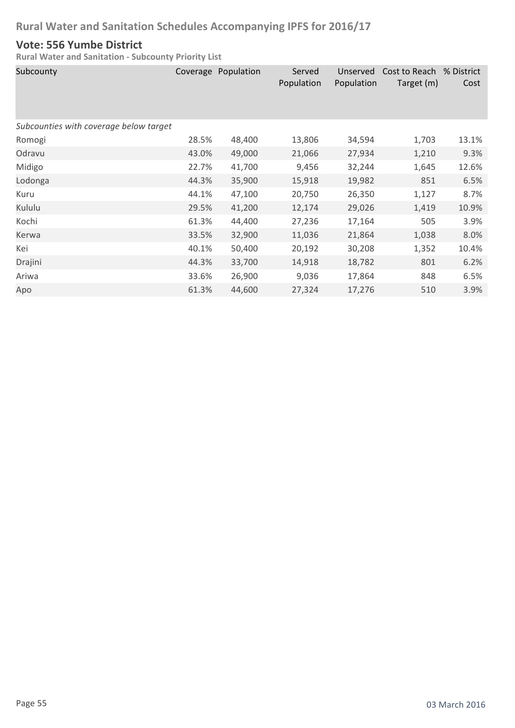#### **Vote: 556 Yumbe District**

| Subcounty                              |       | Coverage Population | Served<br>Population | Unserved<br>Population | Cost to Reach<br>Target (m) | % District<br>Cost |
|----------------------------------------|-------|---------------------|----------------------|------------------------|-----------------------------|--------------------|
| Subcounties with coverage below target |       |                     |                      |                        |                             |                    |
| Romogi                                 | 28.5% | 48,400              | 13,806               | 34,594                 | 1,703                       | 13.1%              |
| Odravu                                 | 43.0% | 49,000              | 21,066               | 27,934                 | 1,210                       | 9.3%               |
| Midigo                                 | 22.7% | 41,700              | 9,456                | 32,244                 | 1,645                       | 12.6%              |
| Lodonga                                | 44.3% | 35,900              | 15,918               | 19,982                 | 851                         | 6.5%               |
| Kuru                                   | 44.1% | 47,100              | 20,750               | 26,350                 | 1,127                       | 8.7%               |
| Kululu                                 | 29.5% | 41,200              | 12,174               | 29,026                 | 1,419                       | 10.9%              |
| Kochi                                  | 61.3% | 44,400              | 27,236               | 17,164                 | 505                         | 3.9%               |
| Kerwa                                  | 33.5% | 32,900              | 11,036               | 21,864                 | 1,038                       | 8.0%               |
| Kei                                    | 40.1% | 50,400              | 20,192               | 30,208                 | 1,352                       | 10.4%              |
| Drajini                                | 44.3% | 33,700              | 14,918               | 18,782                 | 801                         | 6.2%               |
| Ariwa                                  | 33.6% | 26,900              | 9,036                | 17,864                 | 848                         | 6.5%               |
| Apo                                    | 61.3% | 44,600              | 27,324               | 17,276                 | 510                         | 3.9%               |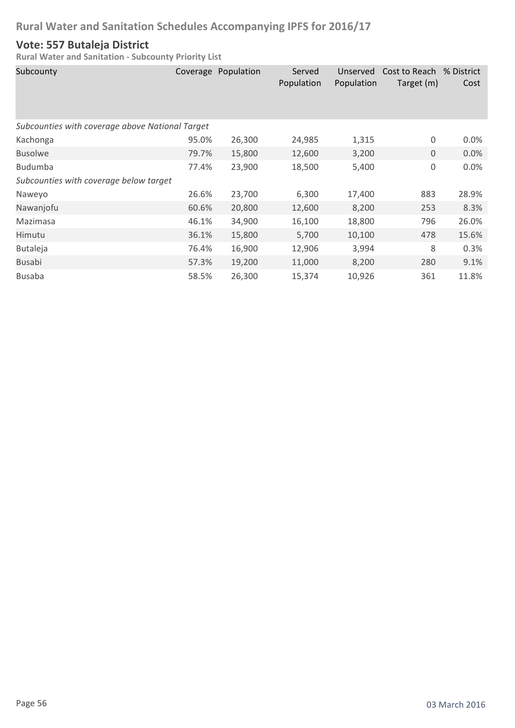### **Vote: 557 Butaleja District**

| Subcounty                                       |       | Coverage Population | Served<br>Population | Unserved<br>Population | Cost to Reach % District<br>Target (m) | Cost    |  |
|-------------------------------------------------|-------|---------------------|----------------------|------------------------|----------------------------------------|---------|--|
| Subcounties with coverage above National Target |       |                     |                      |                        |                                        |         |  |
| Kachonga                                        | 95.0% | 26,300              | 24,985               | 1,315                  | 0                                      | $0.0\%$ |  |
| <b>Busolwe</b>                                  | 79.7% | 15,800              | 12,600               | 3,200                  | $\mathbf 0$                            | 0.0%    |  |
| <b>Budumba</b>                                  | 77.4% | 23,900              | 18,500               | 5,400                  | 0                                      | 0.0%    |  |
| Subcounties with coverage below target          |       |                     |                      |                        |                                        |         |  |
| Naweyo                                          | 26.6% | 23,700              | 6,300                | 17,400                 | 883                                    | 28.9%   |  |
| Nawanjofu                                       | 60.6% | 20,800              | 12,600               | 8,200                  | 253                                    | 8.3%    |  |
| Mazimasa                                        | 46.1% | 34,900              | 16,100               | 18,800                 | 796                                    | 26.0%   |  |
| Himutu                                          | 36.1% | 15,800              | 5,700                | 10,100                 | 478                                    | 15.6%   |  |
| <b>Butaleja</b>                                 | 76.4% | 16,900              | 12,906               | 3,994                  | 8                                      | 0.3%    |  |
| <b>Busabi</b>                                   | 57.3% | 19,200              | 11,000               | 8,200                  | 280                                    | 9.1%    |  |
| <b>Busaba</b>                                   | 58.5% | 26,300              | 15,374               | 10,926                 | 361                                    | 11.8%   |  |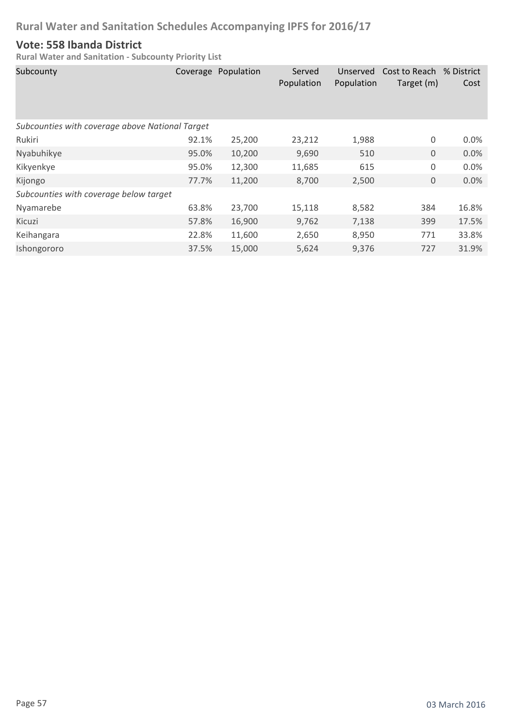#### **Vote: 558 Ibanda District**

| Subcounty                                       |       | Coverage Population | Served<br>Population | Unserved<br>Population | Cost to Reach % District<br>Target (m) | Cost  |  |  |
|-------------------------------------------------|-------|---------------------|----------------------|------------------------|----------------------------------------|-------|--|--|
| Subcounties with coverage above National Target |       |                     |                      |                        |                                        |       |  |  |
| Rukiri                                          | 92.1% | 25,200              | 23,212               | 1,988                  | 0                                      | 0.0%  |  |  |
| Nyabuhikye                                      | 95.0% | 10,200              | 9,690                | 510                    | $\mathbf{0}$                           | 0.0%  |  |  |
| Kikyenkye                                       | 95.0% | 12,300              | 11,685               | 615                    | 0                                      | 0.0%  |  |  |
| Kijongo                                         | 77.7% | 11,200              | 8,700                | 2,500                  | $\boldsymbol{0}$                       | 0.0%  |  |  |
| Subcounties with coverage below target          |       |                     |                      |                        |                                        |       |  |  |
| Nyamarebe                                       | 63.8% | 23,700              | 15,118               | 8,582                  | 384                                    | 16.8% |  |  |
| Kicuzi                                          | 57.8% | 16,900              | 9,762                | 7,138                  | 399                                    | 17.5% |  |  |
| Keihangara                                      | 22.8% | 11,600              | 2,650                | 8,950                  | 771                                    | 33.8% |  |  |
| Ishongororo                                     | 37.5% | 15,000              | 5,624                | 9,376                  | 727                                    | 31.9% |  |  |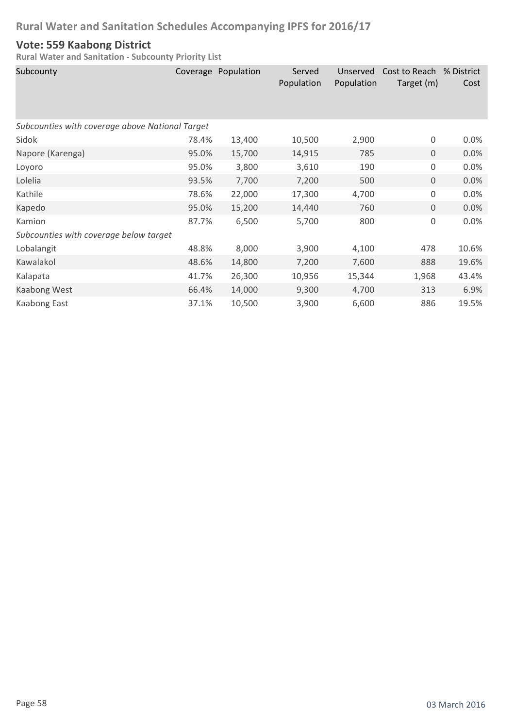#### **Vote: 559 Kaabong District**

| Subcounty                                       |       | Coverage Population | Served<br>Population | Unserved<br>Population | Cost to Reach<br>Target (m) | % District<br>Cost |  |  |
|-------------------------------------------------|-------|---------------------|----------------------|------------------------|-----------------------------|--------------------|--|--|
| Subcounties with coverage above National Target |       |                     |                      |                        |                             |                    |  |  |
| Sidok                                           | 78.4% | 13,400              | 10,500               | 2,900                  | 0                           | 0.0%               |  |  |
| Napore (Karenga)                                | 95.0% | 15,700              | 14,915               | 785                    | $\mathbf 0$                 | 0.0%               |  |  |
| Loyoro                                          | 95.0% | 3,800               | 3,610                | 190                    | 0                           | 0.0%               |  |  |
| Lolelia                                         | 93.5% | 7,700               | 7,200                | 500                    | $\overline{0}$              | 0.0%               |  |  |
| Kathile                                         | 78.6% | 22,000              | 17,300               | 4,700                  | 0                           | 0.0%               |  |  |
| Kapedo                                          | 95.0% | 15,200              | 14,440               | 760                    | $\overline{0}$              | 0.0%               |  |  |
| Kamion                                          | 87.7% | 6,500               | 5,700                | 800                    | $\mathsf 0$                 | 0.0%               |  |  |
| Subcounties with coverage below target          |       |                     |                      |                        |                             |                    |  |  |
| Lobalangit                                      | 48.8% | 8,000               | 3,900                | 4,100                  | 478                         | 10.6%              |  |  |
| Kawalakol                                       | 48.6% | 14,800              | 7,200                | 7,600                  | 888                         | 19.6%              |  |  |
| Kalapata                                        | 41.7% | 26,300              | 10,956               | 15,344                 | 1,968                       | 43.4%              |  |  |
| Kaabong West                                    | 66.4% | 14,000              | 9,300                | 4,700                  | 313                         | 6.9%               |  |  |
| Kaabong East                                    | 37.1% | 10,500              | 3,900                | 6,600                  | 886                         | 19.5%              |  |  |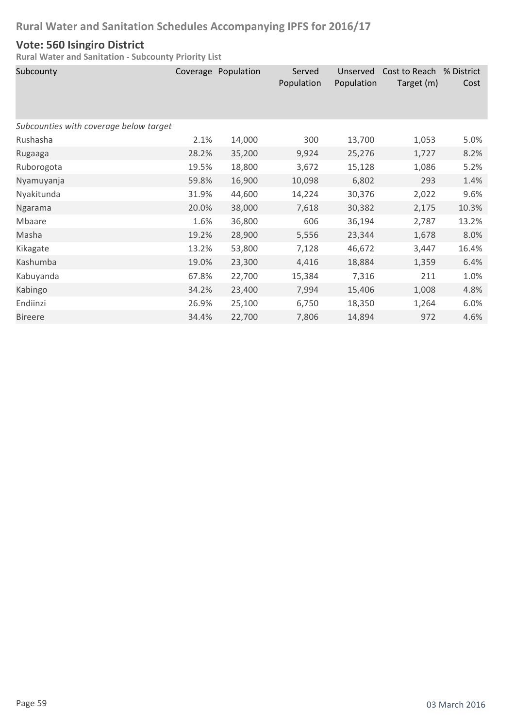#### **Vote: 560 Isingiro District**

| Subcounty                              |       | Coverage Population | Served<br>Population | Unserved<br>Population | Cost to Reach<br>Target (m) | % District<br>Cost |
|----------------------------------------|-------|---------------------|----------------------|------------------------|-----------------------------|--------------------|
| Subcounties with coverage below target |       |                     |                      |                        |                             |                    |
| Rushasha                               | 2.1%  | 14,000              | 300                  | 13,700                 | 1,053                       | 5.0%               |
| Rugaaga                                | 28.2% | 35,200              | 9,924                | 25,276                 | 1,727                       | 8.2%               |
| Ruborogota                             | 19.5% | 18,800              | 3,672                | 15,128                 | 1,086                       | 5.2%               |
| Nyamuyanja                             | 59.8% | 16,900              | 10,098               | 6,802                  | 293                         | 1.4%               |
| Nyakitunda                             | 31.9% | 44,600              | 14,224               | 30,376                 | 2,022                       | 9.6%               |
| Ngarama                                | 20.0% | 38,000              | 7,618                | 30,382                 | 2,175                       | 10.3%              |
| Mbaare                                 | 1.6%  | 36,800              | 606                  | 36,194                 | 2,787                       | 13.2%              |
| Masha                                  | 19.2% | 28,900              | 5,556                | 23,344                 | 1,678                       | 8.0%               |
| Kikagate                               | 13.2% | 53,800              | 7,128                | 46,672                 | 3,447                       | 16.4%              |
| Kashumba                               | 19.0% | 23,300              | 4,416                | 18,884                 | 1,359                       | 6.4%               |
| Kabuyanda                              | 67.8% | 22,700              | 15,384               | 7,316                  | 211                         | 1.0%               |
| Kabingo                                | 34.2% | 23,400              | 7,994                | 15,406                 | 1,008                       | 4.8%               |
| Endiinzi                               | 26.9% | 25,100              | 6,750                | 18,350                 | 1,264                       | 6.0%               |
| <b>Bireere</b>                         | 34.4% | 22,700              | 7,806                | 14,894                 | 972                         | 4.6%               |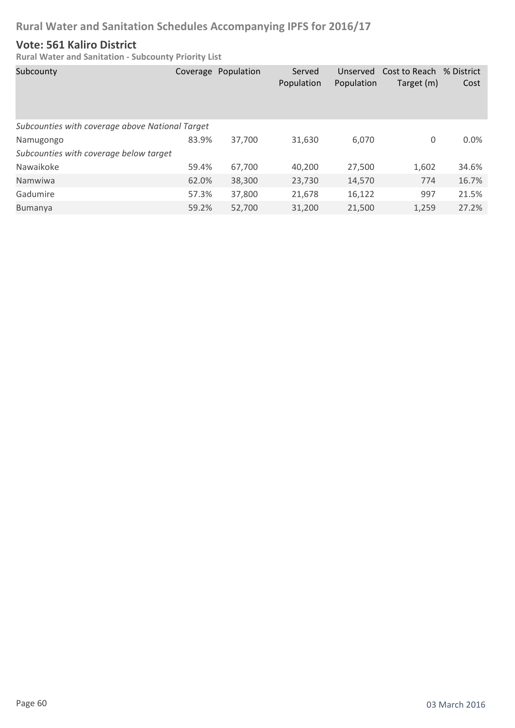#### **Vote: 561 Kaliro District**

| Subcounty                                       |       | Coverage Population | Served<br>Population | Unserved<br>Population | Cost to Reach % District<br>Target (m) | Cost    |
|-------------------------------------------------|-------|---------------------|----------------------|------------------------|----------------------------------------|---------|
| Subcounties with coverage above National Target |       |                     |                      |                        |                                        |         |
| Namugongo                                       | 83.9% | 37,700              | 31,630               | 6,070                  | 0                                      | $0.0\%$ |
| Subcounties with coverage below target          |       |                     |                      |                        |                                        |         |
| Nawaikoke                                       | 59.4% | 67,700              | 40,200               | 27,500                 | 1,602                                  | 34.6%   |
| Namwiwa                                         | 62.0% | 38,300              | 23,730               | 14,570                 | 774                                    | 16.7%   |
| Gadumire                                        | 57.3% | 37,800              | 21,678               | 16,122                 | 997                                    | 21.5%   |
| Bumanya                                         | 59.2% | 52,700              | 31,200               | 21,500                 | 1,259                                  | 27.2%   |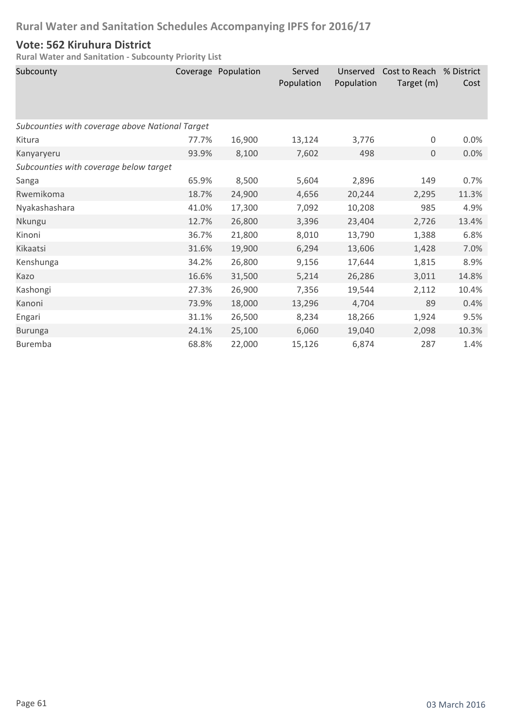#### **Vote: 562 Kiruhura District**

| Subcounty                                       |       | Coverage Population | Served<br>Population | Unserved<br>Population | Cost to Reach<br>Target (m) | % District<br>Cost |  |  |
|-------------------------------------------------|-------|---------------------|----------------------|------------------------|-----------------------------|--------------------|--|--|
| Subcounties with coverage above National Target |       |                     |                      |                        |                             |                    |  |  |
| Kitura                                          | 77.7% | 16,900              | 13,124               | 3,776                  | $\boldsymbol{0}$            | 0.0%               |  |  |
| Kanyaryeru                                      | 93.9% | 8,100               | 7,602                | 498                    | $\mathbf{0}$                | 0.0%               |  |  |
| Subcounties with coverage below target          |       |                     |                      |                        |                             |                    |  |  |
| Sanga                                           | 65.9% | 8,500               | 5,604                | 2,896                  | 149                         | 0.7%               |  |  |
| Rwemikoma                                       | 18.7% | 24,900              | 4,656                | 20,244                 | 2,295                       | 11.3%              |  |  |
| Nyakashashara                                   | 41.0% | 17,300              | 7,092                | 10,208                 | 985                         | 4.9%               |  |  |
| Nkungu                                          | 12.7% | 26,800              | 3,396                | 23,404                 | 2,726                       | 13.4%              |  |  |
| Kinoni                                          | 36.7% | 21,800              | 8,010                | 13,790                 | 1,388                       | 6.8%               |  |  |
| Kikaatsi                                        | 31.6% | 19,900              | 6,294                | 13,606                 | 1,428                       | 7.0%               |  |  |
| Kenshunga                                       | 34.2% | 26,800              | 9,156                | 17,644                 | 1,815                       | 8.9%               |  |  |
| Kazo                                            | 16.6% | 31,500              | 5,214                | 26,286                 | 3,011                       | 14.8%              |  |  |
| Kashongi                                        | 27.3% | 26,900              | 7,356                | 19,544                 | 2,112                       | 10.4%              |  |  |
| Kanoni                                          | 73.9% | 18,000              | 13,296               | 4,704                  | 89                          | 0.4%               |  |  |
| Engari                                          | 31.1% | 26,500              | 8,234                | 18,266                 | 1,924                       | 9.5%               |  |  |
| <b>Burunga</b>                                  | 24.1% | 25,100              | 6,060                | 19,040                 | 2,098                       | 10.3%              |  |  |
| <b>Buremba</b>                                  | 68.8% | 22,000              | 15,126               | 6,874                  | 287                         | 1.4%               |  |  |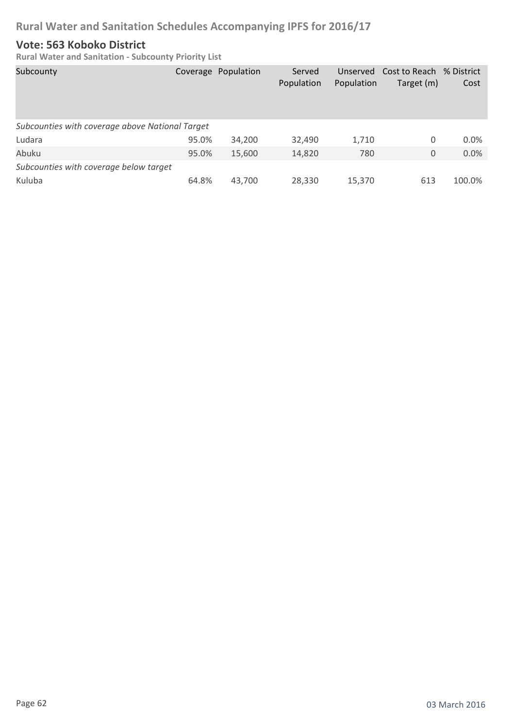#### **Vote: 563 Koboko District**

| Subcounty                                       |       | Coverage Population | Served<br>Population | Unserved<br>Population | Cost to Reach<br>Target (m) | % District<br>Cost |
|-------------------------------------------------|-------|---------------------|----------------------|------------------------|-----------------------------|--------------------|
| Subcounties with coverage above National Target |       |                     |                      |                        |                             |                    |
| Ludara                                          | 95.0% | 34,200              | 32,490               | 1,710                  | 0                           | 0.0%               |
| Abuku                                           | 95.0% | 15,600              | 14,820               | 780                    | 0                           | 0.0%               |
| Subcounties with coverage below target          |       |                     |                      |                        |                             |                    |
| Kuluba                                          | 64.8% | 43,700              | 28,330               | 15,370                 | 613                         | 100.0%             |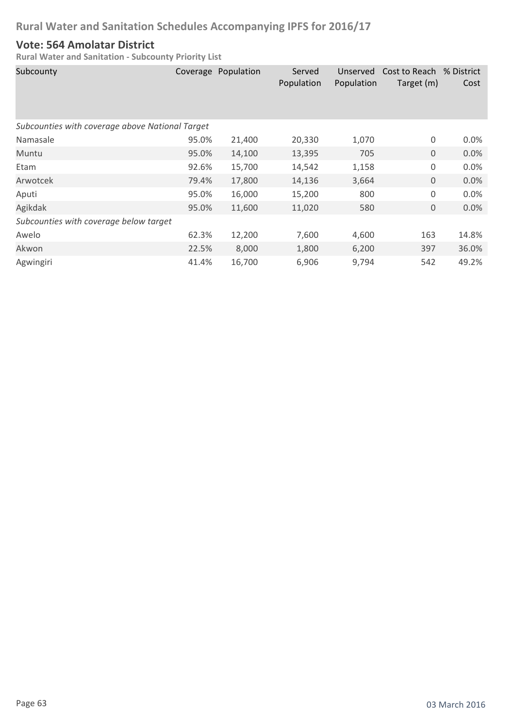#### **Vote: 564 Amolatar District**

| Subcounty                                       |       | Coverage Population | Served<br>Population | Unserved<br>Population | Cost to Reach % District<br>Target (m) | Cost  |  |  |
|-------------------------------------------------|-------|---------------------|----------------------|------------------------|----------------------------------------|-------|--|--|
| Subcounties with coverage above National Target |       |                     |                      |                        |                                        |       |  |  |
| Namasale                                        | 95.0% | 21,400              | 20,330               | 1,070                  | 0                                      | 0.0%  |  |  |
| Muntu                                           | 95.0% | 14,100              | 13,395               | 705                    | $\mathbf 0$                            | 0.0%  |  |  |
| Etam                                            | 92.6% | 15,700              | 14,542               | 1,158                  | $\mathsf 0$                            | 0.0%  |  |  |
| Arwotcek                                        | 79.4% | 17,800              | 14,136               | 3,664                  | $\mathbf 0$                            | 0.0%  |  |  |
| Aputi                                           | 95.0% | 16,000              | 15,200               | 800                    | 0                                      | 0.0%  |  |  |
| Agikdak                                         | 95.0% | 11,600              | 11,020               | 580                    | $\mathbf 0$                            | 0.0%  |  |  |
| Subcounties with coverage below target          |       |                     |                      |                        |                                        |       |  |  |
| Awelo                                           | 62.3% | 12,200              | 7,600                | 4,600                  | 163                                    | 14.8% |  |  |
| Akwon                                           | 22.5% | 8,000               | 1,800                | 6,200                  | 397                                    | 36.0% |  |  |
| Agwingiri                                       | 41.4% | 16,700              | 6,906                | 9,794                  | 542                                    | 49.2% |  |  |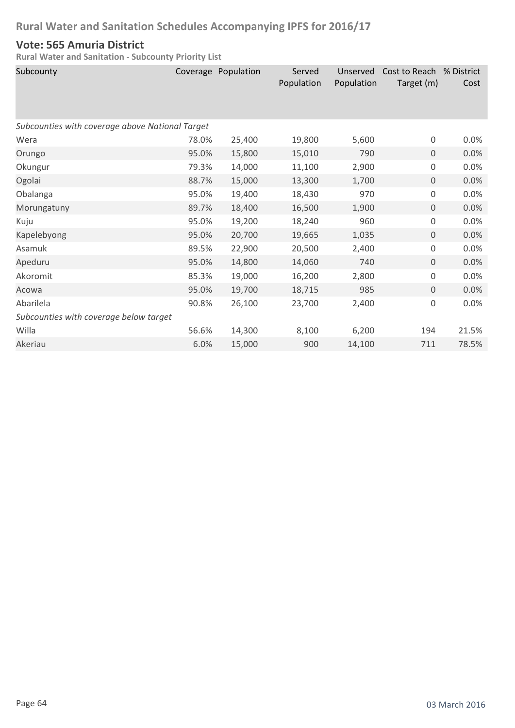#### **Vote: 565 Amuria District**

| Subcounty                                       |       | Coverage Population | Served<br>Population | Unserved<br>Population | Cost to Reach % District<br>Target (m) | Cost  |
|-------------------------------------------------|-------|---------------------|----------------------|------------------------|----------------------------------------|-------|
| Subcounties with coverage above National Target |       |                     |                      |                        |                                        |       |
| Wera                                            | 78.0% | 25,400              | 19,800               | 5,600                  | $\mathsf 0$                            | 0.0%  |
| Orungo                                          | 95.0% | 15,800              | 15,010               | 790                    | $\mathbf 0$                            | 0.0%  |
| Okungur                                         | 79.3% | 14,000              | 11,100               | 2,900                  | $\mathsf 0$                            | 0.0%  |
| Ogolai                                          | 88.7% | 15,000              | 13,300               | 1,700                  | $\mathbf 0$                            | 0.0%  |
| Obalanga                                        | 95.0% | 19,400              | 18,430               | 970                    | $\mathsf 0$                            | 0.0%  |
| Morungatuny                                     | 89.7% | 18,400              | 16,500               | 1,900                  | $\mathbf 0$                            | 0.0%  |
| Kuju                                            | 95.0% | 19,200              | 18,240               | 960                    | 0                                      | 0.0%  |
| Kapelebyong                                     | 95.0% | 20,700              | 19,665               | 1,035                  | $\mathbf 0$                            | 0.0%  |
| Asamuk                                          | 89.5% | 22,900              | 20,500               | 2,400                  | 0                                      | 0.0%  |
| Apeduru                                         | 95.0% | 14,800              | 14,060               | 740                    | $\mathbf 0$                            | 0.0%  |
| Akoromit                                        | 85.3% | 19,000              | 16,200               | 2,800                  | 0                                      | 0.0%  |
| Acowa                                           | 95.0% | 19,700              | 18,715               | 985                    | $\mathbf 0$                            | 0.0%  |
| Abarilela                                       | 90.8% | 26,100              | 23,700               | 2,400                  | 0                                      | 0.0%  |
| Subcounties with coverage below target          |       |                     |                      |                        |                                        |       |
| Willa                                           | 56.6% | 14,300              | 8,100                | 6,200                  | 194                                    | 21.5% |
| Akeriau                                         | 6.0%  | 15,000              | 900                  | 14,100                 | 711                                    | 78.5% |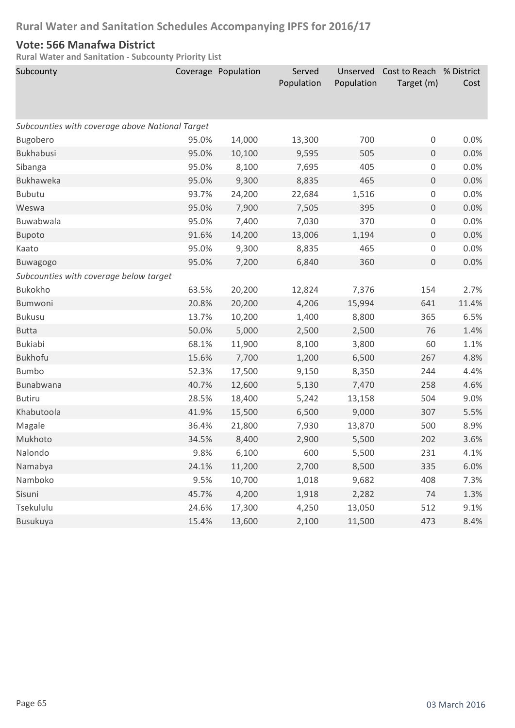#### **Vote: 566 Manafwa District**

| Subcounty                                       |       | Coverage Population | Served     | Unserved   | Cost to Reach % District |       |
|-------------------------------------------------|-------|---------------------|------------|------------|--------------------------|-------|
|                                                 |       |                     | Population | Population | Target (m)               | Cost  |
|                                                 |       |                     |            |            |                          |       |
| Subcounties with coverage above National Target |       |                     |            |            |                          |       |
| Bugobero                                        | 95.0% | 14,000              | 13,300     | 700        | 0                        | 0.0%  |
| <b>Bukhabusi</b>                                | 95.0% | 10,100              | 9,595      | 505        | $\boldsymbol{0}$         | 0.0%  |
| Sibanga                                         | 95.0% | 8,100               | 7,695      | 405        | $\mathsf 0$              | 0.0%  |
| Bukhaweka                                       | 95.0% | 9,300               | 8,835      | 465        | $\boldsymbol{0}$         | 0.0%  |
| <b>Bubutu</b>                                   | 93.7% | 24,200              | 22,684     | 1,516      | 0                        | 0.0%  |
| Weswa                                           | 95.0% | 7,900               | 7,505      | 395        | $\mathbf 0$              | 0.0%  |
| Buwabwala                                       | 95.0% | 7,400               | 7,030      | 370        | 0                        | 0.0%  |
| <b>Bupoto</b>                                   | 91.6% | 14,200              | 13,006     | 1,194      | $\mathsf{O}\xspace$      | 0.0%  |
| Kaato                                           | 95.0% | 9,300               | 8,835      | 465        | 0                        | 0.0%  |
| Buwagogo                                        | 95.0% | 7,200               | 6,840      | 360        | $\boldsymbol{0}$         | 0.0%  |
| Subcounties with coverage below target          |       |                     |            |            |                          |       |
| Bukokho                                         | 63.5% | 20,200              | 12,824     | 7,376      | 154                      | 2.7%  |
| <b>Bumwoni</b>                                  | 20.8% | 20,200              | 4,206      | 15,994     | 641                      | 11.4% |
| <b>Bukusu</b>                                   | 13.7% | 10,200              | 1,400      | 8,800      | 365                      | 6.5%  |
| <b>Butta</b>                                    | 50.0% | 5,000               | 2,500      | 2,500      | 76                       | 1.4%  |
| <b>Bukiabi</b>                                  | 68.1% | 11,900              | 8,100      | 3,800      | 60                       | 1.1%  |
| <b>Bukhofu</b>                                  | 15.6% | 7,700               | 1,200      | 6,500      | 267                      | 4.8%  |
| <b>Bumbo</b>                                    | 52.3% | 17,500              | 9,150      | 8,350      | 244                      | 4.4%  |
| Bunabwana                                       | 40.7% | 12,600              | 5,130      | 7,470      | 258                      | 4.6%  |
| <b>Butiru</b>                                   | 28.5% | 18,400              | 5,242      | 13,158     | 504                      | 9.0%  |
| Khabutoola                                      | 41.9% | 15,500              | 6,500      | 9,000      | 307                      | 5.5%  |
| Magale                                          | 36.4% | 21,800              | 7,930      | 13,870     | 500                      | 8.9%  |
| Mukhoto                                         | 34.5% | 8,400               | 2,900      | 5,500      | 202                      | 3.6%  |
| Nalondo                                         | 9.8%  | 6,100               | 600        | 5,500      | 231                      | 4.1%  |
| Namabya                                         | 24.1% | 11,200              | 2,700      | 8,500      | 335                      | 6.0%  |
| Namboko                                         | 9.5%  | 10,700              | 1,018      | 9,682      | 408                      | 7.3%  |
| Sisuni                                          | 45.7% | 4,200               | 1,918      | 2,282      | 74                       | 1.3%  |
| Tsekululu                                       | 24.6% | 17,300              | 4,250      | 13,050     | 512                      | 9.1%  |
| Busukuya                                        | 15.4% | 13,600              | 2,100      | 11,500     | 473                      | 8.4%  |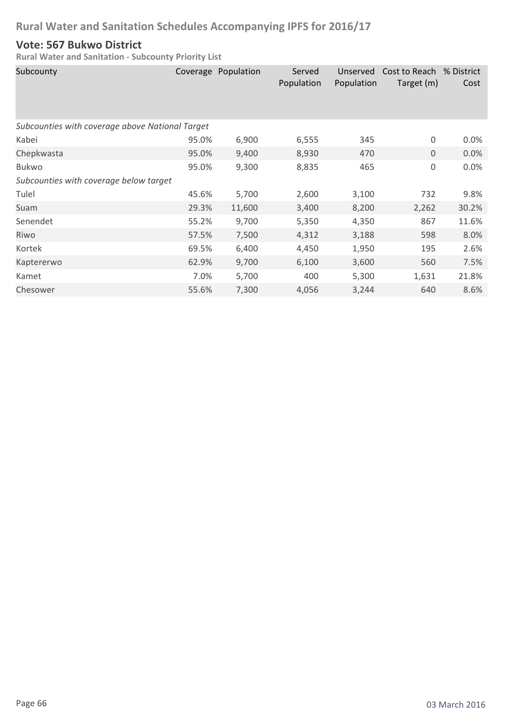#### **Vote: 567 Bukwo District**

| Subcounty                                       |       | Coverage Population | Served<br>Population | Unserved<br>Population | Cost to Reach % District<br>Target (m) | Cost  |
|-------------------------------------------------|-------|---------------------|----------------------|------------------------|----------------------------------------|-------|
| Subcounties with coverage above National Target |       |                     |                      |                        |                                        |       |
| Kabei                                           | 95.0% | 6,900               | 6,555                | 345                    | 0                                      | 0.0%  |
| Chepkwasta                                      | 95.0% | 9,400               | 8,930                | 470                    | $\mathbf{0}$                           | 0.0%  |
| <b>Bukwo</b>                                    | 95.0% | 9,300               | 8,835                | 465                    | 0                                      | 0.0%  |
| Subcounties with coverage below target          |       |                     |                      |                        |                                        |       |
| Tulel                                           | 45.6% | 5,700               | 2,600                | 3,100                  | 732                                    | 9.8%  |
| Suam                                            | 29.3% | 11,600              | 3,400                | 8,200                  | 2,262                                  | 30.2% |
| Senendet                                        | 55.2% | 9,700               | 5,350                | 4,350                  | 867                                    | 11.6% |
| Riwo                                            | 57.5% | 7,500               | 4,312                | 3,188                  | 598                                    | 8.0%  |
| Kortek                                          | 69.5% | 6,400               | 4,450                | 1,950                  | 195                                    | 2.6%  |
| Kaptererwo                                      | 62.9% | 9,700               | 6,100                | 3,600                  | 560                                    | 7.5%  |
| Kamet                                           | 7.0%  | 5,700               | 400                  | 5,300                  | 1,631                                  | 21.8% |
| Chesower                                        | 55.6% | 7,300               | 4,056                | 3,244                  | 640                                    | 8.6%  |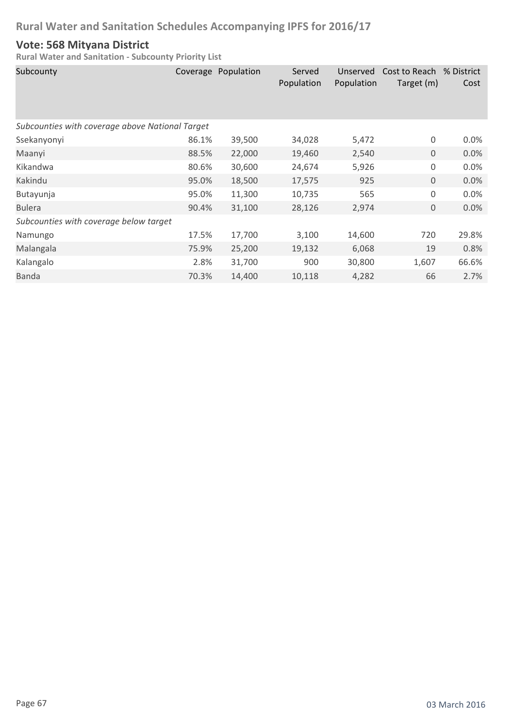#### **Vote: 568 Mityana District**

| Subcounty                                       |       | Coverage Population | Served<br>Population | Unserved<br>Population | Cost to Reach<br>Target (m) | % District<br>Cost |  |  |
|-------------------------------------------------|-------|---------------------|----------------------|------------------------|-----------------------------|--------------------|--|--|
| Subcounties with coverage above National Target |       |                     |                      |                        |                             |                    |  |  |
| Ssekanyonyi                                     | 86.1% | 39,500              | 34,028               | 5,472                  | 0                           | 0.0%               |  |  |
| Maanyi                                          | 88.5% | 22,000              | 19,460               | 2,540                  | $\mathbf 0$                 | 0.0%               |  |  |
| Kikandwa                                        | 80.6% | 30,600              | 24,674               | 5,926                  | 0                           | 0.0%               |  |  |
| Kakindu                                         | 95.0% | 18,500              | 17,575               | 925                    | $\mathbf 0$                 | 0.0%               |  |  |
| Butayunja                                       | 95.0% | 11,300              | 10,735               | 565                    | 0                           | 0.0%               |  |  |
| <b>Bulera</b>                                   | 90.4% | 31,100              | 28,126               | 2,974                  | 0                           | 0.0%               |  |  |
| Subcounties with coverage below target          |       |                     |                      |                        |                             |                    |  |  |
| Namungo                                         | 17.5% | 17,700              | 3,100                | 14,600                 | 720                         | 29.8%              |  |  |
| Malangala                                       | 75.9% | 25,200              | 19,132               | 6,068                  | 19                          | 0.8%               |  |  |
| Kalangalo                                       | 2.8%  | 31,700              | 900                  | 30,800                 | 1,607                       | 66.6%              |  |  |
| <b>Banda</b>                                    | 70.3% | 14,400              | 10,118               | 4,282                  | 66                          | 2.7%               |  |  |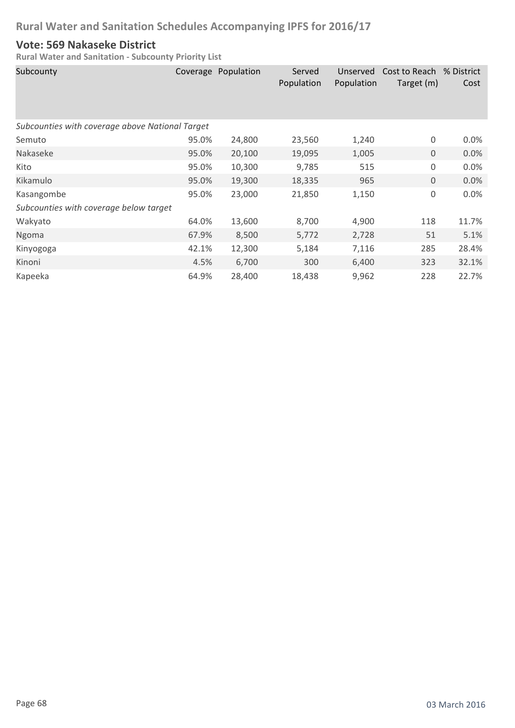### **Vote: 569 Nakaseke District**

| Subcounty                                       |       | Coverage Population | Served<br>Population | Unserved<br>Population | Cost to Reach % District<br>Target (m) | Cost    |  |  |
|-------------------------------------------------|-------|---------------------|----------------------|------------------------|----------------------------------------|---------|--|--|
| Subcounties with coverage above National Target |       |                     |                      |                        |                                        |         |  |  |
| Semuto                                          | 95.0% | 24,800              | 23,560               | 1,240                  | $\boldsymbol{0}$                       | $0.0\%$ |  |  |
| Nakaseke                                        | 95.0% | 20,100              | 19,095               | 1,005                  | $\mathbf 0$                            | 0.0%    |  |  |
| Kito                                            | 95.0% | 10,300              | 9,785                | 515                    | $\boldsymbol{0}$                       | 0.0%    |  |  |
| Kikamulo                                        | 95.0% | 19,300              | 18,335               | 965                    | $\mathsf{O}\xspace$                    | 0.0%    |  |  |
| Kasangombe                                      | 95.0% | 23,000              | 21,850               | 1,150                  | $\mathbf 0$                            | 0.0%    |  |  |
| Subcounties with coverage below target          |       |                     |                      |                        |                                        |         |  |  |
| Wakyato                                         | 64.0% | 13,600              | 8,700                | 4,900                  | 118                                    | 11.7%   |  |  |
| Ngoma                                           | 67.9% | 8,500               | 5,772                | 2,728                  | 51                                     | 5.1%    |  |  |
| Kinyogoga                                       | 42.1% | 12,300              | 5,184                | 7,116                  | 285                                    | 28.4%   |  |  |
| Kinoni                                          | 4.5%  | 6,700               | 300                  | 6,400                  | 323                                    | 32.1%   |  |  |
| Kapeeka                                         | 64.9% | 28,400              | 18,438               | 9,962                  | 228                                    | 22.7%   |  |  |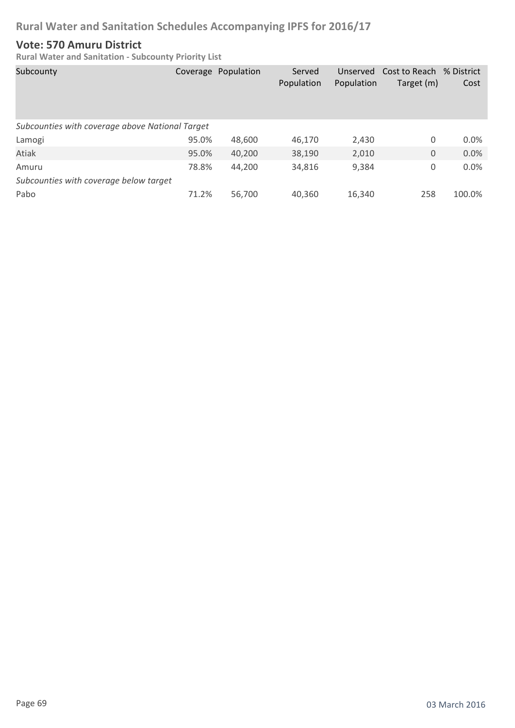#### **Vote: 570 Amuru District**

| Subcounty                                       |       | Coverage Population | Served<br>Population | Unserved<br>Population | Cost to Reach % District<br>Target (m) | Cost    |  |
|-------------------------------------------------|-------|---------------------|----------------------|------------------------|----------------------------------------|---------|--|
| Subcounties with coverage above National Target |       |                     |                      |                        |                                        |         |  |
| Lamogi                                          | 95.0% | 48,600              | 46,170               | 2,430                  | 0                                      | $0.0\%$ |  |
| Atiak                                           | 95.0% | 40,200              | 38,190               | 2,010                  | 0                                      | 0.0%    |  |
| Amuru                                           | 78.8% | 44,200              | 34,816               | 9,384                  | 0                                      | 0.0%    |  |
| Subcounties with coverage below target          |       |                     |                      |                        |                                        |         |  |
| Pabo                                            | 71.2% | 56,700              | 40,360               | 16,340                 | 258                                    | 100.0%  |  |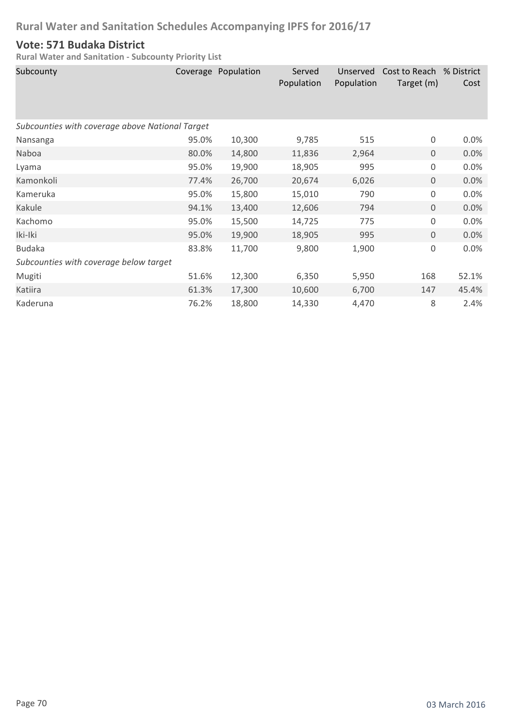### **Vote: 571 Budaka District**

| Subcounty                                       |       | Coverage Population | Served<br>Population | Unserved<br>Population | Cost to Reach % District<br>Target (m) | Cost  |  |  |
|-------------------------------------------------|-------|---------------------|----------------------|------------------------|----------------------------------------|-------|--|--|
| Subcounties with coverage above National Target |       |                     |                      |                        |                                        |       |  |  |
| Nansanga                                        | 95.0% | 10,300              | 9,785                | 515                    | 0                                      | 0.0%  |  |  |
| Naboa                                           | 80.0% | 14,800              | 11,836               | 2,964                  | $\mathbf 0$                            | 0.0%  |  |  |
| Lyama                                           | 95.0% | 19,900              | 18,905               | 995                    | 0                                      | 0.0%  |  |  |
| Kamonkoli                                       | 77.4% | 26,700              | 20,674               | 6,026                  | 0                                      | 0.0%  |  |  |
| Kameruka                                        | 95.0% | 15,800              | 15,010               | 790                    | 0                                      | 0.0%  |  |  |
| Kakule                                          | 94.1% | 13,400              | 12,606               | 794                    | $\mathbf 0$                            | 0.0%  |  |  |
| Kachomo                                         | 95.0% | 15,500              | 14,725               | 775                    | $\mathbf 0$                            | 0.0%  |  |  |
| Iki-Iki                                         | 95.0% | 19,900              | 18,905               | 995                    | $\mathbf 0$                            | 0.0%  |  |  |
| <b>Budaka</b>                                   | 83.8% | 11,700              | 9,800                | 1,900                  | 0                                      | 0.0%  |  |  |
| Subcounties with coverage below target          |       |                     |                      |                        |                                        |       |  |  |
| Mugiti                                          | 51.6% | 12,300              | 6,350                | 5,950                  | 168                                    | 52.1% |  |  |
| Katiira                                         | 61.3% | 17,300              | 10,600               | 6,700                  | 147                                    | 45.4% |  |  |
| Kaderuna                                        | 76.2% | 18,800              | 14,330               | 4,470                  | 8                                      | 2.4%  |  |  |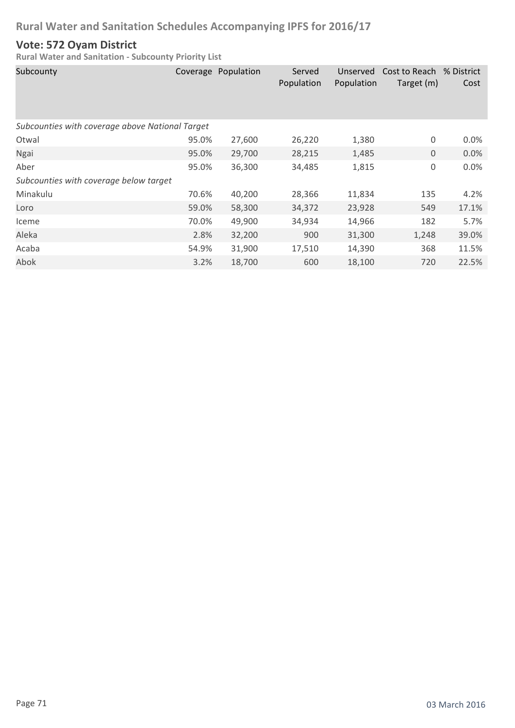### **Vote: 572 Oyam District**

| Subcounty                                       |       | Coverage Population | Served<br>Population | Unserved<br>Population | Cost to Reach % District<br>Target (m) | Cost    |  |  |
|-------------------------------------------------|-------|---------------------|----------------------|------------------------|----------------------------------------|---------|--|--|
| Subcounties with coverage above National Target |       |                     |                      |                        |                                        |         |  |  |
| Otwal                                           | 95.0% | 27,600              | 26,220               | 1,380                  | 0                                      | $0.0\%$ |  |  |
| Ngai                                            | 95.0% | 29,700              | 28,215               | 1,485                  | $\mathbf 0$                            | 0.0%    |  |  |
| Aber                                            | 95.0% | 36,300              | 34,485               | 1,815                  | $\mathsf 0$                            | 0.0%    |  |  |
| Subcounties with coverage below target          |       |                     |                      |                        |                                        |         |  |  |
| Minakulu                                        | 70.6% | 40,200              | 28,366               | 11,834                 | 135                                    | 4.2%    |  |  |
| Loro                                            | 59.0% | 58,300              | 34,372               | 23,928                 | 549                                    | 17.1%   |  |  |
| Iceme                                           | 70.0% | 49,900              | 34,934               | 14,966                 | 182                                    | 5.7%    |  |  |
| Aleka                                           | 2.8%  | 32,200              | 900                  | 31,300                 | 1,248                                  | 39.0%   |  |  |
| Acaba                                           | 54.9% | 31,900              | 17,510               | 14,390                 | 368                                    | 11.5%   |  |  |
| Abok                                            | 3.2%  | 18,700              | 600                  | 18,100                 | 720                                    | 22.5%   |  |  |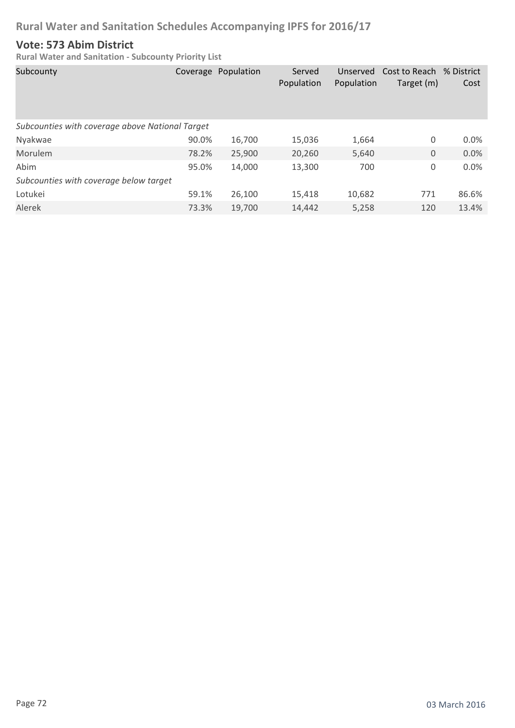#### **Vote: 573 Abim District**

| Subcounty                                       |       | Coverage Population | Served<br>Population | Unserved<br>Population | Cost to Reach % District<br>Target (m) | Cost    |  |  |
|-------------------------------------------------|-------|---------------------|----------------------|------------------------|----------------------------------------|---------|--|--|
| Subcounties with coverage above National Target |       |                     |                      |                        |                                        |         |  |  |
| Nyakwae                                         | 90.0% | 16,700              | 15,036               | 1,664                  | 0                                      | $0.0\%$ |  |  |
| Morulem                                         | 78.2% | 25,900              | 20,260               | 5,640                  | 0                                      | 0.0%    |  |  |
| Abim                                            | 95.0% | 14,000              | 13,300               | 700                    | 0                                      | 0.0%    |  |  |
| Subcounties with coverage below target          |       |                     |                      |                        |                                        |         |  |  |
| Lotukei                                         | 59.1% | 26,100              | 15,418               | 10,682                 | 771                                    | 86.6%   |  |  |
| Alerek                                          | 73.3% | 19,700              | 14,442               | 5,258                  | 120                                    | 13.4%   |  |  |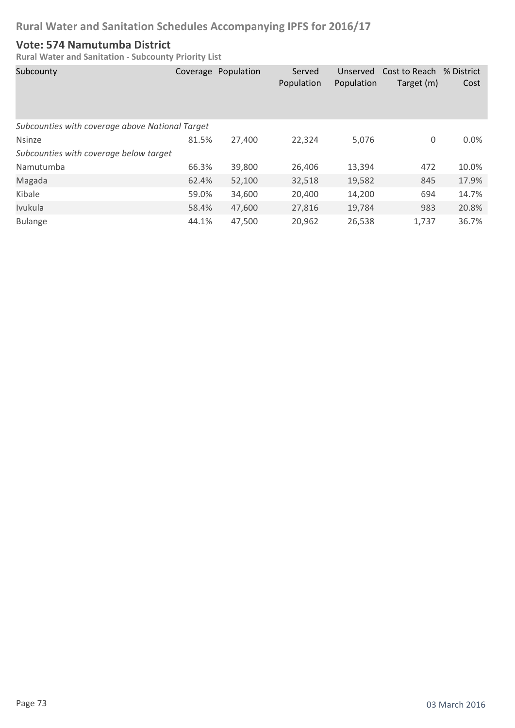#### **Vote: 574 Namutumba District**

| Subcounty                                       |       | Coverage Population | Served<br>Population | Unserved<br>Population | Cost to Reach % District<br>Target (m) | Cost    |
|-------------------------------------------------|-------|---------------------|----------------------|------------------------|----------------------------------------|---------|
| Subcounties with coverage above National Target |       |                     |                      |                        |                                        |         |
| <b>Nsinze</b>                                   | 81.5% | 27,400              | 22,324               | 5,076                  | 0                                      | $0.0\%$ |
| Subcounties with coverage below target          |       |                     |                      |                        |                                        |         |
| Namutumba                                       | 66.3% | 39,800              | 26,406               | 13,394                 | 472                                    | 10.0%   |
| Magada                                          | 62.4% | 52,100              | 32,518               | 19,582                 | 845                                    | 17.9%   |
| Kibale                                          | 59.0% | 34,600              | 20,400               | 14,200                 | 694                                    | 14.7%   |
| Ivukula                                         | 58.4% | 47,600              | 27,816               | 19,784                 | 983                                    | 20.8%   |
| <b>Bulange</b>                                  | 44.1% | 47,500              | 20,962               | 26,538                 | 1,737                                  | 36.7%   |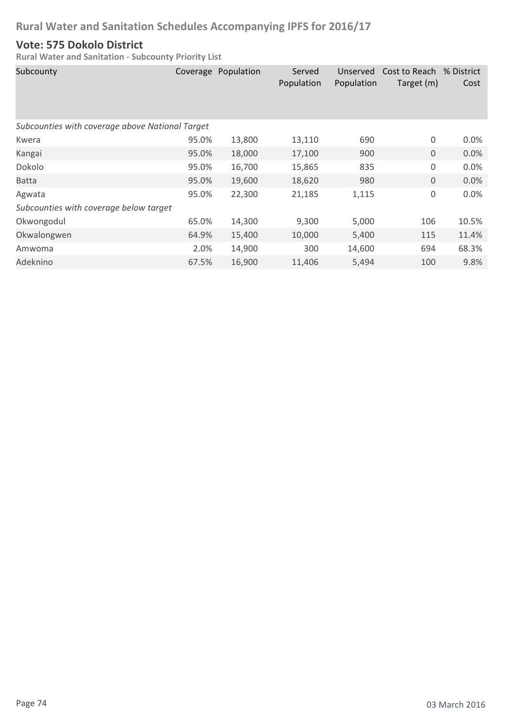#### **Vote: 575 Dokolo District**

| Subcounty                                       |       | Coverage Population | Served<br>Population | Unserved<br>Population | Cost to Reach % District<br>Target (m) | Cost    |  |  |
|-------------------------------------------------|-------|---------------------|----------------------|------------------------|----------------------------------------|---------|--|--|
| Subcounties with coverage above National Target |       |                     |                      |                        |                                        |         |  |  |
| Kwera                                           | 95.0% | 13,800              | 13,110               | 690                    | 0                                      | $0.0\%$ |  |  |
| Kangai                                          | 95.0% | 18,000              | 17,100               | 900                    | $\mathbf 0$                            | 0.0%    |  |  |
| Dokolo                                          | 95.0% | 16,700              | 15,865               | 835                    | 0                                      | 0.0%    |  |  |
| <b>Batta</b>                                    | 95.0% | 19,600              | 18,620               | 980                    | $\mathbf 0$                            | 0.0%    |  |  |
| Agwata                                          | 95.0% | 22,300              | 21,185               | 1,115                  | $\mathsf 0$                            | 0.0%    |  |  |
| Subcounties with coverage below target          |       |                     |                      |                        |                                        |         |  |  |
| Okwongodul                                      | 65.0% | 14,300              | 9,300                | 5,000                  | 106                                    | 10.5%   |  |  |
| Okwalongwen                                     | 64.9% | 15,400              | 10,000               | 5,400                  | 115                                    | 11.4%   |  |  |
| Amwoma                                          | 2.0%  | 14,900              | 300                  | 14,600                 | 694                                    | 68.3%   |  |  |
| Adeknino                                        | 67.5% | 16,900              | 11,406               | 5,494                  | 100                                    | 9.8%    |  |  |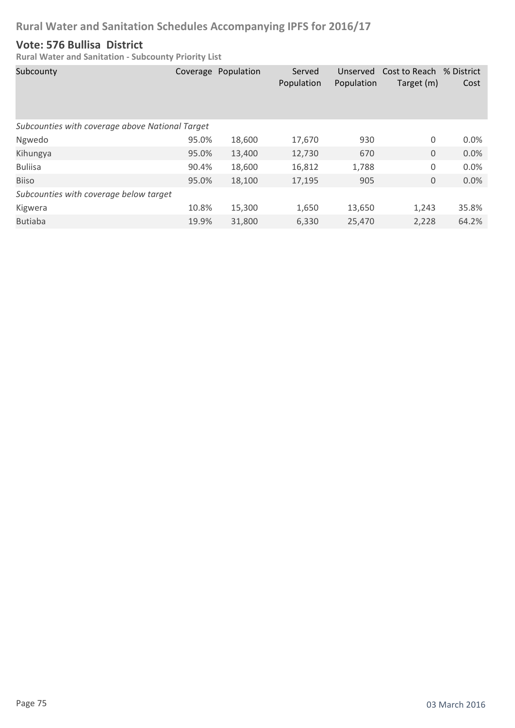#### **Vote: 576 Bullisa District**

| Subcounty                                       |       | Coverage Population | Served<br>Population | Unserved<br>Population | Cost to Reach<br>Target (m) | % District<br>Cost |
|-------------------------------------------------|-------|---------------------|----------------------|------------------------|-----------------------------|--------------------|
| Subcounties with coverage above National Target |       |                     |                      |                        |                             |                    |
| Ngwedo                                          | 95.0% | 18,600              | 17,670               | 930                    | 0                           | 0.0%               |
| Kihungya                                        | 95.0% | 13,400              | 12,730               | 670                    | $\mathbf 0$                 | 0.0%               |
| <b>Buliisa</b>                                  | 90.4% | 18,600              | 16,812               | 1,788                  | 0                           | 0.0%               |
| <b>Biiso</b>                                    | 95.0% | 18,100              | 17,195               | 905                    | $\mathbf 0$                 | 0.0%               |
| Subcounties with coverage below target          |       |                     |                      |                        |                             |                    |
| Kigwera                                         | 10.8% | 15,300              | 1,650                | 13,650                 | 1,243                       | 35.8%              |
| <b>Butiaba</b>                                  | 19.9% | 31,800              | 6,330                | 25,470                 | 2,228                       | 64.2%              |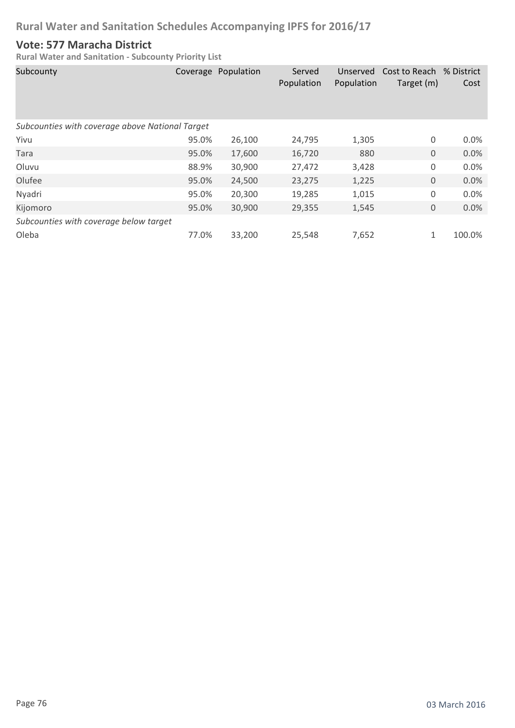#### **Vote: 577 Maracha District**

| Subcounty                                       |       | Coverage Population | Served<br>Population | Unserved<br>Population | Cost to Reach<br>Target (m) | % District<br>Cost |
|-------------------------------------------------|-------|---------------------|----------------------|------------------------|-----------------------------|--------------------|
| Subcounties with coverage above National Target |       |                     |                      |                        |                             |                    |
| Yivu                                            | 95.0% | 26,100              | 24,795               | 1,305                  | 0                           | 0.0%               |
| Tara                                            | 95.0% | 17,600              | 16,720               | 880                    | $\mathbf 0$                 | 0.0%               |
| Oluvu                                           | 88.9% | 30,900              | 27,472               | 3,428                  | 0                           | 0.0%               |
| Olufee                                          | 95.0% | 24,500              | 23,275               | 1,225                  | 0                           | 0.0%               |
| Nyadri                                          | 95.0% | 20,300              | 19,285               | 1,015                  | 0                           | 0.0%               |
| Kijomoro                                        | 95.0% | 30,900              | 29,355               | 1,545                  | 0                           | 0.0%               |
| Subcounties with coverage below target          |       |                     |                      |                        |                             |                    |
| Oleba                                           | 77.0% | 33,200              | 25,548               | 7,652                  | 1                           | 100.0%             |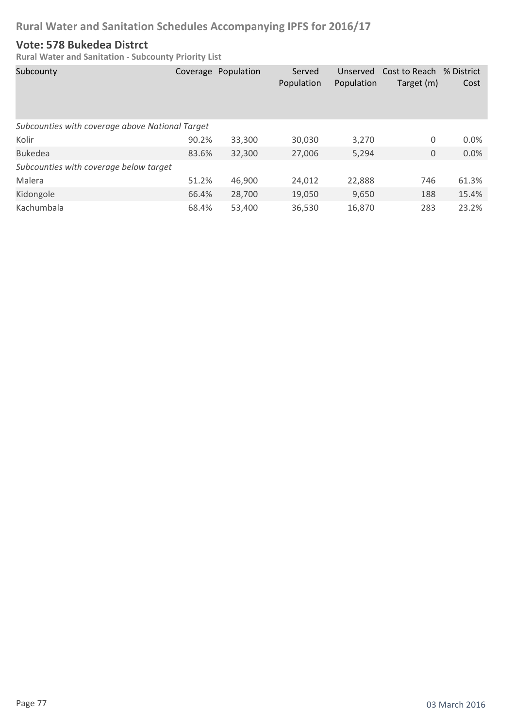#### **Vote: 578 Bukedea Distrct**

| Subcounty                                       |       | Coverage Population | Served<br>Population | Unserved<br>Population | Cost to Reach % District<br>Target (m) | Cost    |
|-------------------------------------------------|-------|---------------------|----------------------|------------------------|----------------------------------------|---------|
| Subcounties with coverage above National Target |       |                     |                      |                        |                                        |         |
| Kolir                                           | 90.2% | 33,300              | 30,030               | 3,270                  | 0                                      | $0.0\%$ |
| <b>Bukedea</b>                                  | 83.6% | 32,300              | 27,006               | 5,294                  | 0                                      | 0.0%    |
| Subcounties with coverage below target          |       |                     |                      |                        |                                        |         |
| Malera                                          | 51.2% | 46,900              | 24.012               | 22,888                 | 746                                    | 61.3%   |
| Kidongole                                       | 66.4% | 28,700              | 19,050               | 9,650                  | 188                                    | 15.4%   |
| Kachumbala                                      | 68.4% | 53.400              | 36,530               | 16,870                 | 283                                    | 23.2%   |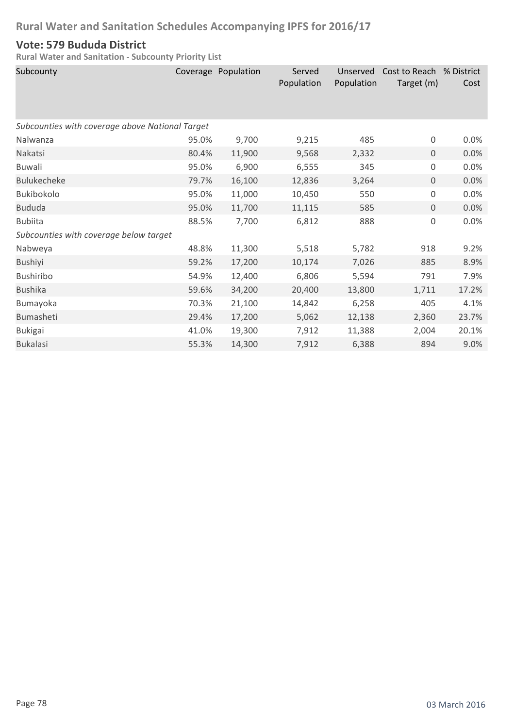#### **Vote: 579 Bududa District**

| Subcounty                                       |       | Coverage Population | Served<br>Population | Unserved<br>Population | Cost to Reach % District<br>Target (m) | Cost  |
|-------------------------------------------------|-------|---------------------|----------------------|------------------------|----------------------------------------|-------|
| Subcounties with coverage above National Target |       |                     |                      |                        |                                        |       |
| Nalwanza                                        | 95.0% | 9,700               | 9,215                | 485                    | $\mathsf 0$                            | 0.0%  |
| Nakatsi                                         | 80.4% | 11,900              | 9,568                | 2,332                  | $\mathbf 0$                            | 0.0%  |
| <b>Buwali</b>                                   | 95.0% | 6,900               | 6,555                | 345                    | $\boldsymbol{0}$                       | 0.0%  |
| <b>Bulukecheke</b>                              | 79.7% | 16,100              | 12,836               | 3,264                  | $\mathbf 0$                            | 0.0%  |
| Bukibokolo                                      | 95.0% | 11,000              | 10,450               | 550                    | 0                                      | 0.0%  |
| <b>Bududa</b>                                   | 95.0% | 11,700              | 11,115               | 585                    | $\mathbf 0$                            | 0.0%  |
| <b>Bubiita</b>                                  | 88.5% | 7,700               | 6,812                | 888                    | $\boldsymbol{0}$                       | 0.0%  |
| Subcounties with coverage below target          |       |                     |                      |                        |                                        |       |
| Nabweya                                         | 48.8% | 11,300              | 5,518                | 5,782                  | 918                                    | 9.2%  |
| <b>Bushiyi</b>                                  | 59.2% | 17,200              | 10,174               | 7,026                  | 885                                    | 8.9%  |
| Bushiribo                                       | 54.9% | 12,400              | 6,806                | 5,594                  | 791                                    | 7.9%  |
| <b>Bushika</b>                                  | 59.6% | 34,200              | 20,400               | 13,800                 | 1,711                                  | 17.2% |
| Bumayoka                                        | 70.3% | 21,100              | 14,842               | 6,258                  | 405                                    | 4.1%  |
| Bumasheti                                       | 29.4% | 17,200              | 5,062                | 12,138                 | 2,360                                  | 23.7% |
| <b>Bukigai</b>                                  | 41.0% | 19,300              | 7,912                | 11,388                 | 2,004                                  | 20.1% |
| <b>Bukalasi</b>                                 | 55.3% | 14,300              | 7,912                | 6,388                  | 894                                    | 9.0%  |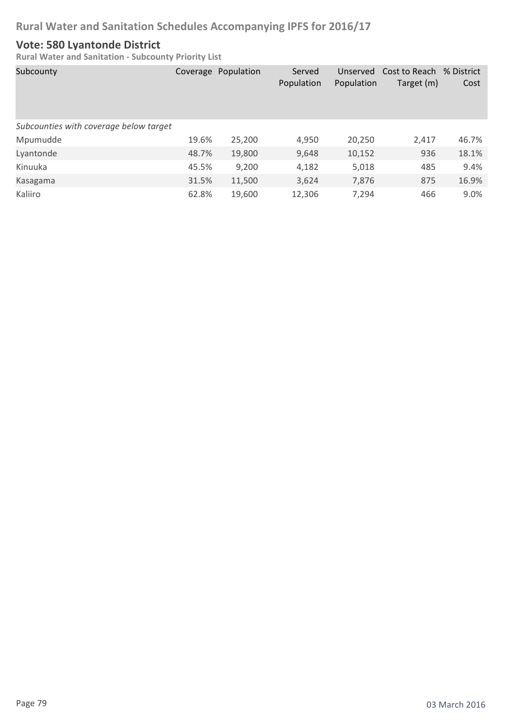#### **Vote: 580 Lyantonde District**

| Subcounty                              |       | Coverage Population | Served<br>Population | Unserved<br>Population | Cost to Reach % District<br>Target (m) | Cost  |
|----------------------------------------|-------|---------------------|----------------------|------------------------|----------------------------------------|-------|
| Subcounties with coverage below target |       |                     |                      |                        |                                        |       |
| Mpumudde                               | 19.6% | 25,200              | 4,950                | 20,250                 | 2,417                                  | 46.7% |
| Lyantonde                              | 48.7% | 19,800              | 9,648                | 10,152                 | 936                                    | 18.1% |
| Kinuuka                                | 45.5% | 9,200               | 4,182                | 5,018                  | 485                                    | 9.4%  |
| Kasagama                               | 31.5% | 11,500              | 3,624                | 7,876                  | 875                                    | 16.9% |
| Kaliiro                                | 62.8% | 19,600              | 12,306               | 7,294                  | 466                                    | 9.0%  |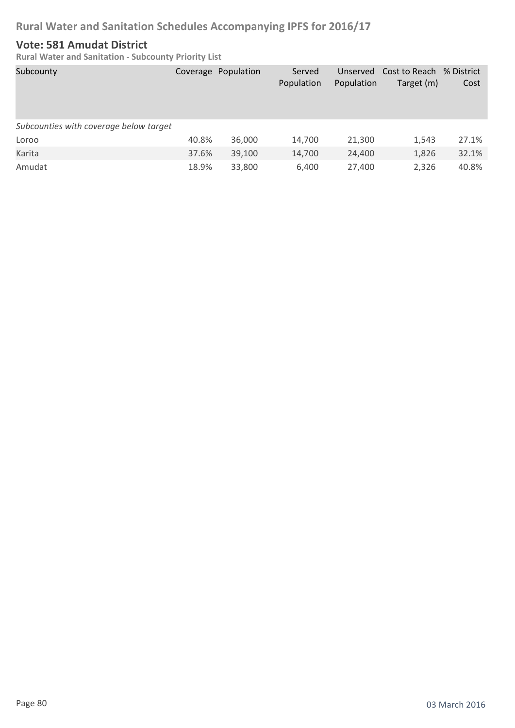#### **Vote: 581 Amudat District**

| Subcounty                              |       | Coverage Population | Served<br>Population | Population | Unserved Cost to Reach<br>Target (m) | % District<br>Cost |
|----------------------------------------|-------|---------------------|----------------------|------------|--------------------------------------|--------------------|
| Subcounties with coverage below target |       |                     |                      |            |                                      |                    |
| Loroo                                  | 40.8% | 36,000              | 14,700               | 21,300     | 1,543                                | 27.1%              |
| Karita                                 | 37.6% | 39,100              | 14,700               | 24,400     | 1,826                                | 32.1%              |
| Amudat                                 | 18.9% | 33,800              | 6,400                | 27,400     | 2,326                                | 40.8%              |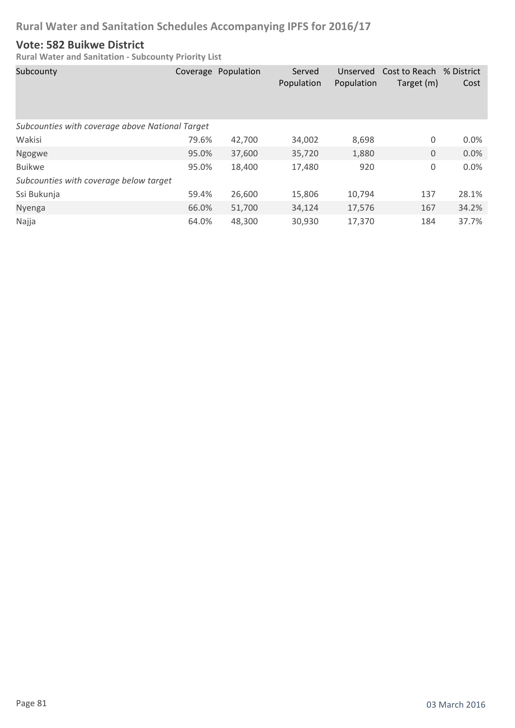#### **Vote: 582 Buikwe District**

| Subcounty                                       |       | Coverage Population | Served<br>Population | Unserved<br>Population | Cost to Reach<br>Target (m) | % District<br>Cost |
|-------------------------------------------------|-------|---------------------|----------------------|------------------------|-----------------------------|--------------------|
| Subcounties with coverage above National Target |       |                     |                      |                        |                             |                    |
| Wakisi                                          | 79.6% | 42,700              | 34,002               | 8,698                  | 0                           | 0.0%               |
| Ngogwe                                          | 95.0% | 37,600              | 35,720               | 1,880                  | $\boldsymbol{0}$            | 0.0%               |
| <b>Buikwe</b>                                   | 95.0% | 18,400              | 17,480               | 920                    | 0                           | 0.0%               |
| Subcounties with coverage below target          |       |                     |                      |                        |                             |                    |
| Ssi Bukunja                                     | 59.4% | 26,600              | 15,806               | 10,794                 | 137                         | 28.1%              |
| Nyenga                                          | 66.0% | 51,700              | 34,124               | 17,576                 | 167                         | 34.2%              |
| Najja                                           | 64.0% | 48,300              | 30,930               | 17,370                 | 184                         | 37.7%              |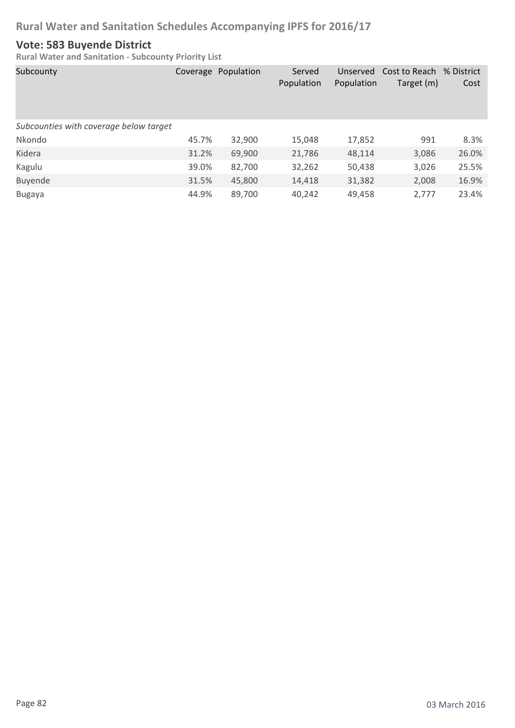#### **Vote: 583 Buyende District**

| Subcounty                              |       | Coverage Population | Served<br>Population | Unserved<br>Population | Cost to Reach<br>Target (m) | % District<br>Cost |
|----------------------------------------|-------|---------------------|----------------------|------------------------|-----------------------------|--------------------|
| Subcounties with coverage below target |       |                     |                      |                        |                             |                    |
| Nkondo                                 | 45.7% | 32,900              | 15,048               | 17,852                 | 991                         | 8.3%               |
| Kidera                                 | 31.2% | 69,900              | 21,786               | 48,114                 | 3,086                       | 26.0%              |
| Kagulu                                 | 39.0% | 82,700              | 32,262               | 50,438                 | 3,026                       | 25.5%              |
| Buyende                                | 31.5% | 45,800              | 14,418               | 31,382                 | 2,008                       | 16.9%              |
| <b>Bugaya</b>                          | 44.9% | 89,700              | 40,242               | 49,458                 | 2,777                       | 23.4%              |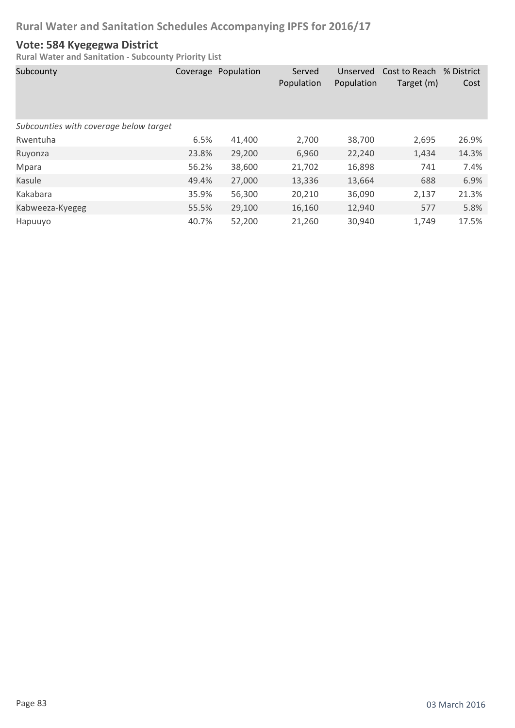#### **Vote: 584 Kyegegwa District**

| Subcounty                              |       | Coverage Population | Served<br>Population | Unserved<br>Population | Cost to Reach % District<br>Target (m) | Cost  |
|----------------------------------------|-------|---------------------|----------------------|------------------------|----------------------------------------|-------|
| Subcounties with coverage below target |       |                     |                      |                        |                                        |       |
| Rwentuha                               | 6.5%  | 41,400              | 2,700                | 38,700                 | 2,695                                  | 26.9% |
| Ruyonza                                | 23.8% | 29,200              | 6,960                | 22,240                 | 1,434                                  | 14.3% |
| Mpara                                  | 56.2% | 38,600              | 21,702               | 16,898                 | 741                                    | 7.4%  |
| Kasule                                 | 49.4% | 27,000              | 13,336               | 13,664                 | 688                                    | 6.9%  |
| Kakabara                               | 35.9% | 56,300              | 20,210               | 36,090                 | 2,137                                  | 21.3% |
| Kabweeza-Kyegeg                        | 55.5% | 29,100              | 16,160               | 12,940                 | 577                                    | 5.8%  |
| Hapuuyo                                | 40.7% | 52,200              | 21,260               | 30,940                 | 1,749                                  | 17.5% |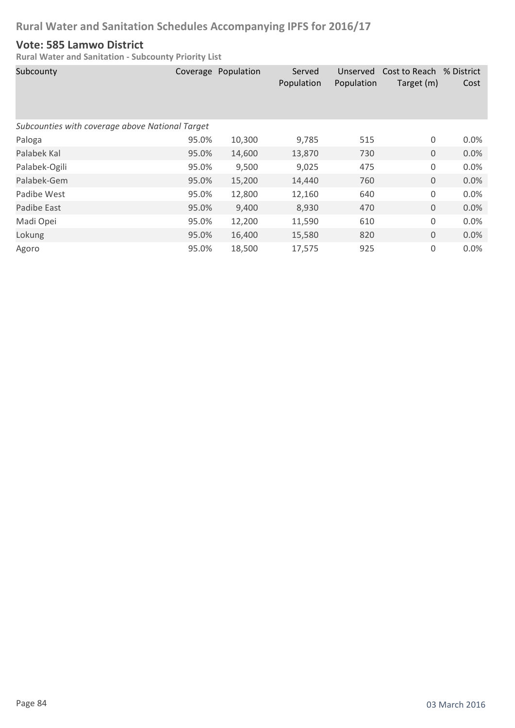#### **Vote: 585 Lamwo District**

| Subcounty                                       |       | Coverage Population | Served<br>Population | Unserved<br>Population | Cost to Reach % District<br>Target (m) | Cost    |  |  |
|-------------------------------------------------|-------|---------------------|----------------------|------------------------|----------------------------------------|---------|--|--|
| Subcounties with coverage above National Target |       |                     |                      |                        |                                        |         |  |  |
| Paloga                                          | 95.0% | 10,300              | 9,785                | 515                    | 0                                      | $0.0\%$ |  |  |
| Palabek Kal                                     | 95.0% | 14,600              | 13,870               | 730                    | $\overline{0}$                         | 0.0%    |  |  |
| Palabek-Ogili                                   | 95.0% | 9,500               | 9,025                | 475                    | $\mathbf 0$                            | 0.0%    |  |  |
| Palabek-Gem                                     | 95.0% | 15,200              | 14,440               | 760                    | $\mathbf 0$                            | 0.0%    |  |  |
| Padibe West                                     | 95.0% | 12,800              | 12,160               | 640                    | 0                                      | 0.0%    |  |  |
| Padibe East                                     | 95.0% | 9,400               | 8,930                | 470                    | $\mathbf 0$                            | 0.0%    |  |  |
| Madi Opei                                       | 95.0% | 12,200              | 11,590               | 610                    | 0                                      | 0.0%    |  |  |
| Lokung                                          | 95.0% | 16,400              | 15,580               | 820                    | $\mathbf 0$                            | 0.0%    |  |  |
| Agoro                                           | 95.0% | 18,500              | 17,575               | 925                    | 0                                      | 0.0%    |  |  |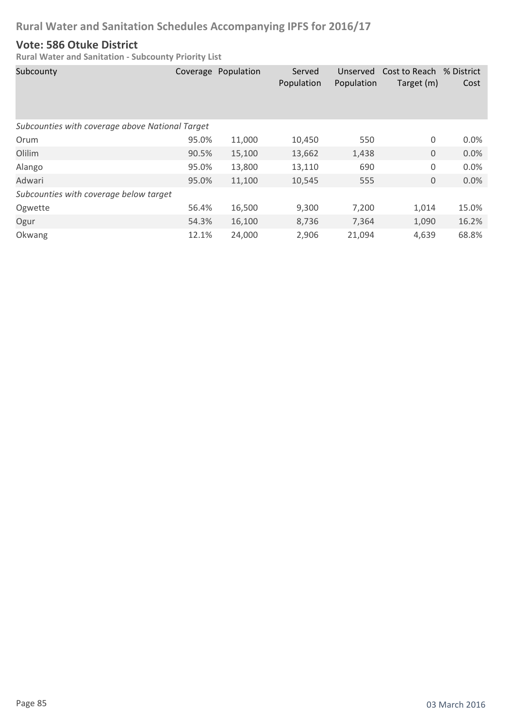#### **Vote: 586 Otuke District**

| Subcounty                                       |       | Coverage Population | Served<br>Population | Unserved<br>Population | Cost to Reach<br>Target (m) | % District<br>Cost |
|-------------------------------------------------|-------|---------------------|----------------------|------------------------|-----------------------------|--------------------|
| Subcounties with coverage above National Target |       |                     |                      |                        |                             |                    |
| Orum                                            | 95.0% | 11,000              | 10,450               | 550                    | 0                           | 0.0%               |
| Olilim                                          | 90.5% | 15,100              | 13,662               | 1,438                  | $\boldsymbol{0}$            | 0.0%               |
| Alango                                          | 95.0% | 13,800              | 13,110               | 690                    | 0                           | 0.0%               |
| Adwari                                          | 95.0% | 11,100              | 10,545               | 555                    | $\boldsymbol{0}$            | 0.0%               |
| Subcounties with coverage below target          |       |                     |                      |                        |                             |                    |
| Ogwette                                         | 56.4% | 16,500              | 9,300                | 7,200                  | 1,014                       | 15.0%              |
| Ogur                                            | 54.3% | 16,100              | 8,736                | 7,364                  | 1,090                       | 16.2%              |
| Okwang                                          | 12.1% | 24,000              | 2,906                | 21,094                 | 4,639                       | 68.8%              |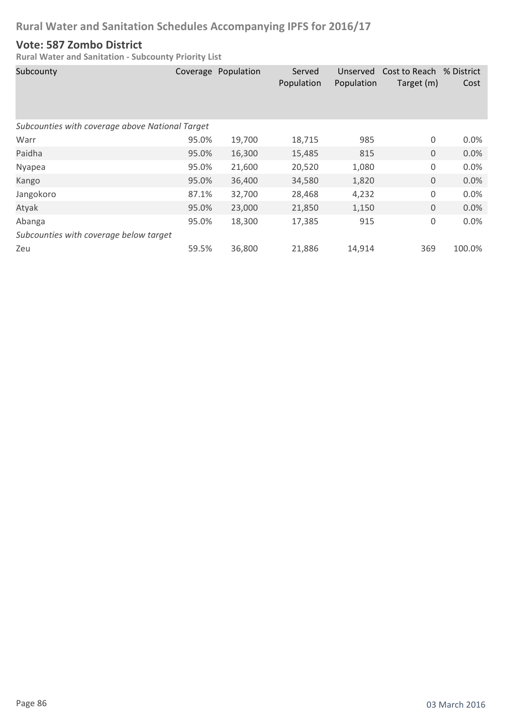#### **Vote: 587 Zombo District**

| Subcounty                                       | Coverage | Population | Served<br>Population | Unserved<br>Population | Cost to Reach % District<br>Target (m) | Cost   |  |  |
|-------------------------------------------------|----------|------------|----------------------|------------------------|----------------------------------------|--------|--|--|
| Subcounties with coverage above National Target |          |            |                      |                        |                                        |        |  |  |
| Warr                                            | 95.0%    | 19,700     | 18,715               | 985                    | 0                                      | 0.0%   |  |  |
| Paidha                                          | 95.0%    | 16,300     | 15,485               | 815                    | $\mathbf 0$                            | 0.0%   |  |  |
| Nyapea                                          | 95.0%    | 21,600     | 20,520               | 1,080                  | 0                                      | 0.0%   |  |  |
| Kango                                           | 95.0%    | 36,400     | 34,580               | 1,820                  | $\mathbf 0$                            | 0.0%   |  |  |
| Jangokoro                                       | 87.1%    | 32,700     | 28,468               | 4,232                  | 0                                      | 0.0%   |  |  |
| Atyak                                           | 95.0%    | 23,000     | 21,850               | 1,150                  | $\mathbf 0$                            | 0.0%   |  |  |
| Abanga                                          | 95.0%    | 18,300     | 17,385               | 915                    | 0                                      | 0.0%   |  |  |
| Subcounties with coverage below target          |          |            |                      |                        |                                        |        |  |  |
| Zeu                                             | 59.5%    | 36,800     | 21,886               | 14,914                 | 369                                    | 100.0% |  |  |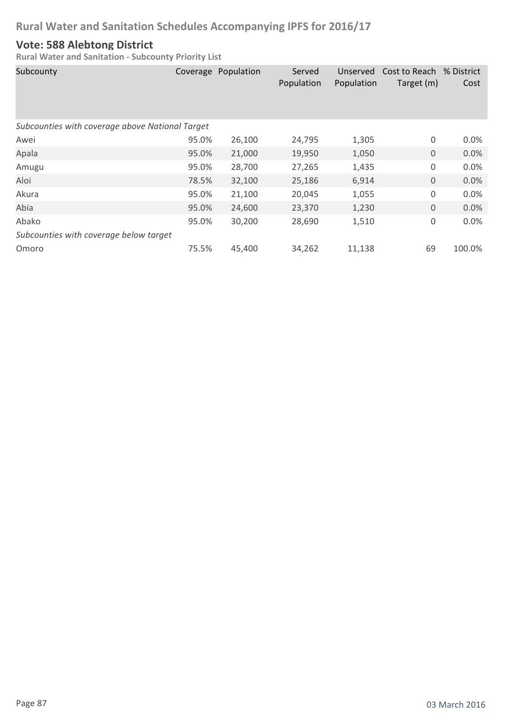#### **Vote: 588 Alebtong District**

| Subcounty                                       | Coverage | Population | Served<br>Population | Unserved<br>Population | Cost to Reach % District<br>Target (m) | Cost   |  |  |
|-------------------------------------------------|----------|------------|----------------------|------------------------|----------------------------------------|--------|--|--|
| Subcounties with coverage above National Target |          |            |                      |                        |                                        |        |  |  |
| Awei                                            | 95.0%    | 26,100     | 24,795               | 1,305                  | 0                                      | 0.0%   |  |  |
| Apala                                           | 95.0%    | 21,000     | 19,950               | 1,050                  | $\mathbf 0$                            | 0.0%   |  |  |
| Amugu                                           | 95.0%    | 28,700     | 27,265               | 1,435                  | 0                                      | 0.0%   |  |  |
| Aloi                                            | 78.5%    | 32,100     | 25,186               | 6,914                  | $\mathbf 0$                            | 0.0%   |  |  |
| Akura                                           | 95.0%    | 21,100     | 20,045               | 1,055                  | 0                                      | 0.0%   |  |  |
| Abia                                            | 95.0%    | 24,600     | 23,370               | 1,230                  | $\mathbf 0$                            | 0.0%   |  |  |
| Abako                                           | 95.0%    | 30,200     | 28,690               | 1,510                  | 0                                      | 0.0%   |  |  |
| Subcounties with coverage below target          |          |            |                      |                        |                                        |        |  |  |
| Omoro                                           | 75.5%    | 45,400     | 34,262               | 11,138                 | 69                                     | 100.0% |  |  |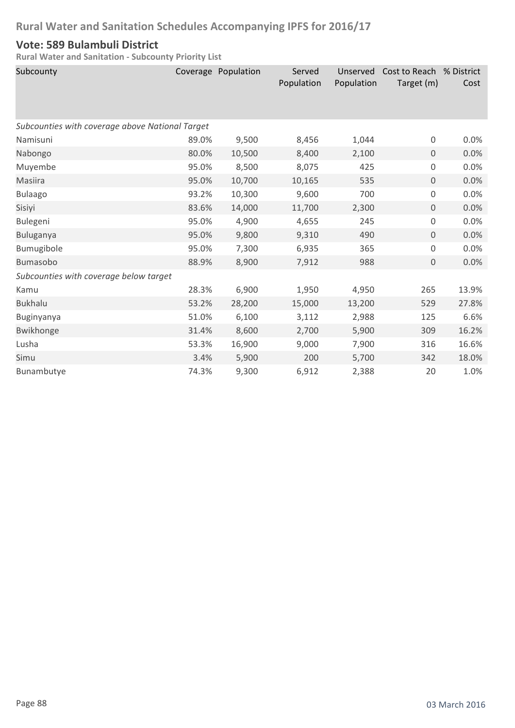#### **Vote: 589 Bulambuli District**

| Subcounty                                       |       | Coverage Population | Served<br>Population | Unserved<br>Population | Cost to Reach % District<br>Target (m) | Cost  |  |  |
|-------------------------------------------------|-------|---------------------|----------------------|------------------------|----------------------------------------|-------|--|--|
| Subcounties with coverage above National Target |       |                     |                      |                        |                                        |       |  |  |
| Namisuni                                        | 89.0% | 9,500               | 8,456                | 1,044                  | 0                                      | 0.0%  |  |  |
| Nabongo                                         | 80.0% | 10,500              | 8,400                | 2,100                  | $\mathbf 0$                            | 0.0%  |  |  |
| Muyembe                                         | 95.0% | 8,500               | 8,075                | 425                    | $\mathsf 0$                            | 0.0%  |  |  |
| <b>Masiira</b>                                  | 95.0% | 10,700              | 10,165               | 535                    | $\mathbf 0$                            | 0.0%  |  |  |
| <b>Bulaago</b>                                  | 93.2% | 10,300              | 9,600                | 700                    | $\mathsf 0$                            | 0.0%  |  |  |
| Sisiyi                                          | 83.6% | 14,000              | 11,700               | 2,300                  | $\mathbf 0$                            | 0.0%  |  |  |
| Bulegeni                                        | 95.0% | 4,900               | 4,655                | 245                    | $\mathsf 0$                            | 0.0%  |  |  |
| Buluganya                                       | 95.0% | 9,800               | 9,310                | 490                    | $\mathbf 0$                            | 0.0%  |  |  |
| Bumugibole                                      | 95.0% | 7,300               | 6,935                | 365                    | 0                                      | 0.0%  |  |  |
| <b>Bumasobo</b>                                 | 88.9% | 8,900               | 7,912                | 988                    | $\mathbf 0$                            | 0.0%  |  |  |
| Subcounties with coverage below target          |       |                     |                      |                        |                                        |       |  |  |
| Kamu                                            | 28.3% | 6,900               | 1,950                | 4,950                  | 265                                    | 13.9% |  |  |
| <b>Bukhalu</b>                                  | 53.2% | 28,200              | 15,000               | 13,200                 | 529                                    | 27.8% |  |  |
| Buginyanya                                      | 51.0% | 6,100               | 3,112                | 2,988                  | 125                                    | 6.6%  |  |  |
| Bwikhonge                                       | 31.4% | 8,600               | 2,700                | 5,900                  | 309                                    | 16.2% |  |  |
| Lusha                                           | 53.3% | 16,900              | 9,000                | 7,900                  | 316                                    | 16.6% |  |  |
| Simu                                            | 3.4%  | 5,900               | 200                  | 5,700                  | 342                                    | 18.0% |  |  |
| Bunambutye                                      | 74.3% | 9,300               | 6,912                | 2,388                  | 20                                     | 1.0%  |  |  |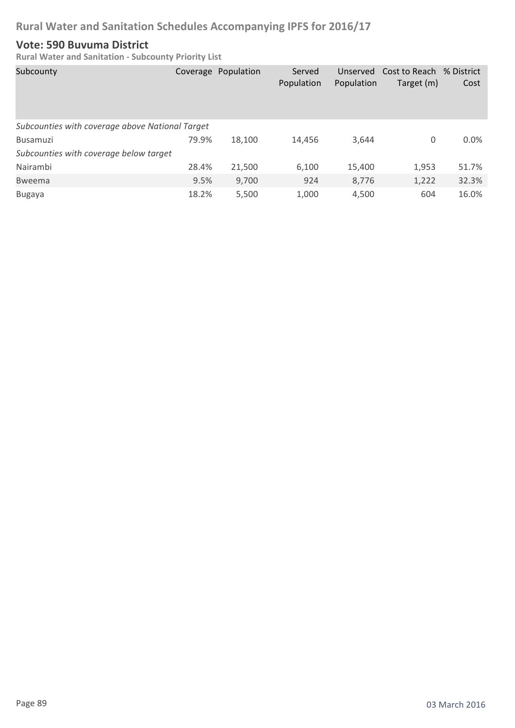#### **Vote: 590 Buvuma District**

| Subcounty                                       |       | Coverage Population | Served<br>Population | Unserved<br>Population | Cost to Reach % District<br>Target (m) | Cost  |
|-------------------------------------------------|-------|---------------------|----------------------|------------------------|----------------------------------------|-------|
| Subcounties with coverage above National Target |       |                     |                      |                        |                                        |       |
| <b>Busamuzi</b>                                 | 79.9% | 18.100              | 14,456               | 3,644                  | 0                                      | 0.0%  |
| Subcounties with coverage below target          |       |                     |                      |                        |                                        |       |
| Nairambi                                        | 28.4% | 21,500              | 6,100                | 15,400                 | 1,953                                  | 51.7% |
| <b>Bweema</b>                                   | 9.5%  | 9,700               | 924                  | 8,776                  | 1,222                                  | 32.3% |
| <b>Bugaya</b>                                   | 18.2% | 5,500               | 1,000                | 4,500                  | 604                                    | 16.0% |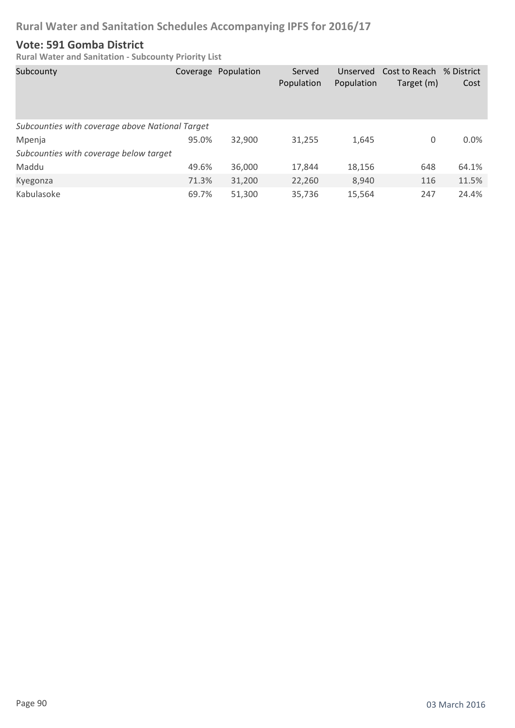#### **Vote: 591 Gomba District**

| Subcounty                                       |       | Coverage Population | Served<br>Population | Unserved<br>Population | Cost to Reach % District<br>Target (m) | Cost  |
|-------------------------------------------------|-------|---------------------|----------------------|------------------------|----------------------------------------|-------|
| Subcounties with coverage above National Target |       |                     |                      |                        |                                        |       |
| Mpenja                                          | 95.0% | 32,900              | 31,255               | 1,645                  | 0                                      | 0.0%  |
| Subcounties with coverage below target          |       |                     |                      |                        |                                        |       |
| Maddu                                           | 49.6% | 36,000              | 17,844               | 18,156                 | 648                                    | 64.1% |
| Kyegonza                                        | 71.3% | 31,200              | 22,260               | 8,940                  | 116                                    | 11.5% |
| Kabulasoke                                      | 69.7% | 51,300              | 35,736               | 15,564                 | 247                                    | 24.4% |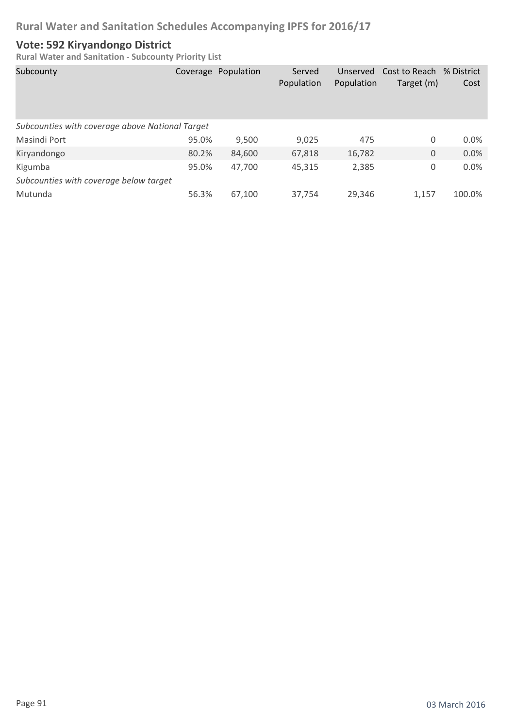#### **Vote: 592 Kiryandongo District**

| Subcounty                                       |       | Coverage Population | Served<br>Population | Unserved<br>Population | Cost to Reach % District<br>Target (m) | Cost    |
|-------------------------------------------------|-------|---------------------|----------------------|------------------------|----------------------------------------|---------|
| Subcounties with coverage above National Target |       |                     |                      |                        |                                        |         |
| Masindi Port                                    | 95.0% | 9,500               | 9,025                | 475                    | 0                                      | $0.0\%$ |
| Kiryandongo                                     | 80.2% | 84,600              | 67,818               | 16,782                 | 0                                      | 0.0%    |
| Kigumba                                         | 95.0% | 47,700              | 45,315               | 2,385                  | 0                                      | 0.0%    |
| Subcounties with coverage below target          |       |                     |                      |                        |                                        |         |
| Mutunda                                         | 56.3% | 67,100              | 37,754               | 29,346                 | 1,157                                  | 100.0%  |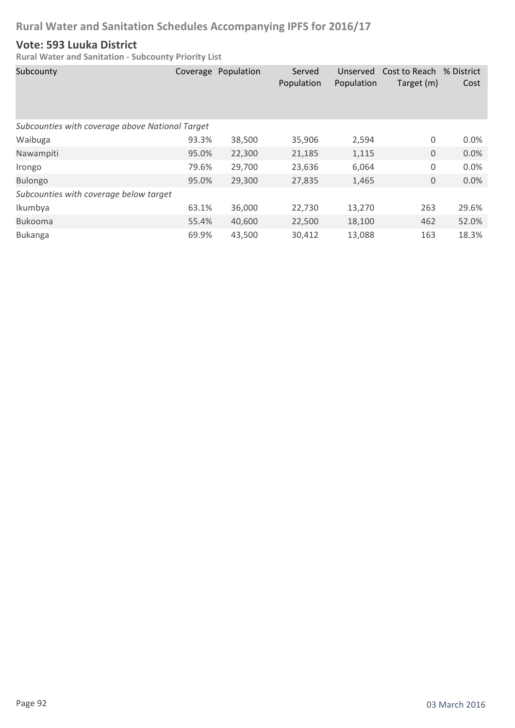#### **Vote: 593 Luuka District**

| Subcounty                                       |       | Coverage Population | Served<br>Population | Unserved<br>Population | Cost to Reach<br>Target (m) | % District<br>Cost |
|-------------------------------------------------|-------|---------------------|----------------------|------------------------|-----------------------------|--------------------|
| Subcounties with coverage above National Target |       |                     |                      |                        |                             |                    |
| Waibuga                                         | 93.3% | 38,500              | 35,906               | 2,594                  | 0                           | 0.0%               |
| Nawampiti                                       | 95.0% | 22,300              | 21,185               | 1,115                  | 0                           | 0.0%               |
| Irongo                                          | 79.6% | 29,700              | 23,636               | 6,064                  | 0                           | 0.0%               |
| <b>Bulongo</b>                                  | 95.0% | 29,300              | 27,835               | 1,465                  | 0                           | 0.0%               |
| Subcounties with coverage below target          |       |                     |                      |                        |                             |                    |
| Ikumbya                                         | 63.1% | 36,000              | 22,730               | 13,270                 | 263                         | 29.6%              |
| <b>Bukooma</b>                                  | 55.4% | 40,600              | 22,500               | 18,100                 | 462                         | 52.0%              |
| <b>Bukanga</b>                                  | 69.9% | 43,500              | 30,412               | 13,088                 | 163                         | 18.3%              |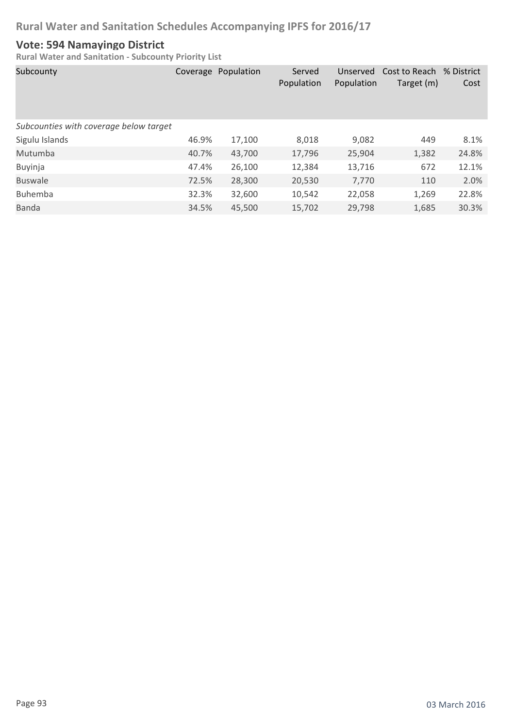#### **Vote: 594 Namayingo District**

| Subcounty                              |       | Coverage Population | Served<br>Population | Unserved<br>Population | Cost to Reach % District<br>Target (m) | Cost  |
|----------------------------------------|-------|---------------------|----------------------|------------------------|----------------------------------------|-------|
| Subcounties with coverage below target |       |                     |                      |                        |                                        |       |
| Sigulu Islands                         | 46.9% | 17,100              | 8,018                | 9,082                  | 449                                    | 8.1%  |
| Mutumba                                | 40.7% | 43,700              | 17,796               | 25,904                 | 1,382                                  | 24.8% |
| Buyinja                                | 47.4% | 26,100              | 12,384               | 13,716                 | 672                                    | 12.1% |
| <b>Buswale</b>                         | 72.5% | 28,300              | 20,530               | 7,770                  | 110                                    | 2.0%  |
| <b>Buhemba</b>                         | 32.3% | 32,600              | 10,542               | 22,058                 | 1,269                                  | 22.8% |
| <b>Banda</b>                           | 34.5% | 45,500              | 15,702               | 29,798                 | 1,685                                  | 30.3% |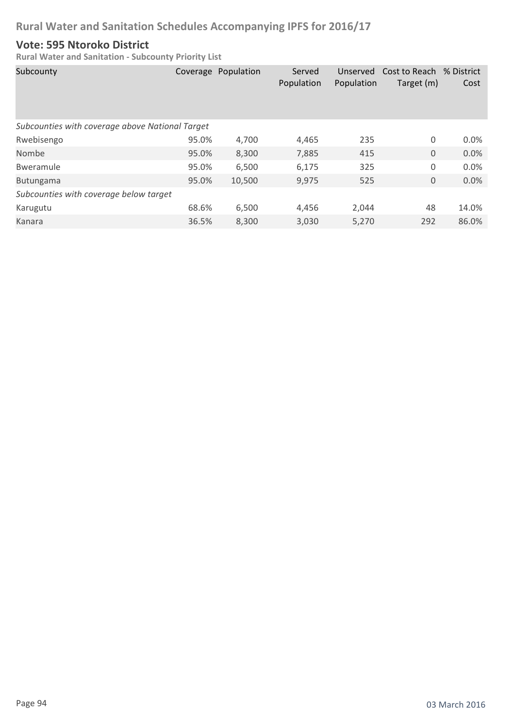#### **Vote: 595 Ntoroko District**

| Subcounty                                       |       | Coverage Population | Served<br>Population | Unserved<br>Population | Cost to Reach<br>Target (m) | % District<br>Cost |
|-------------------------------------------------|-------|---------------------|----------------------|------------------------|-----------------------------|--------------------|
| Subcounties with coverage above National Target |       |                     |                      |                        |                             |                    |
| Rwebisengo                                      | 95.0% | 4,700               | 4,465                | 235                    | 0                           | 0.0%               |
| Nombe                                           | 95.0% | 8,300               | 7,885                | 415                    | $\mathbf 0$                 | 0.0%               |
| Bweramule                                       | 95.0% | 6,500               | 6,175                | 325                    | 0                           | 0.0%               |
| <b>Butungama</b>                                | 95.0% | 10,500              | 9,975                | 525                    | $\mathbf 0$                 | 0.0%               |
| Subcounties with coverage below target          |       |                     |                      |                        |                             |                    |
| Karugutu                                        | 68.6% | 6,500               | 4,456                | 2,044                  | 48                          | 14.0%              |
| Kanara                                          | 36.5% | 8,300               | 3,030                | 5,270                  | 292                         | 86.0%              |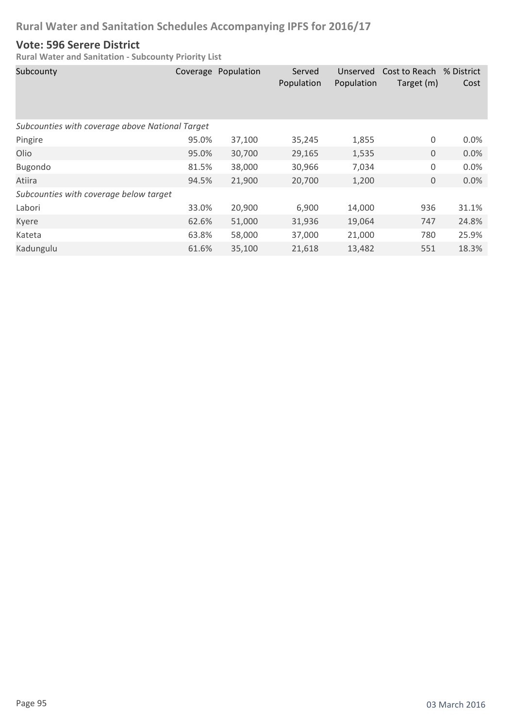#### **Vote: 596 Serere District**

| Subcounty                                       | Coverage | Population | Served<br>Population | Unserved<br>Population | Cost to Reach<br>Target (m) | % District<br>Cost |  |
|-------------------------------------------------|----------|------------|----------------------|------------------------|-----------------------------|--------------------|--|
| Subcounties with coverage above National Target |          |            |                      |                        |                             |                    |  |
| Pingire                                         | 95.0%    | 37,100     | 35,245               | 1,855                  | 0                           | 0.0%               |  |
| Olio                                            | 95.0%    | 30,700     | 29,165               | 1,535                  | $\mathbf{0}$                | 0.0%               |  |
| Bugondo                                         | 81.5%    | 38,000     | 30,966               | 7,034                  | 0                           | 0.0%               |  |
| Atiira                                          | 94.5%    | 21,900     | 20,700               | 1,200                  | 0                           | 0.0%               |  |
| Subcounties with coverage below target          |          |            |                      |                        |                             |                    |  |
| Labori                                          | 33.0%    | 20,900     | 6,900                | 14,000                 | 936                         | 31.1%              |  |
| Kyere                                           | 62.6%    | 51,000     | 31,936               | 19,064                 | 747                         | 24.8%              |  |
| Kateta                                          | 63.8%    | 58,000     | 37,000               | 21,000                 | 780                         | 25.9%              |  |
| Kadungulu                                       | 61.6%    | 35,100     | 21,618               | 13,482                 | 551                         | 18.3%              |  |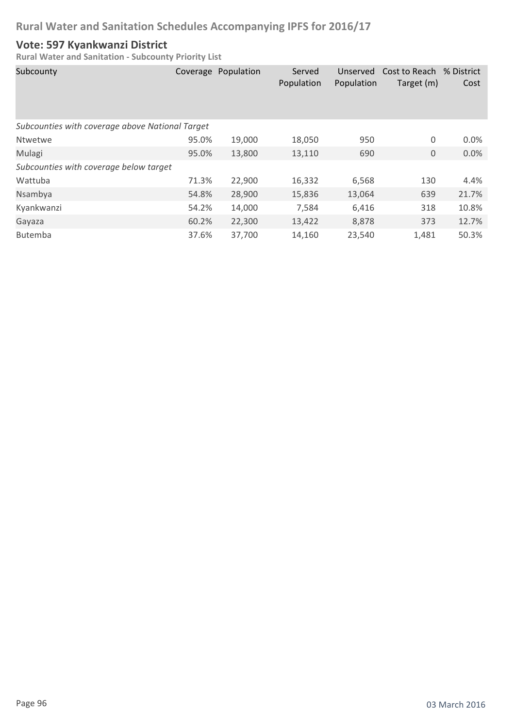#### **Vote: 597 Kyankwanzi District**

| Subcounty                                       |       | Coverage Population | Served<br>Population | Unserved<br>Population | Cost to Reach<br>Target (m) | % District<br>Cost |
|-------------------------------------------------|-------|---------------------|----------------------|------------------------|-----------------------------|--------------------|
| Subcounties with coverage above National Target |       |                     |                      |                        |                             |                    |
| Ntwetwe                                         | 95.0% | 19,000              | 18,050               | 950                    | 0                           | 0.0%               |
| Mulagi                                          | 95.0% | 13,800              | 13,110               | 690                    | $\boldsymbol{0}$            | 0.0%               |
| Subcounties with coverage below target          |       |                     |                      |                        |                             |                    |
| Wattuba                                         | 71.3% | 22,900              | 16,332               | 6,568                  | 130                         | 4.4%               |
| Nsambya                                         | 54.8% | 28,900              | 15,836               | 13,064                 | 639                         | 21.7%              |
| Kyankwanzi                                      | 54.2% | 14,000              | 7,584                | 6,416                  | 318                         | 10.8%              |
| Gayaza                                          | 60.2% | 22,300              | 13,422               | 8,878                  | 373                         | 12.7%              |
| <b>Butemba</b>                                  | 37.6% | 37,700              | 14,160               | 23,540                 | 1,481                       | 50.3%              |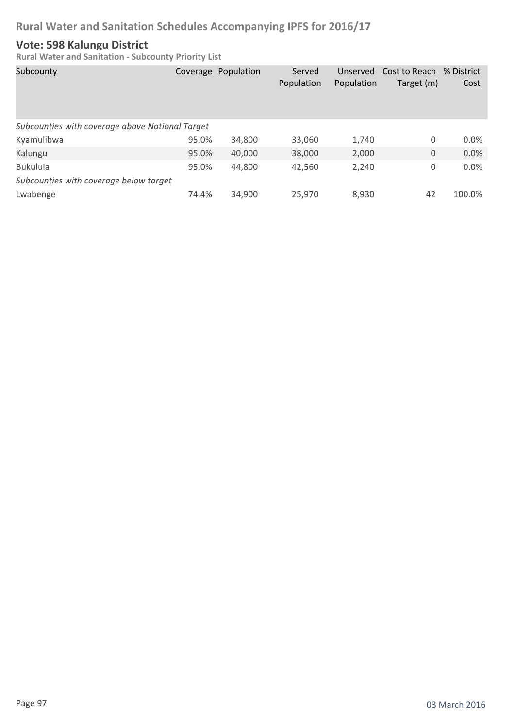#### **Vote: 598 Kalungu District**

| Subcounty                                       |       | Coverage Population | Served<br>Population | Unserved<br>Population | Cost to Reach % District<br>Target (m) | Cost   |
|-------------------------------------------------|-------|---------------------|----------------------|------------------------|----------------------------------------|--------|
| Subcounties with coverage above National Target |       |                     |                      |                        |                                        |        |
| Kyamulibwa                                      | 95.0% | 34,800              | 33,060               | 1,740                  | 0                                      | 0.0%   |
| Kalungu                                         | 95.0% | 40,000              | 38,000               | 2,000                  | 0                                      | 0.0%   |
| <b>Bukulula</b>                                 | 95.0% | 44,800              | 42,560               | 2,240                  | 0                                      | 0.0%   |
| Subcounties with coverage below target          |       |                     |                      |                        |                                        |        |
| Lwabenge                                        | 74.4% | 34,900              | 25,970               | 8,930                  | 42                                     | 100.0% |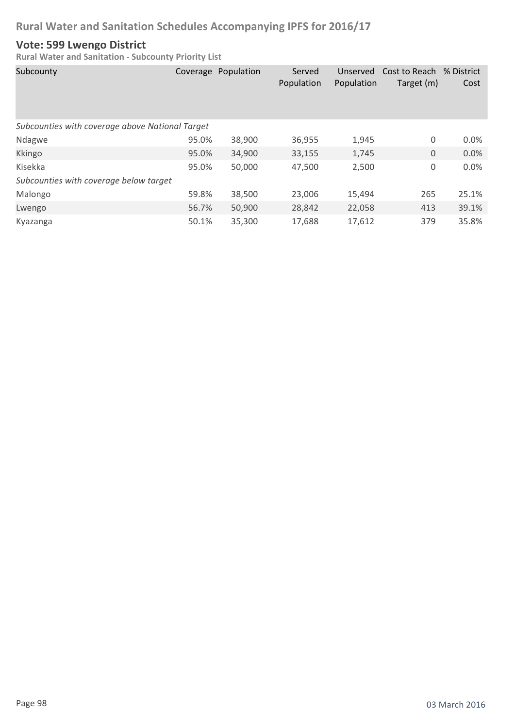#### **Vote: 599 Lwengo District**

| Subcounty                                       |       | Coverage Population | Served<br>Population | Unserved<br>Population | Cost to Reach<br>Target (m) | % District<br>Cost |
|-------------------------------------------------|-------|---------------------|----------------------|------------------------|-----------------------------|--------------------|
| Subcounties with coverage above National Target |       |                     |                      |                        |                             |                    |
| Ndagwe                                          | 95.0% | 38,900              | 36,955               | 1,945                  | 0                           | 0.0%               |
| Kkingo                                          | 95.0% | 34,900              | 33,155               | 1,745                  | $\boldsymbol{0}$            | 0.0%               |
| Kisekka                                         | 95.0% | 50,000              | 47,500               | 2,500                  | 0                           | 0.0%               |
| Subcounties with coverage below target          |       |                     |                      |                        |                             |                    |
| Malongo                                         | 59.8% | 38,500              | 23,006               | 15,494                 | 265                         | 25.1%              |
| Lwengo                                          | 56.7% | 50,900              | 28,842               | 22,058                 | 413                         | 39.1%              |
| Kyazanga                                        | 50.1% | 35,300              | 17,688               | 17,612                 | 379                         | 35.8%              |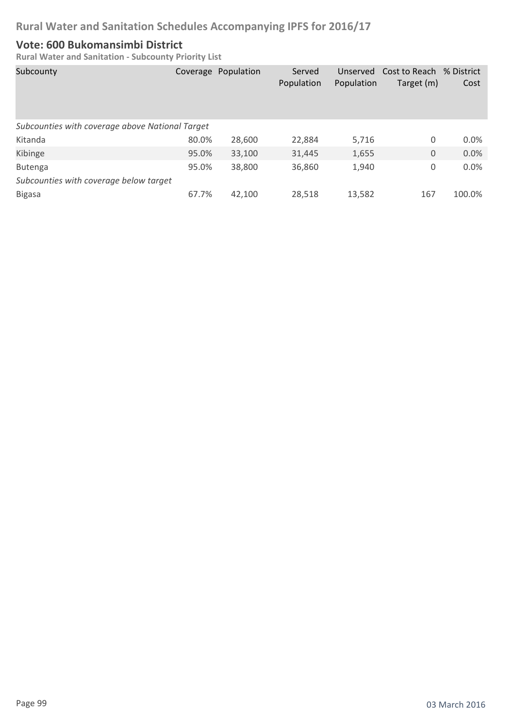#### **Vote: 600 Bukomansimbi District**

| Subcounty                                       |       | Coverage Population | Served<br>Population | Unserved<br>Population | Cost to Reach % District<br>Target (m) | Cost   |
|-------------------------------------------------|-------|---------------------|----------------------|------------------------|----------------------------------------|--------|
| Subcounties with coverage above National Target |       |                     |                      |                        |                                        |        |
| Kitanda                                         | 80.0% | 28,600              | 22,884               | 5,716                  | 0                                      | 0.0%   |
| Kibinge                                         | 95.0% | 33,100              | 31,445               | 1,655                  | 0                                      | 0.0%   |
| <b>Butenga</b>                                  | 95.0% | 38,800              | 36,860               | 1,940                  | 0                                      | 0.0%   |
| Subcounties with coverage below target          |       |                     |                      |                        |                                        |        |
| <b>Bigasa</b>                                   | 67.7% | 42,100              | 28,518               | 13,582                 | 167                                    | 100.0% |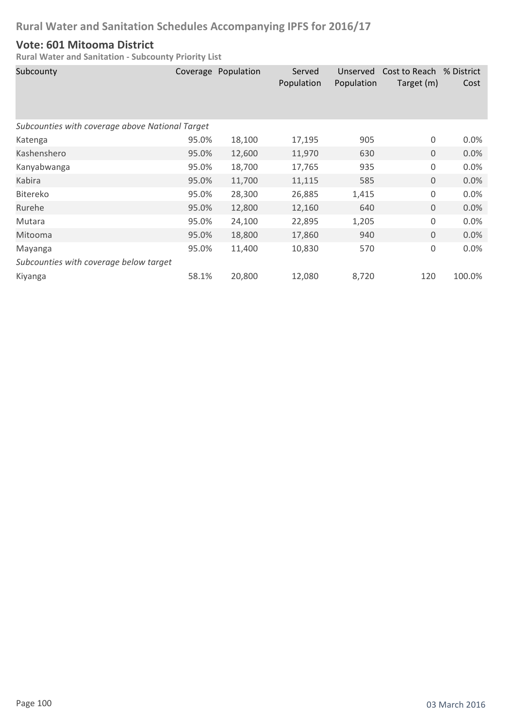#### **Vote: 601 Mitooma District**

| Subcounty                                       |       | Coverage Population | Served<br>Population | Unserved<br>Population | Cost to Reach % District<br>Target (m) | Cost   |  |
|-------------------------------------------------|-------|---------------------|----------------------|------------------------|----------------------------------------|--------|--|
| Subcounties with coverage above National Target |       |                     |                      |                        |                                        |        |  |
| Katenga                                         | 95.0% | 18,100              | 17,195               | 905                    | 0                                      | 0.0%   |  |
| Kashenshero                                     | 95.0% | 12,600              | 11,970               | 630                    | $\mathbf 0$                            | 0.0%   |  |
| Kanyabwanga                                     | 95.0% | 18,700              | 17,765               | 935                    | 0                                      | 0.0%   |  |
| Kabira                                          | 95.0% | 11,700              | 11,115               | 585                    | $\boldsymbol{0}$                       | 0.0%   |  |
| <b>Bitereko</b>                                 | 95.0% | 28,300              | 26,885               | 1,415                  | $\mathbf 0$                            | 0.0%   |  |
| Rurehe                                          | 95.0% | 12,800              | 12,160               | 640                    | $\mathbf{0}$                           | 0.0%   |  |
| Mutara                                          | 95.0% | 24,100              | 22,895               | 1,205                  | 0                                      | 0.0%   |  |
| Mitooma                                         | 95.0% | 18,800              | 17,860               | 940                    | $\mathbf 0$                            | 0.0%   |  |
| Mayanga                                         | 95.0% | 11,400              | 10,830               | 570                    | 0                                      | 0.0%   |  |
| Subcounties with coverage below target          |       |                     |                      |                        |                                        |        |  |
| Kiyanga                                         | 58.1% | 20,800              | 12,080               | 8,720                  | 120                                    | 100.0% |  |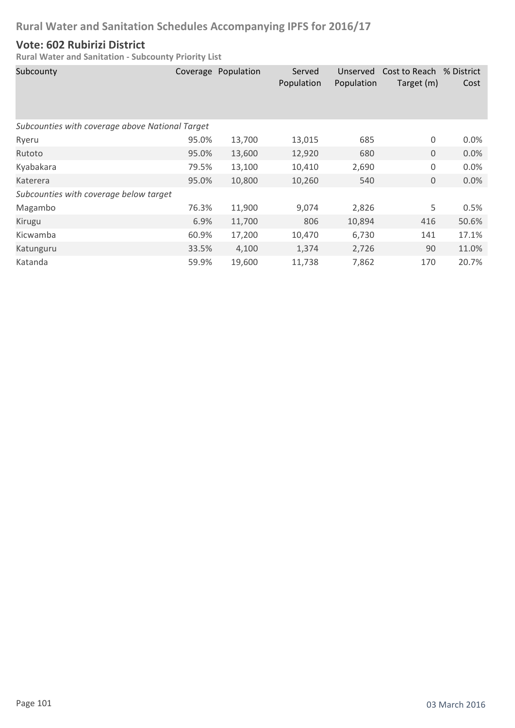#### **Vote: 602 Rubirizi District**

| Subcounty                                       |       | Coverage Population | Served<br>Population | Unserved<br>Population | Cost to Reach % District<br>Target (m) | Cost    |
|-------------------------------------------------|-------|---------------------|----------------------|------------------------|----------------------------------------|---------|
| Subcounties with coverage above National Target |       |                     |                      |                        |                                        |         |
| Ryeru                                           | 95.0% | 13,700              | 13,015               | 685                    | 0                                      | $0.0\%$ |
| Rutoto                                          | 95.0% | 13,600              | 12,920               | 680                    | $\mathbf 0$                            | 0.0%    |
| Kyabakara                                       | 79.5% | 13,100              | 10,410               | 2,690                  | 0                                      | 0.0%    |
| Katerera                                        | 95.0% | 10,800              | 10,260               | 540                    | $\mathbf 0$                            | 0.0%    |
| Subcounties with coverage below target          |       |                     |                      |                        |                                        |         |
| Magambo                                         | 76.3% | 11,900              | 9,074                | 2,826                  | 5                                      | 0.5%    |
| Kirugu                                          | 6.9%  | 11,700              | 806                  | 10,894                 | 416                                    | 50.6%   |
| Kicwamba                                        | 60.9% | 17,200              | 10,470               | 6,730                  | 141                                    | 17.1%   |
| Katunguru                                       | 33.5% | 4,100               | 1,374                | 2,726                  | 90                                     | 11.0%   |
| Katanda                                         | 59.9% | 19,600              | 11,738               | 7,862                  | 170                                    | 20.7%   |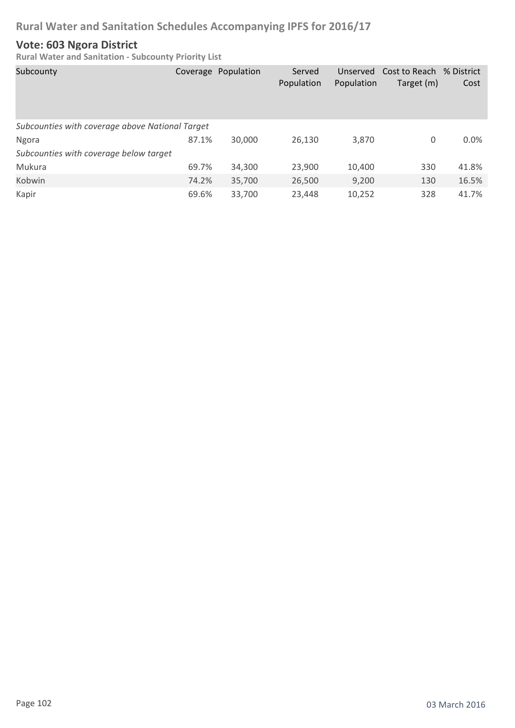### **Vote: 603 Ngora District**

| Subcounty                                       |       | Coverage Population | Served<br>Population | Unserved<br>Population | Cost to Reach % District<br>Target (m) | Cost  |
|-------------------------------------------------|-------|---------------------|----------------------|------------------------|----------------------------------------|-------|
| Subcounties with coverage above National Target |       |                     |                      |                        |                                        |       |
| Ngora                                           | 87.1% | 30,000              | 26,130               | 3,870                  | 0                                      | 0.0%  |
| Subcounties with coverage below target          |       |                     |                      |                        |                                        |       |
| Mukura                                          | 69.7% | 34,300              | 23,900               | 10,400                 | 330                                    | 41.8% |
| Kobwin                                          | 74.2% | 35,700              | 26,500               | 9,200                  | 130                                    | 16.5% |
| Kapir                                           | 69.6% | 33,700              | 23,448               | 10,252                 | 328                                    | 41.7% |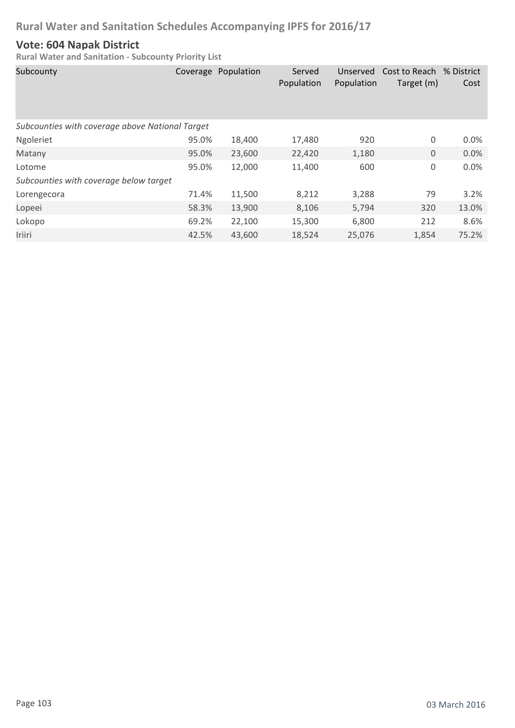#### **Vote: 604 Napak District**

| Subcounty                                       |       | Coverage Population | Served<br>Population | Unserved<br>Population | Cost to Reach % District<br>Target (m) | Cost  |
|-------------------------------------------------|-------|---------------------|----------------------|------------------------|----------------------------------------|-------|
| Subcounties with coverage above National Target |       |                     |                      |                        |                                        |       |
| Ngoleriet                                       | 95.0% | 18,400              | 17,480               | 920                    | 0                                      | 0.0%  |
| Matany                                          | 95.0% | 23,600              | 22,420               | 1,180                  | $\boldsymbol{0}$                       | 0.0%  |
| Lotome                                          | 95.0% | 12,000              | 11,400               | 600                    | $\mathsf 0$                            | 0.0%  |
| Subcounties with coverage below target          |       |                     |                      |                        |                                        |       |
| Lorengecora                                     | 71.4% | 11,500              | 8,212                | 3,288                  | 79                                     | 3.2%  |
| Lopeei                                          | 58.3% | 13,900              | 8,106                | 5,794                  | 320                                    | 13.0% |
| Lokopo                                          | 69.2% | 22,100              | 15,300               | 6,800                  | 212                                    | 8.6%  |
| Iriiri                                          | 42.5% | 43,600              | 18,524               | 25,076                 | 1,854                                  | 75.2% |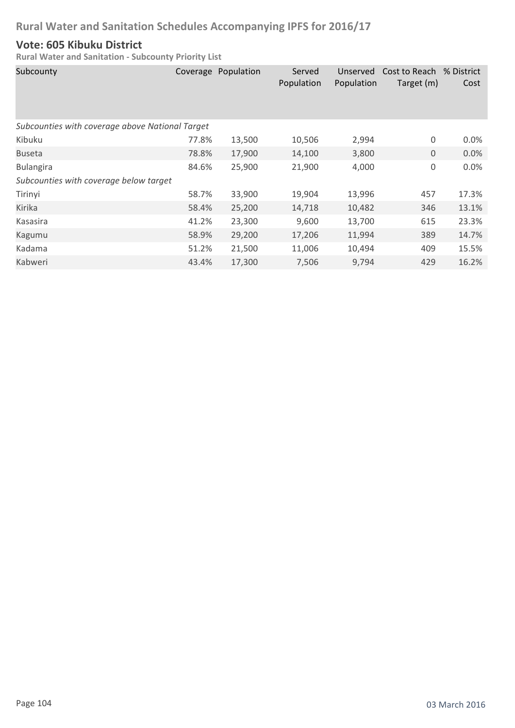#### **Vote: 605 Kibuku District**

| Subcounty                                       |       | Coverage Population | Served<br>Population | Unserved<br>Population | Cost to Reach % District<br>Target (m) | Cost    |
|-------------------------------------------------|-------|---------------------|----------------------|------------------------|----------------------------------------|---------|
| Subcounties with coverage above National Target |       |                     |                      |                        |                                        |         |
| Kibuku                                          | 77.8% | 13,500              | 10,506               | 2,994                  | 0                                      | $0.0\%$ |
| <b>Buseta</b>                                   | 78.8% | 17,900              | 14,100               | 3,800                  | $\mathbf 0$                            | 0.0%    |
| <b>Bulangira</b>                                | 84.6% | 25,900              | 21,900               | 4,000                  | 0                                      | 0.0%    |
| Subcounties with coverage below target          |       |                     |                      |                        |                                        |         |
| Tirinyi                                         | 58.7% | 33,900              | 19,904               | 13,996                 | 457                                    | 17.3%   |
| Kirika                                          | 58.4% | 25,200              | 14,718               | 10,482                 | 346                                    | 13.1%   |
| Kasasira                                        | 41.2% | 23,300              | 9,600                | 13,700                 | 615                                    | 23.3%   |
| Kagumu                                          | 58.9% | 29,200              | 17,206               | 11,994                 | 389                                    | 14.7%   |
| Kadama                                          | 51.2% | 21,500              | 11,006               | 10,494                 | 409                                    | 15.5%   |
| Kabweri                                         | 43.4% | 17,300              | 7,506                | 9,794                  | 429                                    | 16.2%   |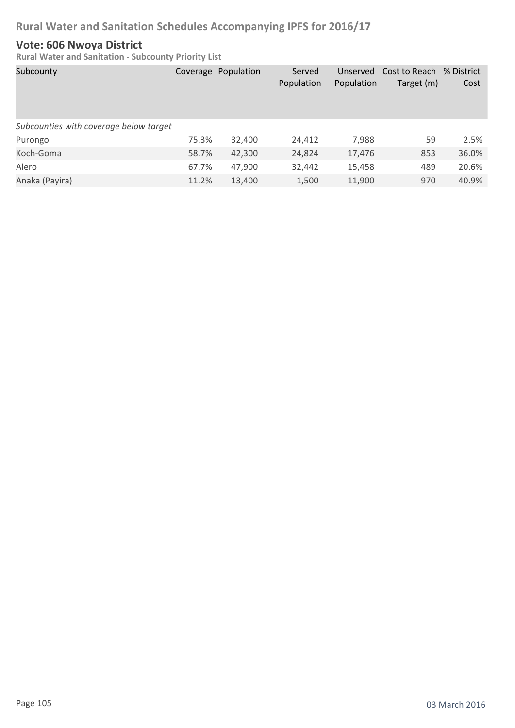#### **Vote: 606 Nwoya District**

| Subcounty                              |       | Coverage Population | Served<br>Population | Unserved<br>Population | Cost to Reach % District<br>Target (m) | Cost  |
|----------------------------------------|-------|---------------------|----------------------|------------------------|----------------------------------------|-------|
| Subcounties with coverage below target |       |                     |                      |                        |                                        |       |
| Purongo                                | 75.3% | 32,400              | 24,412               | 7,988                  | 59                                     | 2.5%  |
| Koch-Goma                              | 58.7% | 42,300              | 24,824               | 17,476                 | 853                                    | 36.0% |
| Alero                                  | 67.7% | 47,900              | 32,442               | 15,458                 | 489                                    | 20.6% |
| Anaka (Payira)                         | 11.2% | 13,400              | 1,500                | 11,900                 | 970                                    | 40.9% |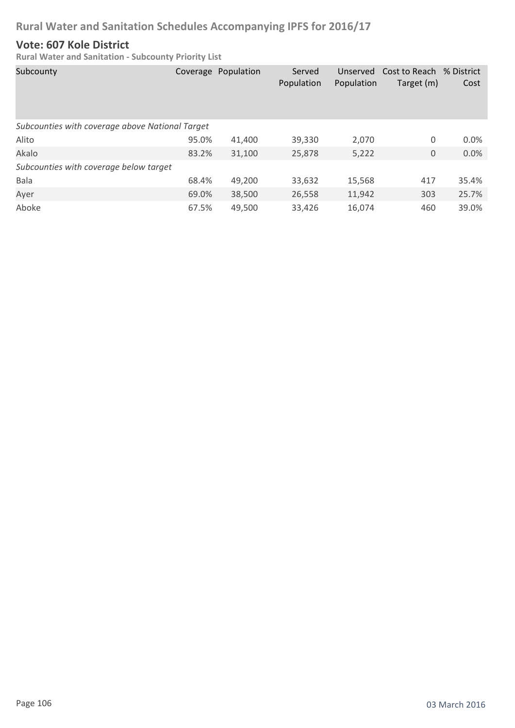#### **Vote: 607 Kole District**

| Subcounty                                       |       | Coverage Population | Served<br>Population | Unserved<br>Population | Cost to Reach % District<br>Target (m) | Cost  |
|-------------------------------------------------|-------|---------------------|----------------------|------------------------|----------------------------------------|-------|
| Subcounties with coverage above National Target |       |                     |                      |                        |                                        |       |
| Alito                                           | 95.0% | 41,400              | 39,330               | 2,070                  | 0                                      | 0.0%  |
| Akalo                                           | 83.2% | 31,100              | 25,878               | 5,222                  | 0                                      | 0.0%  |
| Subcounties with coverage below target          |       |                     |                      |                        |                                        |       |
| Bala                                            | 68.4% | 49,200              | 33,632               | 15,568                 | 417                                    | 35.4% |
| Ayer                                            | 69.0% | 38,500              | 26,558               | 11,942                 | 303                                    | 25.7% |
| Aboke                                           | 67.5% | 49.500              | 33,426               | 16,074                 | 460                                    | 39.0% |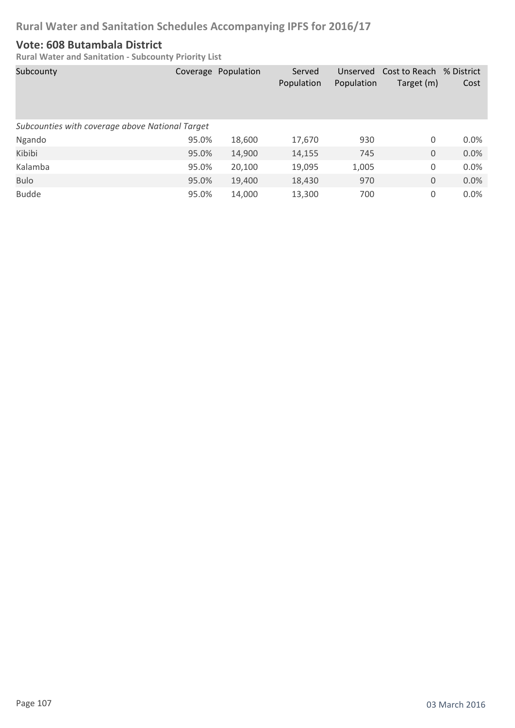#### **Vote: 608 Butambala District**

| Subcounty                                       |       | Coverage Population | Served<br>Population | Unserved<br>Population | Cost to Reach % District<br>Target (m) | Cost    |
|-------------------------------------------------|-------|---------------------|----------------------|------------------------|----------------------------------------|---------|
| Subcounties with coverage above National Target |       |                     |                      |                        |                                        |         |
| Ngando                                          | 95.0% | 18,600              | 17,670               | 930                    | 0                                      | $0.0\%$ |
| Kibibi                                          | 95.0% | 14,900              | 14,155               | 745                    | 0                                      | 0.0%    |
| Kalamba                                         | 95.0% | 20,100              | 19,095               | 1,005                  | 0                                      | 0.0%    |
| <b>Bulo</b>                                     | 95.0% | 19,400              | 18,430               | 970                    | 0                                      | 0.0%    |
| <b>Budde</b>                                    | 95.0% | 14,000              | 13,300               | 700                    | 0                                      | 0.0%    |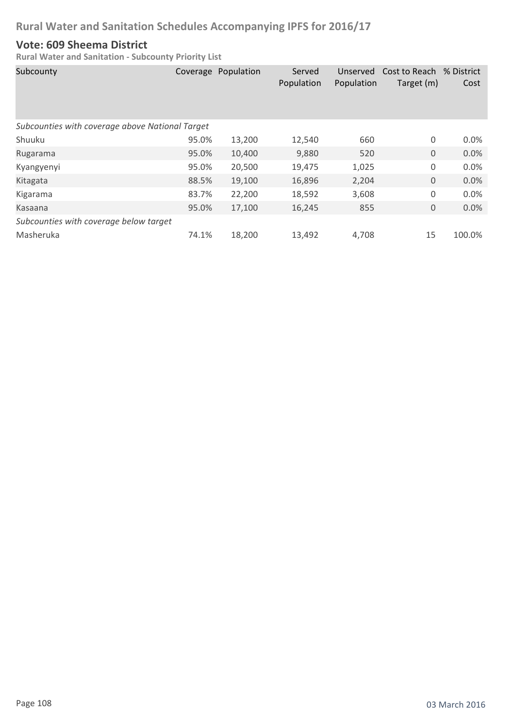#### **Vote: 609 Sheema District**

| Subcounty                                       |       | Coverage Population | Served<br>Population | Unserved<br>Population | Cost to Reach<br>Target (m) | % District<br>Cost |
|-------------------------------------------------|-------|---------------------|----------------------|------------------------|-----------------------------|--------------------|
| Subcounties with coverage above National Target |       |                     |                      |                        |                             |                    |
| Shuuku                                          | 95.0% | 13,200              | 12,540               | 660                    | 0                           | 0.0%               |
| Rugarama                                        | 95.0% | 10,400              | 9,880                | 520                    | 0                           | 0.0%               |
| Kyangyenyi                                      | 95.0% | 20,500              | 19,475               | 1,025                  | 0                           | 0.0%               |
| Kitagata                                        | 88.5% | 19,100              | 16,896               | 2,204                  | 0                           | 0.0%               |
| Kigarama                                        | 83.7% | 22,200              | 18,592               | 3,608                  | 0                           | 0.0%               |
| Kasaana                                         | 95.0% | 17,100              | 16,245               | 855                    | 0                           | 0.0%               |
| Subcounties with coverage below target          |       |                     |                      |                        |                             |                    |
| Masheruka                                       | 74.1% | 18,200              | 13,492               | 4,708                  | 15                          | 100.0%             |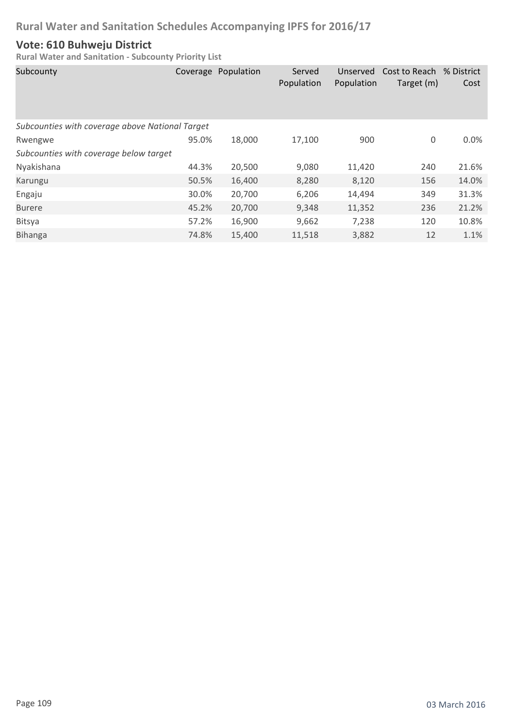### **Vote: 610 Buhweju District**

| Subcounty                                       | Coverage | Population | Served<br>Population | Unserved<br>Population | Cost to Reach % District<br>Target (m) | Cost  |
|-------------------------------------------------|----------|------------|----------------------|------------------------|----------------------------------------|-------|
| Subcounties with coverage above National Target |          |            |                      |                        |                                        |       |
| Rwengwe                                         | 95.0%    | 18,000     | 17,100               | 900                    | 0                                      | 0.0%  |
| Subcounties with coverage below target          |          |            |                      |                        |                                        |       |
| Nyakishana                                      | 44.3%    | 20,500     | 9,080                | 11,420                 | 240                                    | 21.6% |
| Karungu                                         | 50.5%    | 16,400     | 8,280                | 8,120                  | 156                                    | 14.0% |
| Engaju                                          | 30.0%    | 20,700     | 6,206                | 14,494                 | 349                                    | 31.3% |
| <b>Burere</b>                                   | 45.2%    | 20,700     | 9,348                | 11,352                 | 236                                    | 21.2% |
| <b>Bitsya</b>                                   | 57.2%    | 16,900     | 9,662                | 7,238                  | 120                                    | 10.8% |
| <b>Bihanga</b>                                  | 74.8%    | 15,400     | 11,518               | 3,882                  | 12                                     | 1.1%  |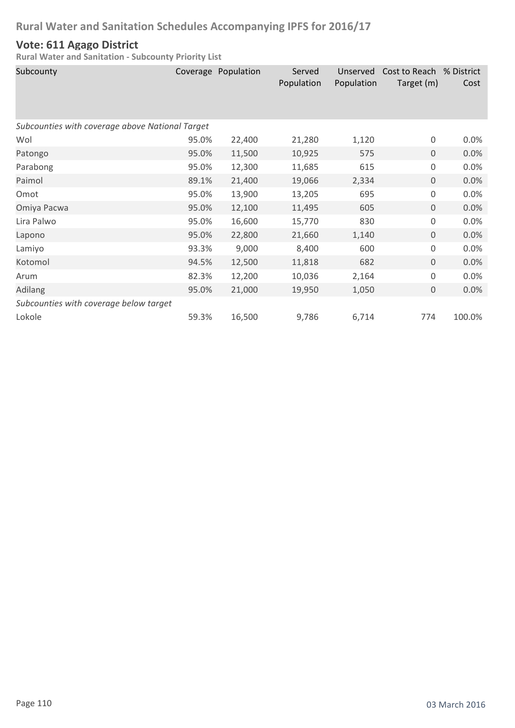### **Vote: 611 Agago District**

| Subcounty                                       |       | Coverage Population | Served<br>Population | Unserved<br>Population | Cost to Reach<br>Target (m) | % District<br>Cost |
|-------------------------------------------------|-------|---------------------|----------------------|------------------------|-----------------------------|--------------------|
| Subcounties with coverage above National Target |       |                     |                      |                        |                             |                    |
| Wol                                             | 95.0% | 22,400              | 21,280               | 1,120                  | 0                           | 0.0%               |
| Patongo                                         | 95.0% | 11,500              | 10,925               | 575                    | $\overline{0}$              | 0.0%               |
| Parabong                                        | 95.0% | 12,300              | 11,685               | 615                    | 0                           | 0.0%               |
| Paimol                                          | 89.1% | 21,400              | 19,066               | 2,334                  | 0                           | 0.0%               |
| Omot                                            | 95.0% | 13,900              | 13,205               | 695                    | 0                           | 0.0%               |
| Omiya Pacwa                                     | 95.0% | 12,100              | 11,495               | 605                    | 0                           | 0.0%               |
| Lira Palwo                                      | 95.0% | 16,600              | 15,770               | 830                    | 0                           | 0.0%               |
| Lapono                                          | 95.0% | 22,800              | 21,660               | 1,140                  | 0                           | 0.0%               |
| Lamiyo                                          | 93.3% | 9,000               | 8,400                | 600                    | 0                           | 0.0%               |
| Kotomol                                         | 94.5% | 12,500              | 11,818               | 682                    | 0                           | 0.0%               |
| Arum                                            | 82.3% | 12,200              | 10,036               | 2,164                  | 0                           | 0.0%               |
| Adilang                                         | 95.0% | 21,000              | 19,950               | 1,050                  | 0                           | 0.0%               |
| Subcounties with coverage below target          |       |                     |                      |                        |                             |                    |
| Lokole                                          | 59.3% | 16,500              | 9,786                | 6,714                  | 774                         | 100.0%             |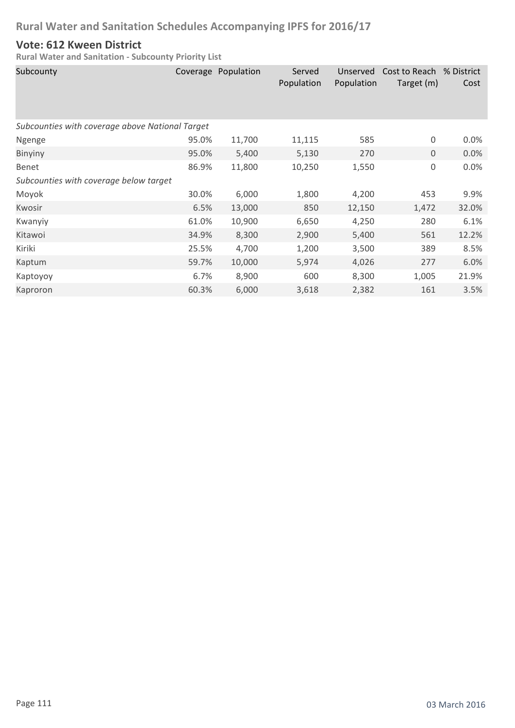### **Vote: 612 Kween District**

| Subcounty                                       |       | Coverage Population | Served<br>Population | Unserved<br>Population | Cost to Reach<br>Target (m) | % District<br>Cost |
|-------------------------------------------------|-------|---------------------|----------------------|------------------------|-----------------------------|--------------------|
| Subcounties with coverage above National Target |       |                     |                      |                        |                             |                    |
| Ngenge                                          | 95.0% | 11,700              | 11,115               | 585                    | $\boldsymbol{0}$            | 0.0%               |
| <b>Binyiny</b>                                  | 95.0% | 5,400               | 5,130                | 270                    | $\mathbf{0}$                | 0.0%               |
| Benet                                           | 86.9% | 11,800              | 10,250               | 1,550                  | $\boldsymbol{0}$            | 0.0%               |
| Subcounties with coverage below target          |       |                     |                      |                        |                             |                    |
| Moyok                                           | 30.0% | 6,000               | 1,800                | 4,200                  | 453                         | 9.9%               |
| Kwosir                                          | 6.5%  | 13,000              | 850                  | 12,150                 | 1,472                       | 32.0%              |
| Kwanyiy                                         | 61.0% | 10,900              | 6,650                | 4,250                  | 280                         | 6.1%               |
| Kitawoi                                         | 34.9% | 8,300               | 2,900                | 5,400                  | 561                         | 12.2%              |
| Kiriki                                          | 25.5% | 4,700               | 1,200                | 3,500                  | 389                         | 8.5%               |
| Kaptum                                          | 59.7% | 10,000              | 5,974                | 4,026                  | 277                         | 6.0%               |
| Kaptoyoy                                        | 6.7%  | 8,900               | 600                  | 8,300                  | 1,005                       | 21.9%              |
| Kaproron                                        | 60.3% | 6,000               | 3,618                | 2,382                  | 161                         | 3.5%               |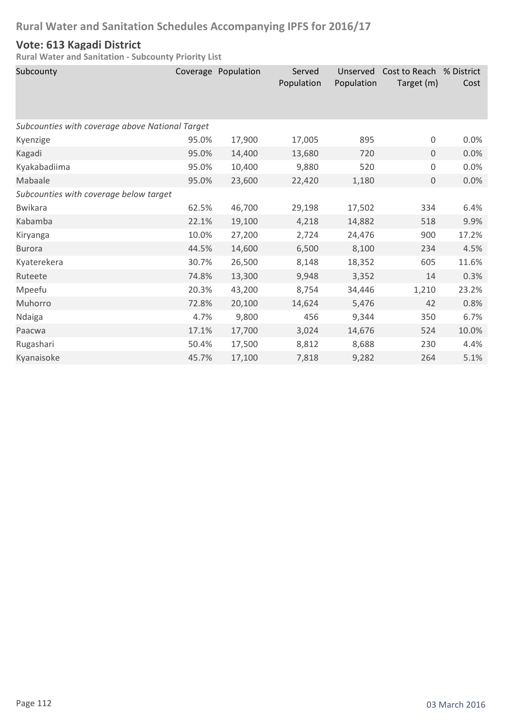### **Vote: 613 Kagadi District**

| Subcounty                                       |       | Coverage Population | Served<br>Population | Unserved<br>Population | Cost to Reach % District<br>Target (m) | Cost  |
|-------------------------------------------------|-------|---------------------|----------------------|------------------------|----------------------------------------|-------|
| Subcounties with coverage above National Target |       |                     |                      |                        |                                        |       |
| Kyenzige                                        | 95.0% | 17,900              | 17,005               | 895                    | 0                                      | 0.0%  |
| Kagadi                                          | 95.0% | 14,400              | 13,680               | 720                    | $\mathbf{0}$                           | 0.0%  |
| Kyakabadiima                                    | 95.0% | 10,400              | 9,880                | 520                    | $\boldsymbol{0}$                       | 0.0%  |
| Mabaale                                         | 95.0% | 23,600              | 22,420               | 1,180                  | $\mathbf 0$                            | 0.0%  |
| Subcounties with coverage below target          |       |                     |                      |                        |                                        |       |
| <b>Bwikara</b>                                  | 62.5% | 46,700              | 29,198               | 17,502                 | 334                                    | 6.4%  |
| Kabamba                                         | 22.1% | 19,100              | 4,218                | 14,882                 | 518                                    | 9.9%  |
| Kiryanga                                        | 10.0% | 27,200              | 2,724                | 24,476                 | 900                                    | 17.2% |
| <b>Burora</b>                                   | 44.5% | 14,600              | 6,500                | 8,100                  | 234                                    | 4.5%  |
| Kyaterekera                                     | 30.7% | 26,500              | 8,148                | 18,352                 | 605                                    | 11.6% |
| Ruteete                                         | 74.8% | 13,300              | 9,948                | 3,352                  | 14                                     | 0.3%  |
| Mpeefu                                          | 20.3% | 43,200              | 8,754                | 34,446                 | 1,210                                  | 23.2% |
| Muhorro                                         | 72.8% | 20,100              | 14,624               | 5,476                  | 42                                     | 0.8%  |
| Ndaiga                                          | 4.7%  | 9,800               | 456                  | 9,344                  | 350                                    | 6.7%  |
| Paacwa                                          | 17.1% | 17,700              | 3,024                | 14,676                 | 524                                    | 10.0% |
| Rugashari                                       | 50.4% | 17,500              | 8,812                | 8,688                  | 230                                    | 4.4%  |
| Kyanaisoke                                      | 45.7% | 17,100              | 7,818                | 9,282                  | 264                                    | 5.1%  |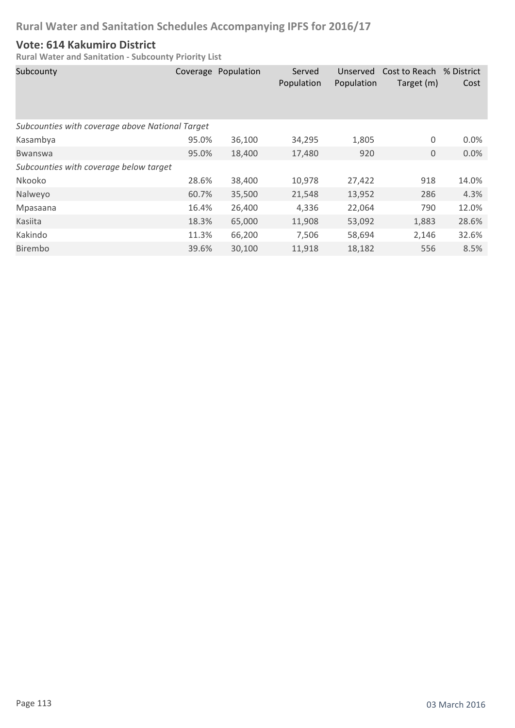### **Vote: 614 Kakumiro District**

| Subcounty                                       | Coverage | Population | Served<br>Population | Unserved<br>Population | Cost to Reach<br>Target (m) | % District<br>Cost |
|-------------------------------------------------|----------|------------|----------------------|------------------------|-----------------------------|--------------------|
| Subcounties with coverage above National Target |          |            |                      |                        |                             |                    |
| Kasambya                                        | 95.0%    | 36,100     | 34,295               | 1,805                  | 0                           | 0.0%               |
| <b>Bwanswa</b>                                  | 95.0%    | 18,400     | 17,480               | 920                    | $\mathbf{0}$                | 0.0%               |
| Subcounties with coverage below target          |          |            |                      |                        |                             |                    |
| Nkooko                                          | 28.6%    | 38,400     | 10,978               | 27,422                 | 918                         | 14.0%              |
| Nalweyo                                         | 60.7%    | 35,500     | 21,548               | 13,952                 | 286                         | 4.3%               |
| Mpasaana                                        | 16.4%    | 26,400     | 4,336                | 22,064                 | 790                         | 12.0%              |
| Kasiita                                         | 18.3%    | 65,000     | 11,908               | 53,092                 | 1,883                       | 28.6%              |
| Kakindo                                         | 11.3%    | 66,200     | 7,506                | 58,694                 | 2,146                       | 32.6%              |
| Birembo                                         | 39.6%    | 30,100     | 11,918               | 18,182                 | 556                         | 8.5%               |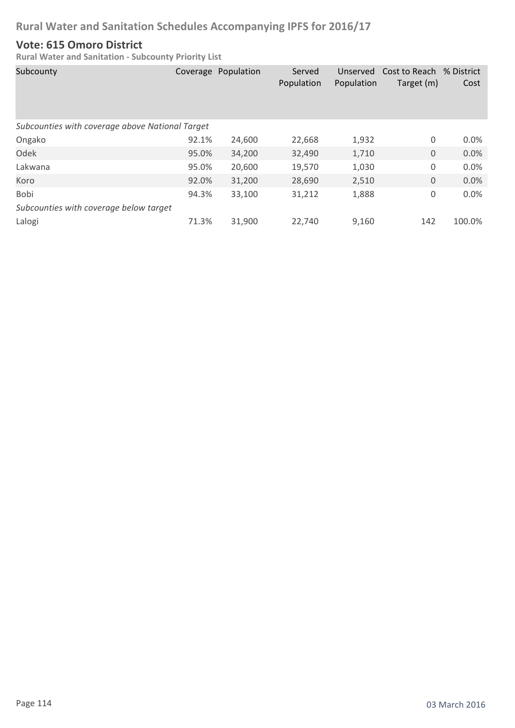### **Vote: 615 Omoro District**

| Subcounty                                       |       | Coverage Population | Served<br>Population | Unserved<br>Population | Cost to Reach % District<br>Target (m) | Cost    |
|-------------------------------------------------|-------|---------------------|----------------------|------------------------|----------------------------------------|---------|
| Subcounties with coverage above National Target |       |                     |                      |                        |                                        |         |
| Ongako                                          | 92.1% | 24,600              | 22,668               | 1,932                  | 0                                      | $0.0\%$ |
| Odek                                            | 95.0% | 34,200              | 32,490               | 1,710                  | $\mathbf 0$                            | 0.0%    |
| Lakwana                                         | 95.0% | 20,600              | 19,570               | 1,030                  | 0                                      | 0.0%    |
| Koro                                            | 92.0% | 31,200              | 28,690               | 2,510                  | $\mathbf 0$                            | 0.0%    |
| Bobi                                            | 94.3% | 33,100              | 31,212               | 1,888                  | 0                                      | 0.0%    |
| Subcounties with coverage below target          |       |                     |                      |                        |                                        |         |
| Lalogi                                          | 71.3% | 31,900              | 22,740               | 9,160                  | 142                                    | 100.0%  |